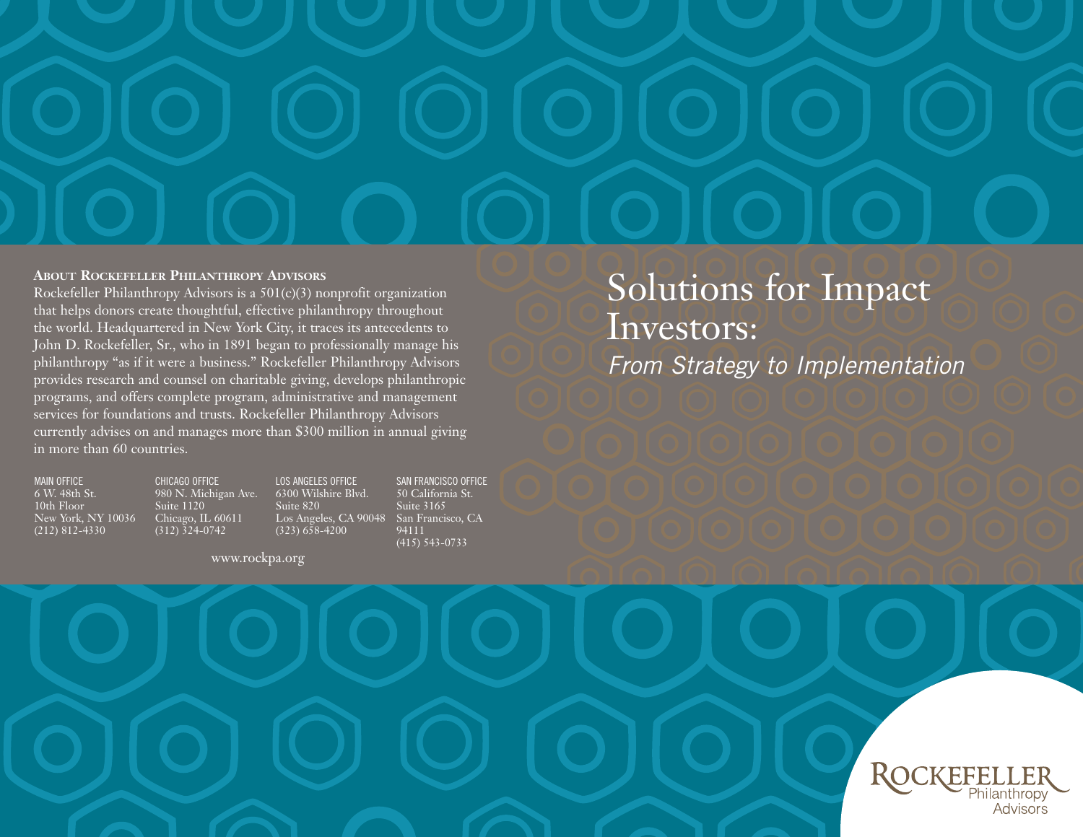#### **ABOUT ROCKEFELLER PHILANTHROPY ADVISORS**

Rockefeller Philanthropy Advisors is a 501(c)(3) nonprofit organization that helps donors create thoughtful, effective philanthropy throughout the world. Headquartered in New York City, it traces its antecedents to John D. Rockefeller, Sr., who in 1891 began to professionally manage his philanthropy "as if it were a business." Rockefeller Philanthropy Advisors provides research and counsel on charitable giving, develops philanthropic programs, and offers complete program, administrative and management services for foundations and trusts. Rockefeller Philanthropy Advisors currently advises on and manages more than \$300 million in annual giving in more than 60 countries.

MAIN OFFICE 6 W. 48th St. 10th Floor New York, NY 10036 (212) 812-4330

CHICAGO OFFICE 980 N. Michigan Ave. Suite 1120 Chicago, IL 60611 (312) 324-0742

LOS ANGELES OFFICE 6300 Wilshire Blvd. Suite 820  $(323)$  658-4200

Los Angeles, CA 90048 San Francisco, CA SAN FRANCISCO OFFICE 50 California St. Suite  $3165$ 94111 (415) 543-0733

www.rockpa.org

# Solutions for Impact Investors: *From Strategy to Implementation*

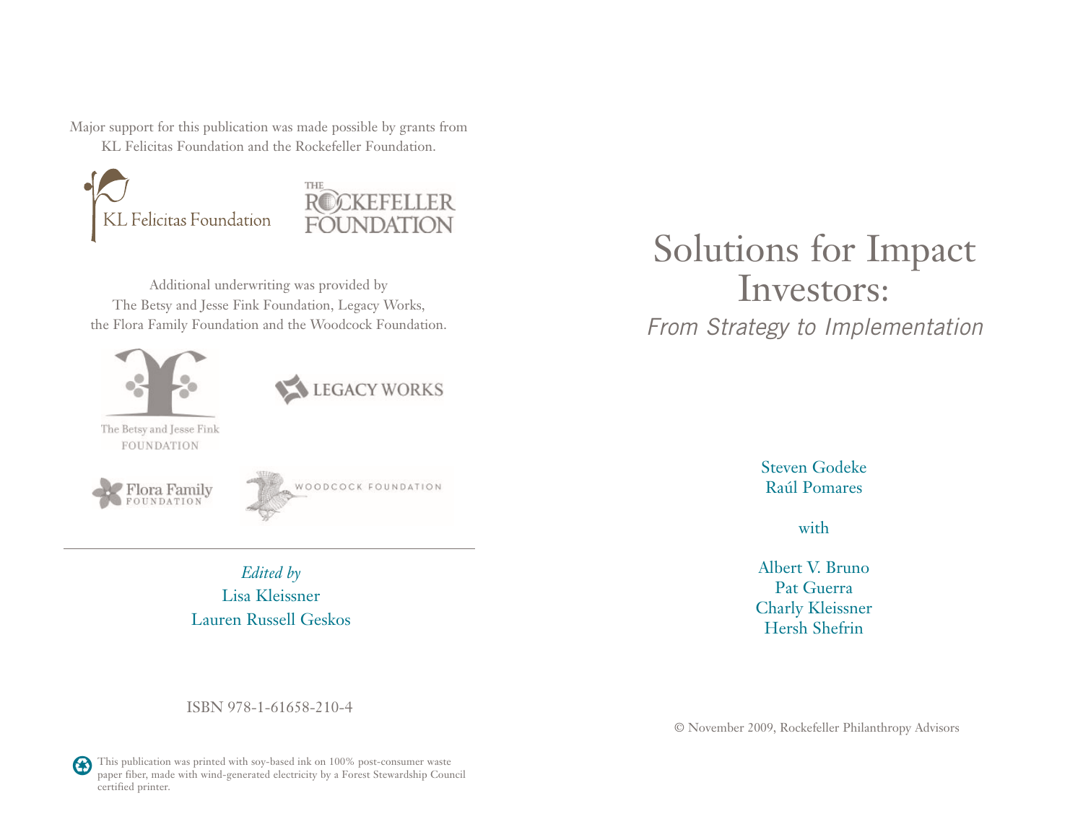Major support for this publication was made possible by grants from KL Felicitas Foundation and the Rockefeller Foundation.



Additional underwriting was provided by The Betsy and Jesse Fink Foundation, Legacy Works, the Flora Family Foundation and the Woodcock Foundation.





The Betsy and Jesse Fink **FOUNDATION** 





*Edited by* Lisa Kleissner Lauren Russell Geskos

Solutions for Impact Investors: *From Strategy to Implementation*

> Steven Godeke Raúl Pomares

> > with

Albert V. Bruno Pat Guerra Charly Kleissner Hersh Shefrin

© November 2009, Rockefeller Philanthropy Advisors

ISBN 978-1-61658-210-4



This publication was printed with soy-based ink on 100% post-consumer waste paper fiber, made with wind-generated electricity by a Forest Stewardship Council certified printer.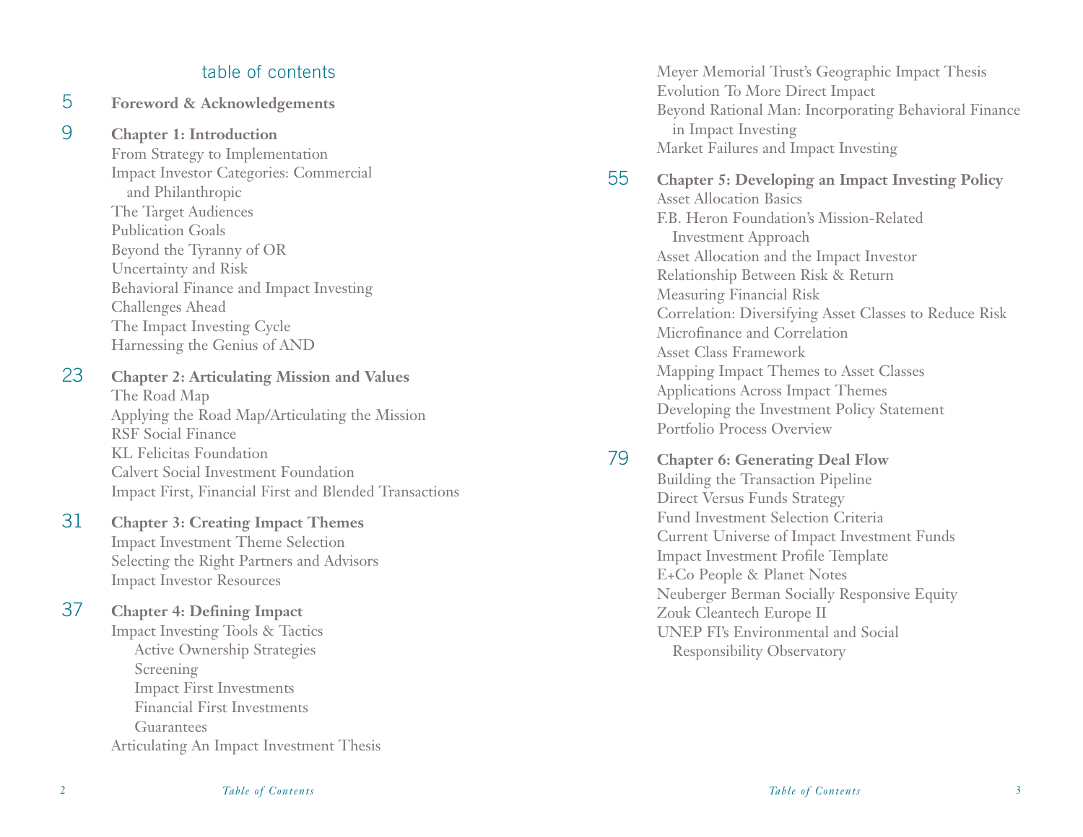#### table of contents

5 Foreword & Acknowledgements

9

**Chapter 1: Introduction** From Strategy to Implementation Impact Investor Categories: Commercial and Philanthropic The Target Audiences Publication Goals B e y o n d t h e Tyr a n ny o f O R Uncertainty and Risk Behavioral Finance and Impact Investing Challenges Ahead The Impact Investing Cycle Harnessing the Genius of AND

2 3 **Chapter 2: Articulating Mission and Values** T h e R o a d M a p Applying the Road Map/Articulating the Mission RSF Social Finance KL Felicitas Foundation Calvert Social Investment Foundation Impact First, Financial First and Blended Transactions

3 1 **Chapter 3: Creating Impact Themes** Impact Investment Theme Selection Selecting the Right Partners and Advisors Impact Investor Resources

3 7 **Chapter 4: Defining Impact** Impact Investing Tools & Tactics Active Ownership Strategies Screening Impact First Investments Financial First Investments Guarantees Articulating An Impact Investment Thesis

2

Meyer Memorial Trust's Geographic Impact Thesis Evolution To More Direct Impact Beyond Rational Man: Incorporating Behavioral Finance in Impact Investing Market Failures and Impact Investing

**Chapter 5: Developing an Impact Investing Policy** Asset Allocation Basics F.B. Heron Foundation's Mission-Related Investment Approach Asset Allocation and the Impact Investor Relationship Between Risk & Return Measuring Financial Risk Correlation: Diversifying Asset Classes to Reduce Risk Microfinance and Correlation Asset Class Framework Mapping Impact Themes to Asset Classes Applications Across Impact Themes Developing the Investment Policy Statement Portfolio Process Overview

5 5

7 9 **Chapter 6: Generating Deal Flow** Building the Transaction Pipeline Direct Versus Funds Strategy Fund Investment Selection Criteria Current Universe of Impact Investment Funds Impact Investment Profile Template E+Co People & Planet Notes Neuberger Berman Socially Responsive Equity Zouk Cleantech Europe II UNEP FI's Environmental and Social Responsibility Observatory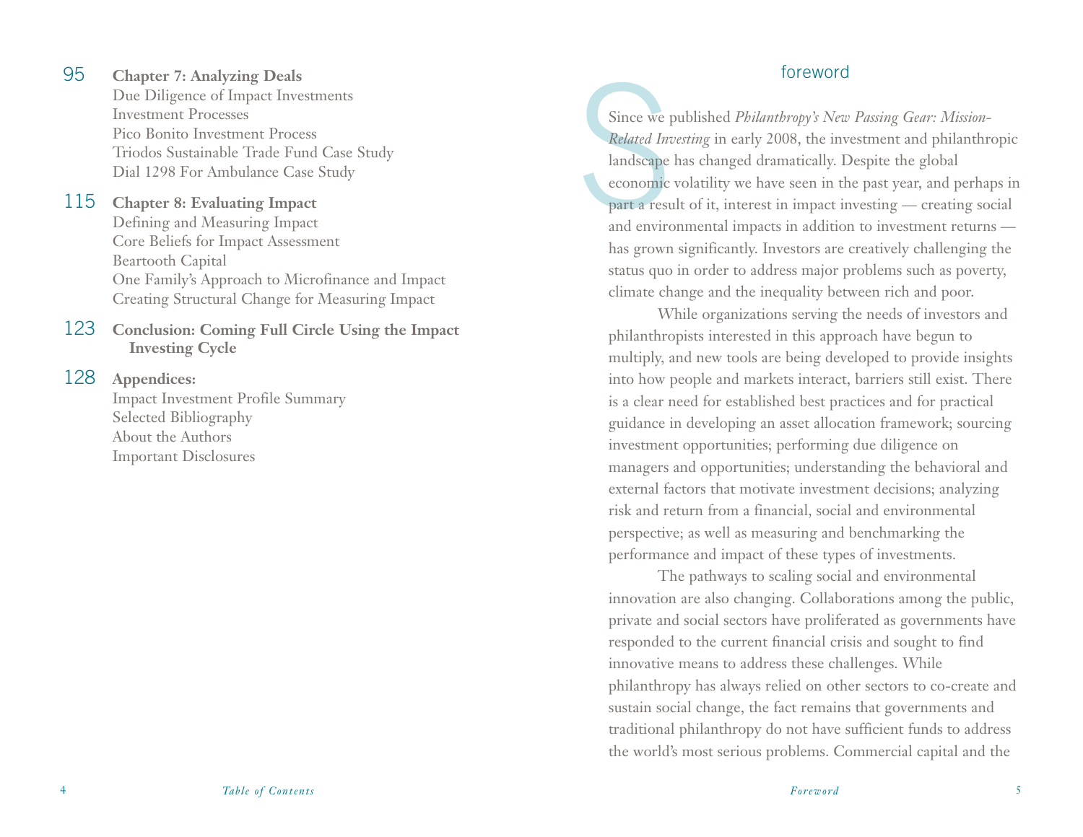# 95 **Chapter 7: Analyzing Deals**

Due Diligence of Impact Investments Investment Processes Pico Bonito Investment Process Triodos Sustainable Trade Fund Case Study Dial 1298 For Ambulance Case Study

115 **Chapter 8: Evaluating Impact** Defining and Measuring Impact Core Beliefs for Impact Assessment Beartooth Capital One Family's Approach to Microfinance and Impact Creating Structural Change for Measuring Impact

123 **Conclusion: Coming Full Circle Using the Impact Investing Cycle**

#### 128 **Appendices:**

Impact Investment Profile Summary Selected Bibliography About the Authors Important Disclosures

#### foreword

Since we p<br>
Related Int<br>
landscape<br>
economic<br>
part a resu<br>
and environ Since we published *Philanthropy's New Passing Gear: Mission-Related Investing* in early 2008, the investment and philanthropic landscape has changed dramatically. Despite the global economic volatility we have seen in the past year, and perhaps in part a result of it, interest in impact investing — creating social and environmental impacts in addition to investment returns has grown significantly. Investors are creatively challenging the status quo in order to address major problems such as poverty, climate change and the inequality between rich and poor.

While organizations serving the needs of investors and philanthropists interested in this approach have begun to multiply, and new tools are being developed to provide insights into how people and markets interact, barriers still exist. There is a clear need for established best practices and for practical guidance in developing an asset allocation framework; sourcing investment opportunities; performing due diligence on managers and opportunities; understanding the behavioral and external factors that motivate investment decisions; analyzing risk and return from a financial, social and environmental perspective; as well as measuring and benchmarking the performance and impact of these types of investments.

The pathways to scaling social and environmental innovation are also changing. Collaborations among the public, private and social sectors have proliferated as governments have responded to the current financial crisis and sought to find innovative means to address these challenges. While philanthropy has always relied on other sectors to co-create and sustain social change, the fact remains that governments and traditional philanthropy do not have sufficient funds to address the world's most serious problems. Commercial capital and the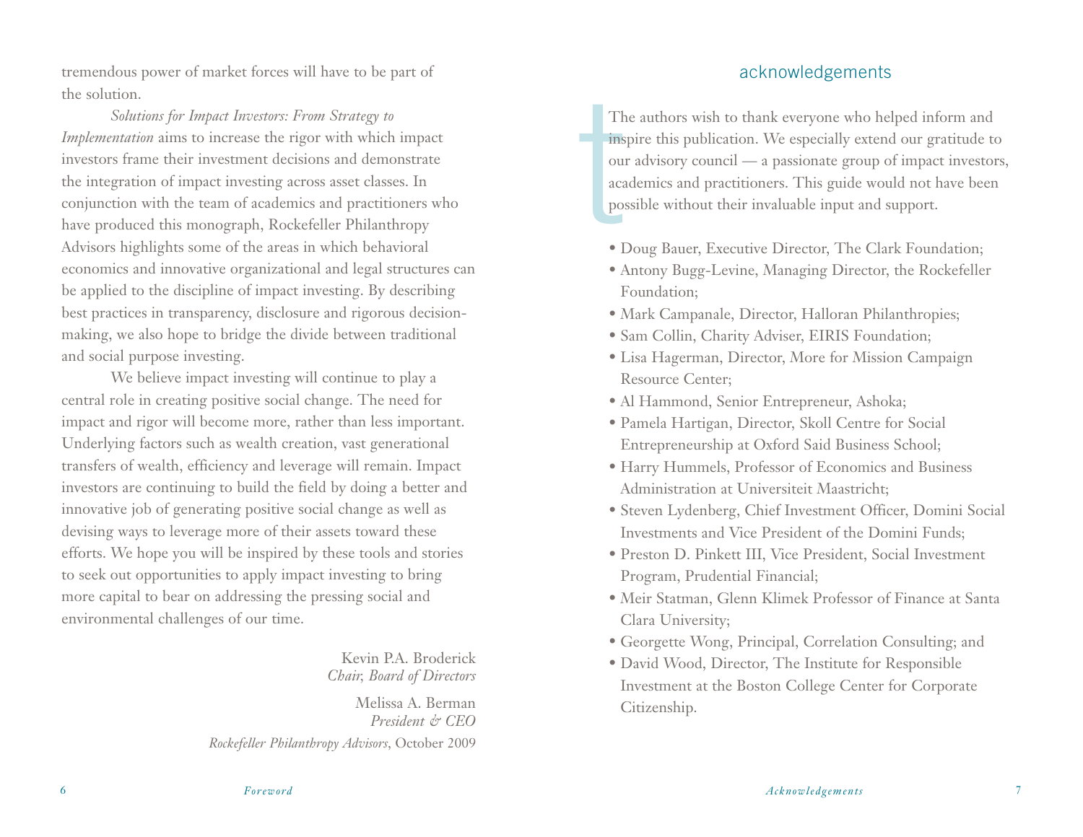tremendous power of market forces will have to be part of the solution.

*Solutions for Impact Investors: From Strategy to Implementation* aims to increase the rigor with which impact investors frame their investment decisions and demonstrate the integration of impact investing across asset classes. In conjunction with the team of academics and practitioners who have produced this monograph, Rockefeller Philanthropy Advisors highlights some of the areas in which behavioral economics and innovative organizational and legal structures can be applied to the discipline of impact investing. By describing best practices in transparency, disclosure and rigorous decisionmaking, we also hope to bridge the divide between traditional and social purpose investing.

We believe impact investing will continue to play a central role in creating positive social change. The need for impact and rigor will become more, rather than less important. Underlying factors such as wealth creation, vast generational transfers of wealth, efficiency and leverage will remain. Impact investors are continuing to build the field by doing a better and innovative job of generating positive social change as well as devising ways to leverage more of their assets toward these efforts. We hope you will be inspired by these tools and stories to seek out opportunities to apply impact investing to bring more capital to bear on addressing the pressing social and environmental challenges of our time.

> Kevin P.A. Broderick *Chair, Board of Directors*

Melissa A. Berman *President & CEO Rockefeller Philanthropy Advisors*, October 2009

### acknowledgements

The installation of the contract of the contract of the contract of the contract of the contract of the contract of the contract of the contract of the contract of the contract of the contract of the contract of the contra The authors wish to thank everyone who helped inform and inspire this publication. We especially extend our gratitude to our advisory council — a passionate group of impact investors, academics and practitioners. This guide would not have been possible without their invaluable input and support.

- Doug Bauer, Executive Director, The Clark Foundation;
- Antony Bugg-Levine, Managing Director, the Rockefeller Foundation;
- Mark Campanale, Director, Halloran Philanthropies;
- Sam Collin, Charity Adviser, EIRIS Foundation;
- Lisa Hagerman, Director, More for Mission Campaign Resource Center;
- Al Hammond, Senior Entrepreneur, Ashoka;
- Pamela Hartigan, Director, Skoll Centre for Social Entrepreneurship at Oxford Said Business School;
- Harry Hummels, Professor of Economics and Business Administration at Universiteit Maastricht;
- Steven Lydenberg, Chief Investment Officer, Domini Social Investments and Vice President of the Domini Funds;
- Preston D. Pinkett III, Vice President, Social Investment Program, Prudential Financial;
- Meir Statman, Glenn Klimek Professor of Finance at Santa Clara University;
- Georgette Wong, Principal, Correlation Consulting; and
- David Wood, Director, The Institute for Responsible Investment at the Boston College Center for Corporate Citizenship.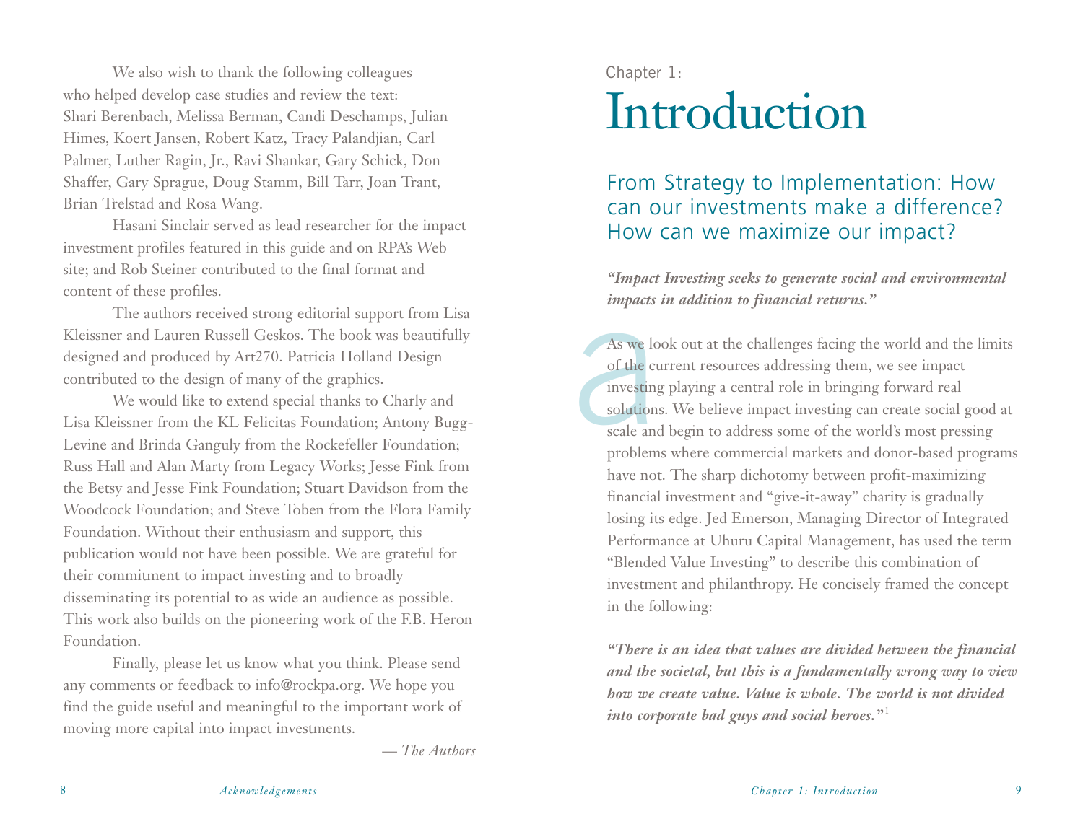We also wish to thank the following colleagues who helped develop case studies and review the text: Shari Berenbach, Melissa Berman, Candi Deschamps, Julian Himes, Koert Jansen, Robert Katz, Tracy Palandjian, Carl Palmer, Luther Ragin, Jr., Ravi Shankar, Gary Schick, Don Shaffer, Gary Sprague, Doug Stamm, Bill Tarr, Joan Trant, Brian Trelstad and Rosa Wang.

Hasani Sinclair served as lead researcher for the impact investment profiles featured in this guide and on RPA's Web site; and Rob Steiner contributed to the final format and content of these profiles.

The authors received strong editorial support from Lisa Kleissner and Lauren Russell Geskos. The book was beautifully designed and produced by Art270. Patricia Holland Design contributed to the design of many of the graphics.

We would like to extend special thanks to Charly and Lisa Kleissner from the KL Felicitas Foundation; Antony Bugg-Levine and Brinda Ganguly from the Rockefeller Foundation; Russ Hall and Alan Marty from Legacy Works; Jesse Fink from the Betsy and Jesse Fink Foundation; Stuart Davidson from the Woodcock Foundation; and Steve Toben from the Flora Family Foundation. Without their enthusiasm and support, this publication would not have been possible. We are grateful for their commitment to impact investing and to broadly disseminating its potential to as wide an audience as possible. This work also builds on the pioneering work of the F.B. Heron Foundation.

Finally, please let us know what you think. Please send any comments or feedback to info@rockpa.org. We hope you find the guide useful and meaningful to the important work of moving more capital into impact investments.

*— The Authors*

# Chapter 1: Introduction

From Strategy to Implementation: How can our investments make a difference? How can we maximize our impact?

*"Impact Investing seeks to generate social and environmental impacts in addition to financial returns."*

impacts<br>As we lo<br>of the cu<br>investing<br>solutions<br>scale and<br>problem As we look out at the challenges facing the world and the limits of the current resources addressing them, we see impact investing playing a central role in bringing forward real solutions. We believe impact investing can create social good at scale and begin to address some of the world's most pressing problems where commercial markets and donor-based programs have not. The sharp dichotomy between profit-maximizing financial investment and "give-it-away" charity is gradually losing its edge. Jed Emerson, Managing Director of Integrated Performance at Uhuru Capital Management, has used the term "Blended Value Investing" to describe this combination of investment and philanthropy. He concisely framed the concept in the following:

*"There is an idea that values are divided between the financial and the societal, but this is a fundamentally wrong way to view how we create value. Value is whole. The world is not divided into corporate bad guys and social beroes.*"<sup>1</sup>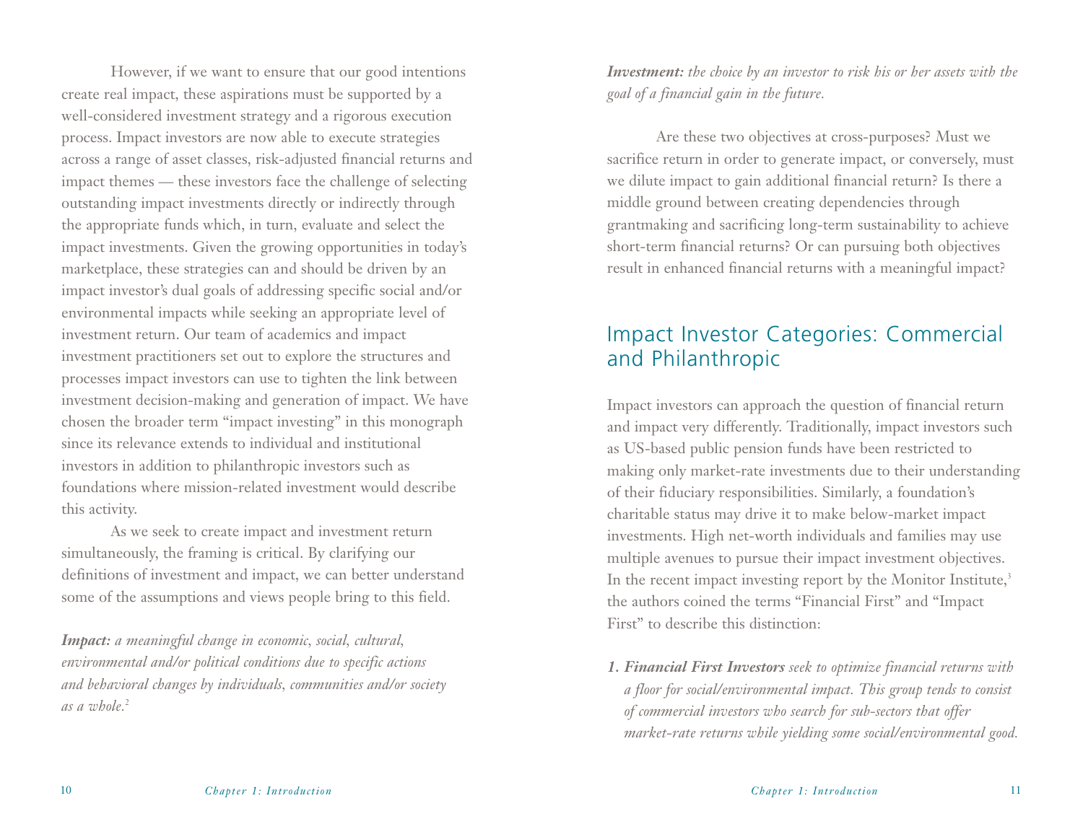However, if we want to ensure that our good intentions create real impact, these aspirations must be supported by a well-considered investment strategy and a rigorous execution process. Impact investors are now able to execute strategies across a range of asset classes, risk-adjusted financial returns and impact themes — these investors face the challenge of selecting outstanding impact investments directly or indirectly through the appropriate funds which, in turn, evaluate and select the impact investments. Given the growing opportunities in today's marketplace, these strategies can and should be driven by an impact investor's dual goals of addressing specific social and/or environmental impacts while seeking an appropriate level of investment return. Our team of academics and impact investment practitioners set out to explore the structures and processes impact investors can use to tighten the link between investment decision-making and generation of impact. We have chosen the broader term "impact investing" in this monograph since its relevance extends to individual and institutional investors in addition to philanthropic investors such as foundations where mission-related investment would describe this activity.

As we seek to create impact and investment return simultaneously, the framing is critical. By clarifying our definitions of investment and impact, we can better understand some of the assumptions and views people bring to this field.

*Impact: a meaningful change in economic, social, cultural, environmental and/or political conditions due to specific actions and behavioral changes by individuals, communities and/or society as a whole.* 2

*Investment: the choice by an investor to risk his or her assets with the goal of a financial gain in the future.*

Are these two objectives at cross-purposes? Must we sacrifice return in order to generate impact, or conversely, must we dilute impact to gain additional financial return? Is there a middle ground between creating dependencies through grantmaking and sacrificing long-term sustainability to achieve short-term financial returns? Or can pursuing both objectives result in enhanced financial returns with a meaningful impact?

# Impact Investor Categories: Commercial and Philanthropic

Impact investors can approach the question of financial return and impact very differently. Traditionally, impact investors such as US-based public pension funds have been restricted to making only market-rate investments due to their understanding of their fiduciary responsibilities. Similarly, a foundation's charitable status may drive it to make below-market impact investments. High net-worth individuals and families may use multiple avenues to pursue their impact investment objectives. In the recent impact investing report by the Monitor Institute, 3 the authors coined the terms "Financial First" and "Impact First" to describe this distinction:

*1. Financial First Investors seek to optimize financial returns with a floor for social/environmental impact. This group tends to consist of commercial investors who search for sub-sectors that offer market-rate returns while yielding some social/environmental good.*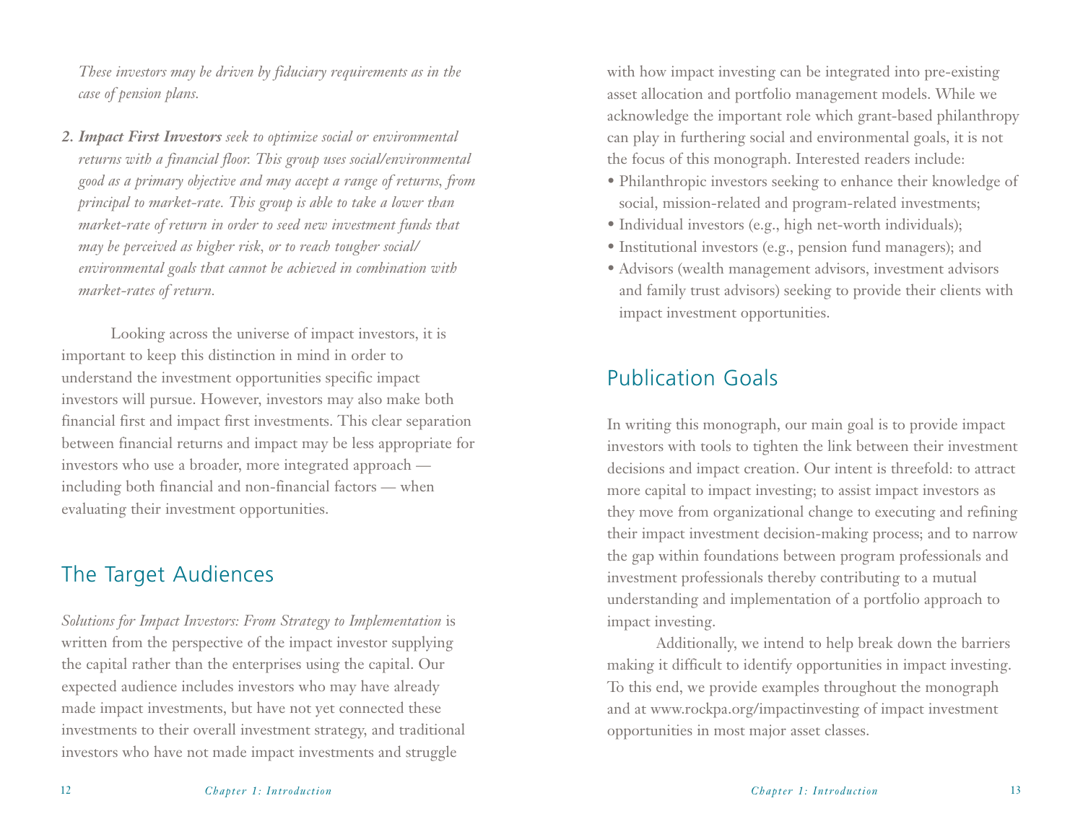*These investors may be driven by fiduciary requirements as in the case of pension plans.*

*2. Impact First Investors seek to optimize social or environmental returns with a financial floor. This group uses social/environmental good as a primary objective and may accept a range of returns, from principal to market-rate. This group is able to take a lower than market-rate of return in order to seed new investment funds that may be perceived as higher risk, or to reach tougher social/ environmental goals that cannot be achieved in combination with market-rates of return.*

Looking across the universe of impact investors, it is important to keep this distinction in mind in order to understand the investment opportunities specific impact investors will pursue. However, investors may also make both financial first and impact first investments. This clear separation between financial returns and impact may be less appropriate for investors who use a broader, more integrated approach including both financial and non-financial factors — when evaluating their investment opportunities.

## The Target Audiences

*Solutions for Impact Investors: From Strategy to Implementation* is written from the perspective of the impact investor supplying the capital rather than the enterprises using the capital. Our expected audience includes investors who may have already made impact investments, but have not yet connected these investments to their overall investment strategy, and traditional investors who have not made impact investments and struggle

with how impact investing can be integrated into pre-existing asset allocation and portfolio management models. While we acknowledge the important role which grant-based philanthropy can play in furthering social and environmental goals, it is not the focus of this monograph. Interested readers include:

- Philanthropic investors seeking to enhance their knowledge of social, mission-related and program-related investments;
- Individual investors (e.g., high net-worth individuals);
- Institutional investors (e.g., pension fund managers); and
- Advisors (wealth management advisors, investment advisors and family trust advisors) seeking to provide their clients with impact investment opportunities.

# Publication Goals

In writing this monograph, our main goal is to provide impact investors with tools to tighten the link between their investment decisions and impact creation. Our intent is threefold: to attract more capital to impact investing; to assist impact investors as they move from organizational change to executing and refining their impact investment decision-making process; and to narrow the gap within foundations between program professionals and investment professionals thereby contributing to a mutual understanding and implementation of a portfolio approach to impact investing.

Additionally, we intend to help break down the barriers making it difficult to identify opportunities in impact investing. To this end, we provide examples throughout the monograph and at www.rockpa.org/impactinvesting of impact investment opportunities in most major asset classes.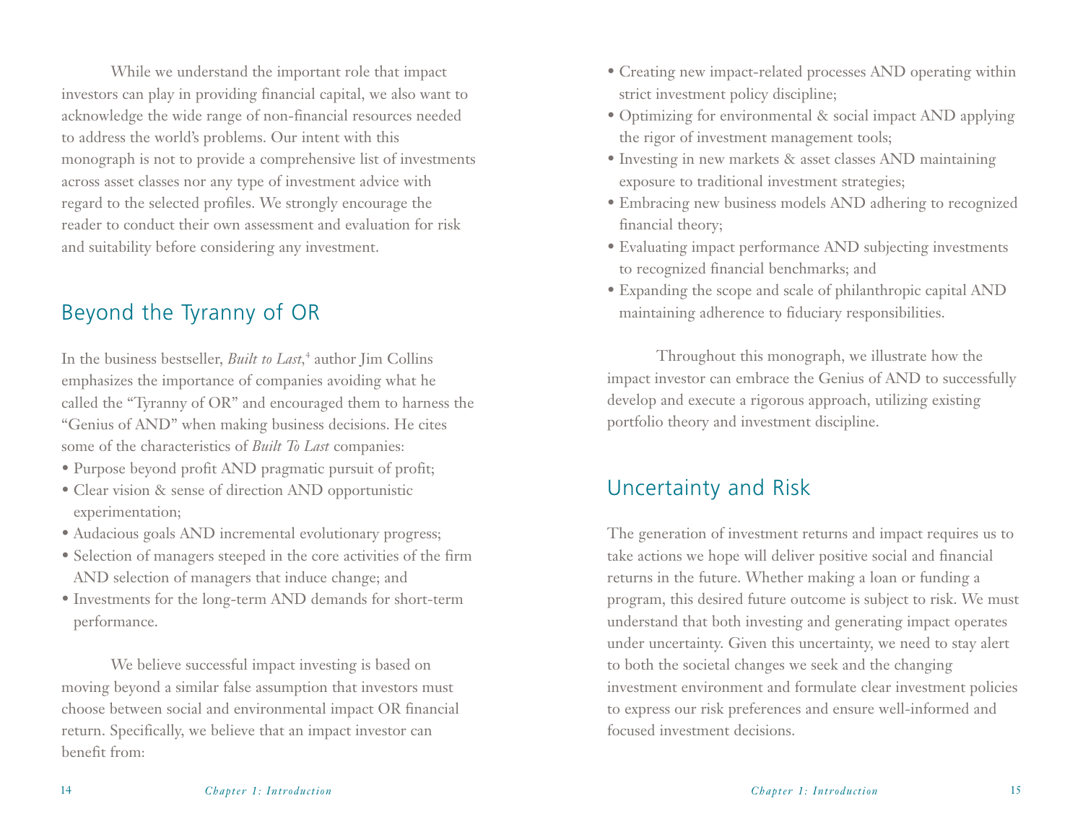While we understand the important role that impact investors can play in providing financial capital, we also want to acknowledge the wide range of non-financial resources needed to address the world's problems. Our intent with this monograph is not to provide a comprehensive list of investments across asset classes nor any type of investment advice with regard to the selected profiles. We strongly encourage the reader to conduct their own assessment and evaluation for risk and suitability before considering any investment.

# Beyond the Tyranny of OR

In the business bestseller, *Built to Last,* <sup>4</sup> author Jim Collins emphasizes the importance of companies avoiding what he called the "Tyranny of OR" and encouraged them to harness the "Genius of AND" when making business decisions. He cites some of the characteristics of *Built To Last* companies:

- Purpose beyond profit AND pragmatic pursuit of profit;
- Clear vision & sense of direction AND opportunistic experimentation;
- Audacious goals AND incremental evolutionary progress;
- Selection of managers steeped in the core activities of the firm AND selection of managers that induce change; and
- Investments for the long-term AND demands for short-term performance.

We believe successful impact investing is based on moving beyond a similar false assumption that investors must choose between social and environmental impact OR financial return. Specifically, we believe that an impact investor can benefit from:

- Creating new impact-related processes AND operating within strict investment policy discipline;
- Optimizing for environmental & social impact AND applying the rigor of investment management tools;
- Investing in new markets & asset classes AND maintaining exposure to traditional investment strategies;
- Embracing new business models AND adhering to recognized financial theory;
- Evaluating impact performance AND subjecting investments to recognized financial benchmarks; and
- Expanding the scope and scale of philanthropic capital AND maintaining adherence to fiduciary responsibilities.

Throughout this monograph, we illustrate how the impact investor can embrace the Genius of AND to successfully develop and execute a rigorous approach, utilizing existing portfolio theory and investment discipline.

# Uncertainty and Risk

The generation of investment returns and impact requires us to take actions we hope will deliver positive social and financial returns in the future. Whether making a loan or funding a program, this desired future outcome is subject to risk. We must understand that both investing and generating impact operates under uncertainty. Given this uncertainty, we need to stay alert to both the societal changes we seek and the changing investment environment and formulate clear investment policies to express our risk preferences and ensure well-informed and focused investment decisions.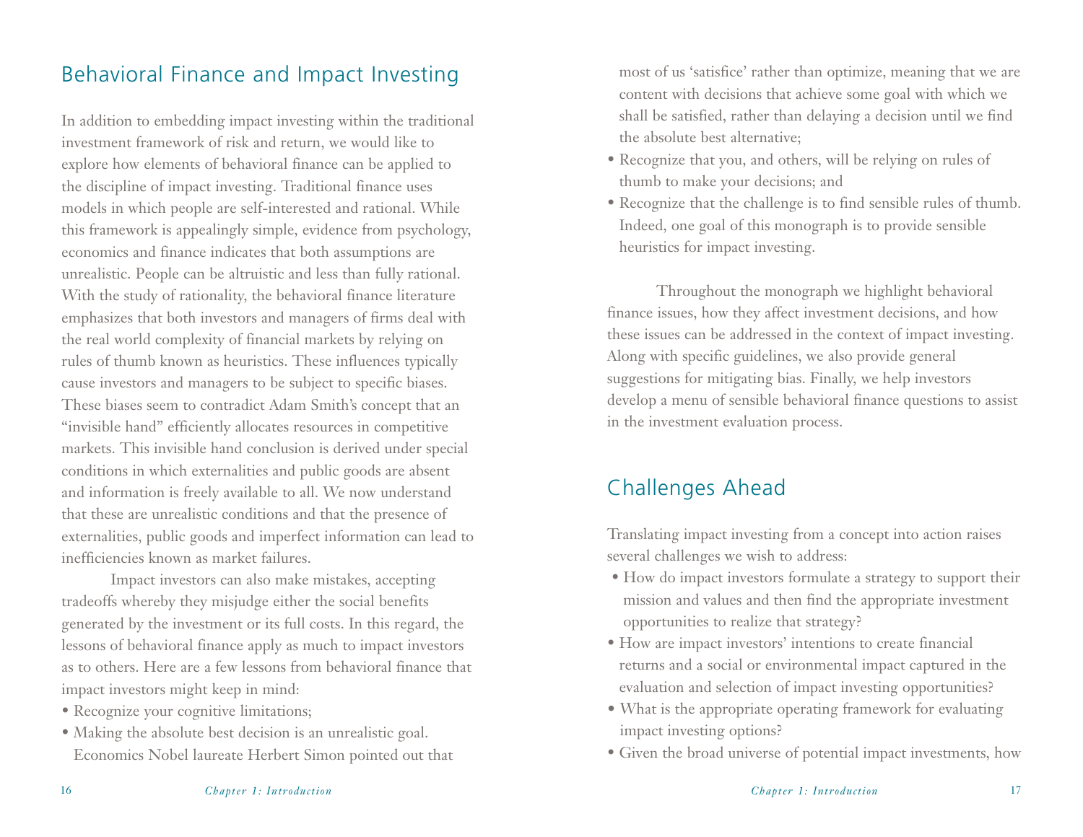# Behavioral Finance and Impact Investing

In addition to embedding impact investing within the traditional investment framework of risk and return, we would like to explore how elements of behavioral finance can be applied to the discipline of impact investing. Traditional finance uses models in which people are self-interested and rational. While this framework is appealingly simple, evidence from psychology, economics and finance indicates that both assumptions are unrealistic. People can be altruistic and less than fully rational. With the study of rationality, the behavioral finance literature emphasizes that both investors and managers of firms deal with the real world complexity of financial markets by relying on rules of thumb known as heuristics. These influences typically cause investors and managers to be subject to specific biases. These biases seem to contradict Adam Smith's concept that an "invisible hand" efficiently allocates resources in competitive markets. This invisible hand conclusion is derived under special conditions in which externalities and public goods are absent and information is freely available to all. We now understand that these are unrealistic conditions and that the presence of externalities, public goods and imperfect information can lead to inefficiencies known as market failures.

Impact investors can also make mistakes, accepting tradeoffs whereby they misjudge either the social benefits generated by the investment or its full costs. In this regard, the lessons of behavioral finance apply as much to impact investors as to others. Here are a few lessons from behavioral finance that impact investors might keep in mind:

- Recognize your cognitive limitations;
- Making the absolute best decision is an unrealistic goal. Economics Nobel laureate Herbert Simon pointed out that

most of us 'satisfice' rather than optimize, meaning that we are content with decisions that achieve some goal with which we shall be satisfied, rather than delaying a decision until we find the absolute best alternative;

- Recognize that you, and others, will be relying on rules of thumb to make your decisions; and
- Recognize that the challenge is to find sensible rules of thumb. Indeed, one goal of this monograph is to provide sensible heuristics for impact investing.

Throughout the monograph we highlight behavioral finance issues, how they affect investment decisions, and how these issues can be addressed in the context of impact investing. Along with specific guidelines, we also provide general suggestions for mitigating bias. Finally, we help investors develop a menu of sensible behavioral finance questions to assist in the investment evaluation process.

# Challenges Ahead

Translating impact investing from a concept into action raises several challenges we wish to address:

- How do impact investors formulate a strategy to support their mission and values and then find the appropriate investment opportunities to realize that strategy?
- How are impact investors' intentions to create financial returns and a social or environmental impact captured in the evaluation and selection of impact investing opportunities?
- **•** What is the appropriate operating framework for evaluating impact investing options?
- Given the broad universe of potential impact investments, how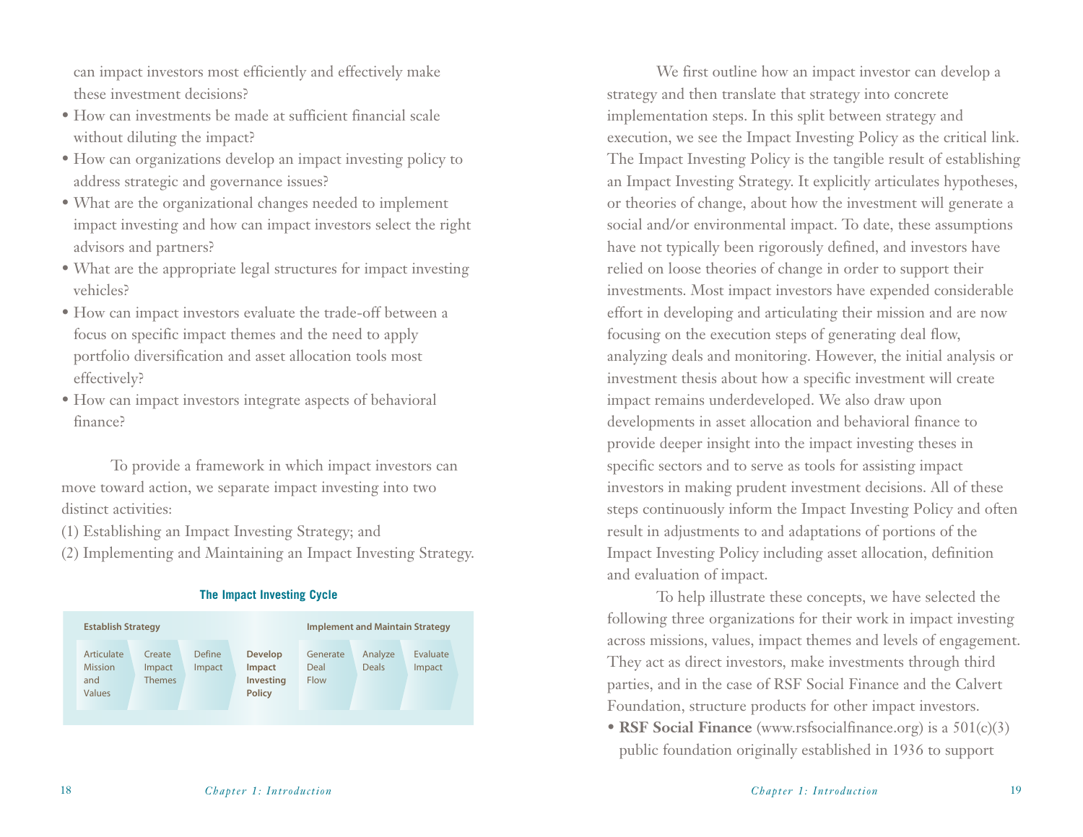can impact investors most efficiently and effectively make these investment decisions?

- How can investments be made at sufficient financial scale without diluting the impact?
- How can organizations develop an impact investing policy to address strategic and governance issues?
- What are the organizational changes needed to implement impact investing and how can impact investors select the right advisors and partners?
- What are the appropriate legal structures for impact investing vehicles?
- How can impact investors evaluate the trade-off between a focus on specific impact themes and the need to apply portfolio diversification and asset allocation tools most effectively?
- How can impact investors integrate aspects of behavioral finance?

To provide a framework in which impact investors can move toward action, we separate impact investing into two distinct activities:

(1) Establishing an Impact Investing Strategy; and

(2) Implementing and Maintaining an Impact Investing Strategy.

| <b>Establish Strategy</b>                     |                                          |                                | <b>Implement and Maintain Strategy</b>                        |                                 |                         |                           |  |
|-----------------------------------------------|------------------------------------------|--------------------------------|---------------------------------------------------------------|---------------------------------|-------------------------|---------------------------|--|
| Articulate<br><b>Mission</b><br>and<br>Values | Create<br><b>Impact</b><br><b>Themes</b> | <b>Define</b><br><b>Impact</b> | <b>Develop</b><br>Impact<br><b>Investing</b><br><b>Policy</b> | Generate<br>Deal<br><b>Flow</b> | Analyze<br><b>Deals</b> | Evaluate<br><b>Impact</b> |  |

#### **The Impact Investing Cycle**

We first outline how an impact investor can develop a strategy and then translate that strategy into concrete implementation steps. In this split between strategy and execution, we see the Impact Investing Policy as the critical link. The Impact Investing Policy is the tangible result of establishing an Impact Investing Strategy. It explicitly articulates hypotheses, or theories of change, about how the investment will generate a social and/or environmental impact. To date, these assumptions have not typically been rigorously defined, and investors have relied on loose theories of change in order to support their investments. Most impact investors have expended considerable effort in developing and articulating their mission and are now focusing on the execution steps of generating deal flow, analyzing deals and monitoring. However, the initial analysis or investment thesis about how a specific investment will create impact remains underdeveloped. We also draw upon developments in asset allocation and behavioral finance to provide deeper insight into the impact investing theses in specific sectors and to serve as tools for assisting impact investors in making prudent investment decisions. All of these steps continuously inform the Impact Investing Policy and often result in adjustments to and adaptations of portions of the Impact Investing Policy including asset allocation, definition and evaluation of impact.

To help illustrate these concepts, we have selected the following three organizations for their work in impact investing across missions, values, impact themes and levels of engagement. They act as direct investors, make investments through third parties, and in the case of RSF Social Finance and the Calvert Foundation, structure products for other impact investors.

• **RSF Social Finance** (www.rsfsocialfinance.org) is a 501(c)(3) public foundation originally established in 1936 to support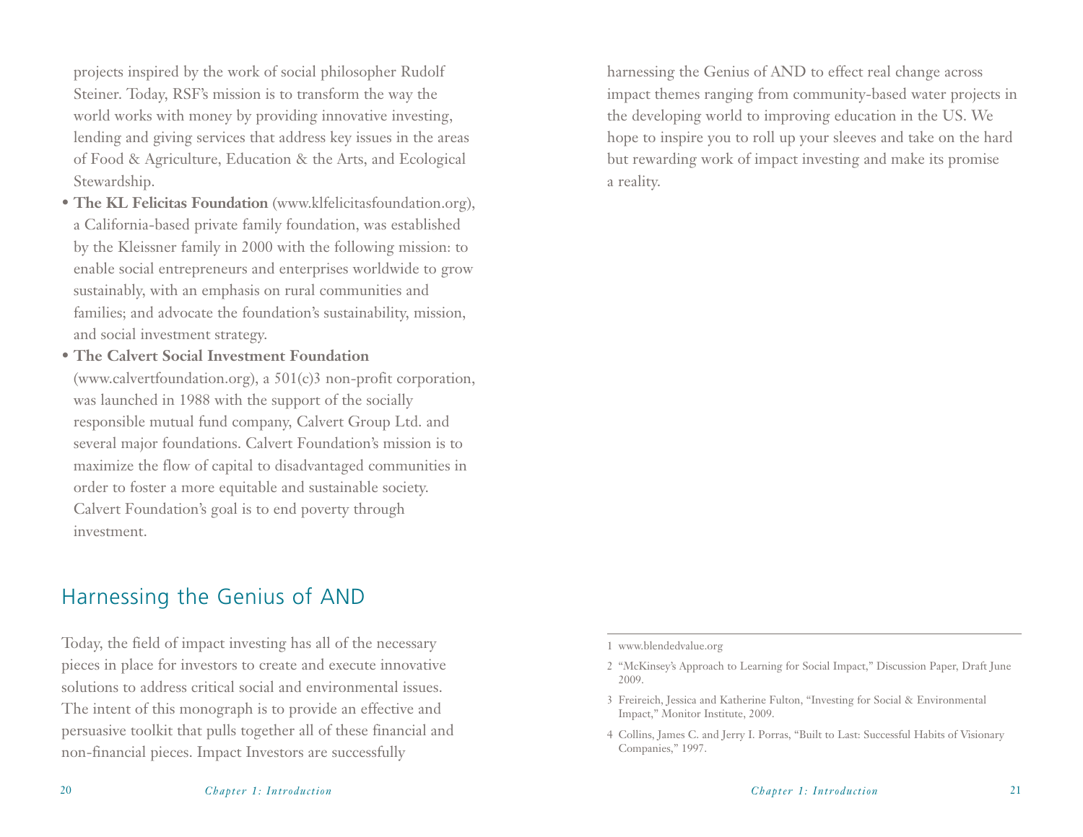projects inspired by the work of social philosopher Rudolf Steiner. Today, RSF's mission is to transform the way the world works with money by providing innovative investing, lending and giving services that address key issues in the areas of Food & Agriculture, Education & the Arts, and Ecological Stewardship.

- **The KL Felicitas Foundation** (www.klfelicitasfoundation.org), a California-based private family foundation, was established by the Kleissner family in 2000 with the following mission: to enable social entrepreneurs and enterprises worldwide to grow sustainably, with an emphasis on rural communities and families; and advocate the foundation's sustainability, mission, and social investment strategy.
- **The Calvert Social Investment Foundation** (www.calvertfoundation.org), a 501(c)3 non-profit corporation, was launched in 1988 with the support of the socially responsible mutual fund company, Calvert Group Ltd. and several major foundations. Calvert Foundation's mission is to maximize the flow of capital to disadvantaged communities in order to foster a more equitable and sustainable society. Calvert Foundation's goal is to end poverty through investment.

# Harnessing the Genius of AND

Today, the field of impact investing has all of the necessary pieces in place for investors to create and execute innovative solutions to address critical social and environmental issues. The intent of this monograph is to provide an effective and persuasive toolkit that pulls together all of these financial and non-financial pieces. Impact Investors are successfully

harnessing the Genius of AND to effect real change across impact themes ranging from community-based water projects in the developing world to improving education in the US. We hope to inspire you to roll up your sleeves and take on the hard but rewarding work of impact investing and make its promise a reality.

<sup>1</sup> www.blendedvalue.org

<sup>2</sup> "McKinsey's Approach to Learning for Social Impact," Discussion Paper, Draft June 2009.

<sup>3</sup> Freireich, Jessica and Katherine Fulton, "Investing for Social & Environmental Impact," Monitor Institute, 2009.

<sup>4</sup> Collins, James C. and Jerry I. Porras, "Built to Last: Successful Habits of Visionary Companies," 1997.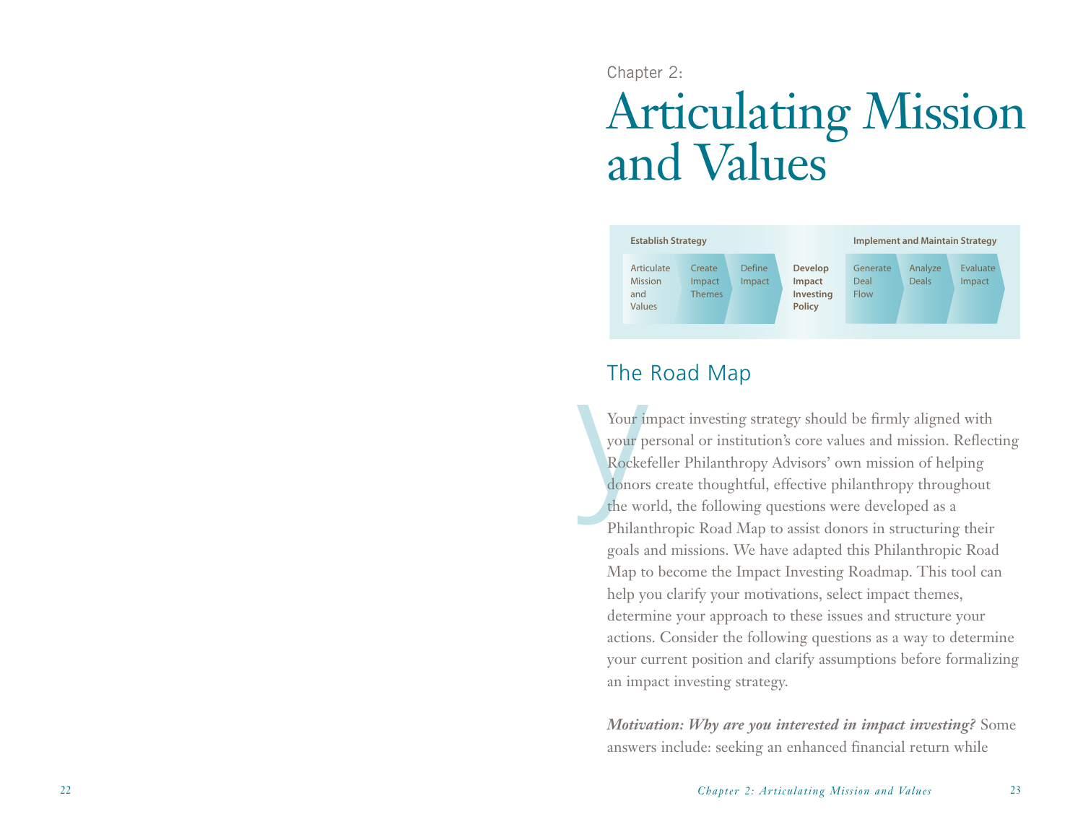#### Chapter 2:

# Articulating Mission a n d Va l u e s

|                                               | <b>Establish Strategy</b>                |                                |                                                               |                                 |                         |                           |  | <b>Implement and Maintain Strategy</b> |  |
|-----------------------------------------------|------------------------------------------|--------------------------------|---------------------------------------------------------------|---------------------------------|-------------------------|---------------------------|--|----------------------------------------|--|
| Articulate<br><b>Mission</b><br>and<br>Values | Create<br><i>Impact</i><br><b>Themes</b> | <b>Define</b><br><i>Impact</i> | <b>Develop</b><br>Impact<br><b>Investing</b><br><b>Policy</b> | Generate<br>Deal<br><b>Flow</b> | Analyze<br><b>Deals</b> | <b>Evaluate</b><br>Impact |  |                                        |  |

# Road Map

The<br>
Your in<br>
your po<br>
Rocket<br>
donors<br>
the wo<br>
Philon Your impact investing strategy should be firmly aligned with your personal or institution's core values and mission. Reflecting Rockefeller Philanthropy Advisors' own mission of helping donors create thoughtful, effective philanthropy throughout the world, the following questions were developed as a Philanthropic Road Map to assist donors in structuring their goals and missions. We have adapted this Philanthropic Road Map to become the Impact Investing Roadmap. This tool can help you clarify your motivations, select impact themes, determine your approach to these issues and structure your actions. Consider the following questions as a way to determine your current position and clarify assumptions before formalizing an impact investing strategy.

Motivation: Why are you interested in impact investing? Some answers include: seeking an enhanced financial return while

2 3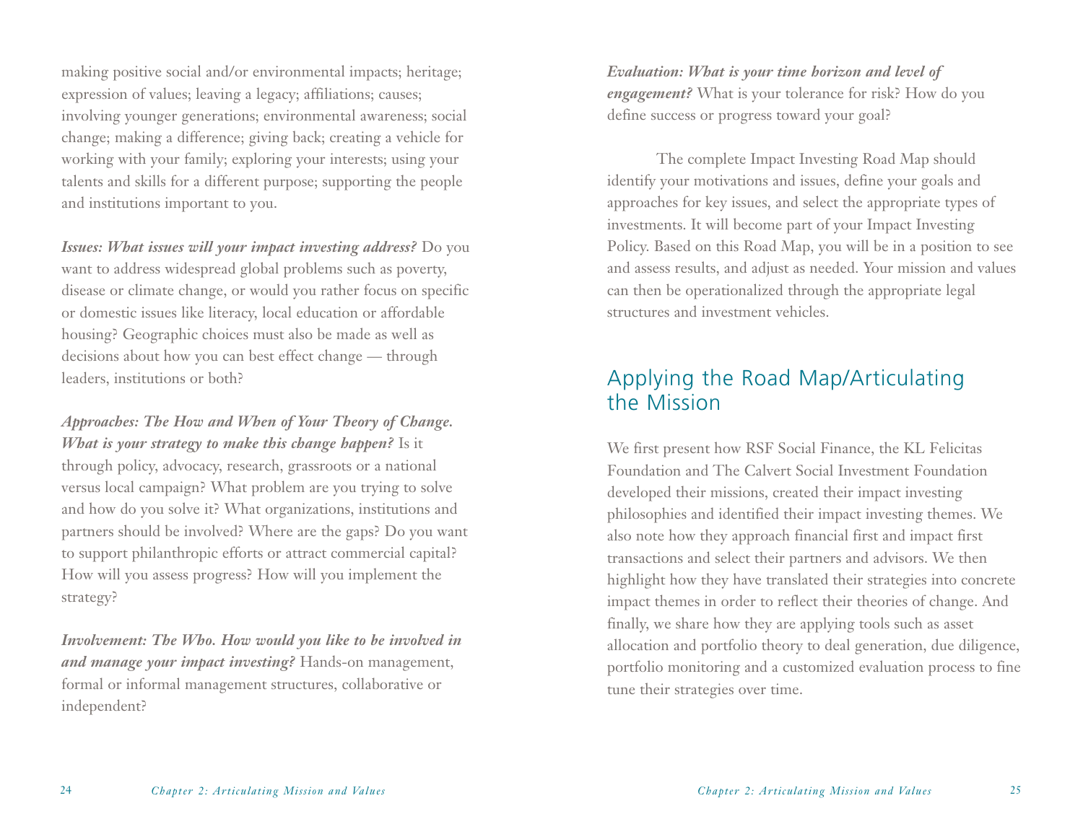making positive social and/or environmental impacts; heritage; expression of values; leaving a legacy; affiliations; causes; involving younger generations; environmental awareness; social change; making a difference; giving back; creating a vehicle for working with your family; exploring your interests; using your talents and skills for a different purpose; supporting the people and institutions important to you.

*Issues: What issues will your impact investing address?* Do you want to address widespread global problems such as poverty, disease or climate change, or would you rather focus on specific or domestic issues like literacy, local education or affordable housing? Geographic choices must also be made as well as decisions about how you can best effect change — through leaders, institutions or both?

*Approaches: The How and When of Your Theory of Change. What is your strategy to make this change happen?* Is it

through policy, advocacy, research, grassroots or a national versus local campaign? What problem are you trying to solve and how do you solve it? What organizations, institutions and partners should be involved? Where are the gaps? Do you want to support philanthropic efforts or attract commercial capital? How will you assess progress? How will you implement the strategy?

*Involvement: The Who. How would you like to be involved in and manage your impact investing?* Hands-on management, formal or informal management structures, collaborative or independent?

*Evaluation: What is your time horizon and level of engagement?* What is your tolerance for risk? How do you define success or progress toward your goal?

The complete Impact Investing Road Map should identify your motivations and issues, define your goals and approaches for key issues, and select the appropriate types of investments. It will become part of your Impact Investing Policy. Based on this Road Map, you will be in a position to see and assess results, and adjust as needed. Your mission and values can then be operationalized through the appropriate legal structures and investment vehicles.

# Applying the Road Map/Articulating the Mission

We first present how RSF Social Finance, the KL Felicitas Foundation and The Calvert Social Investment Foundation developed their missions, created their impact investing philosophies and identified their impact investing themes. We also note how they approach financial first and impact first transactions and select their partners and advisors. We then highlight how they have translated their strategies into concrete impact themes in order to reflect their theories of change. And finally, we share how they are applying tools such as asset allocation and portfolio theory to deal generation, due diligence, portfolio monitoring and a customized evaluation process to fine tune their strategies over time.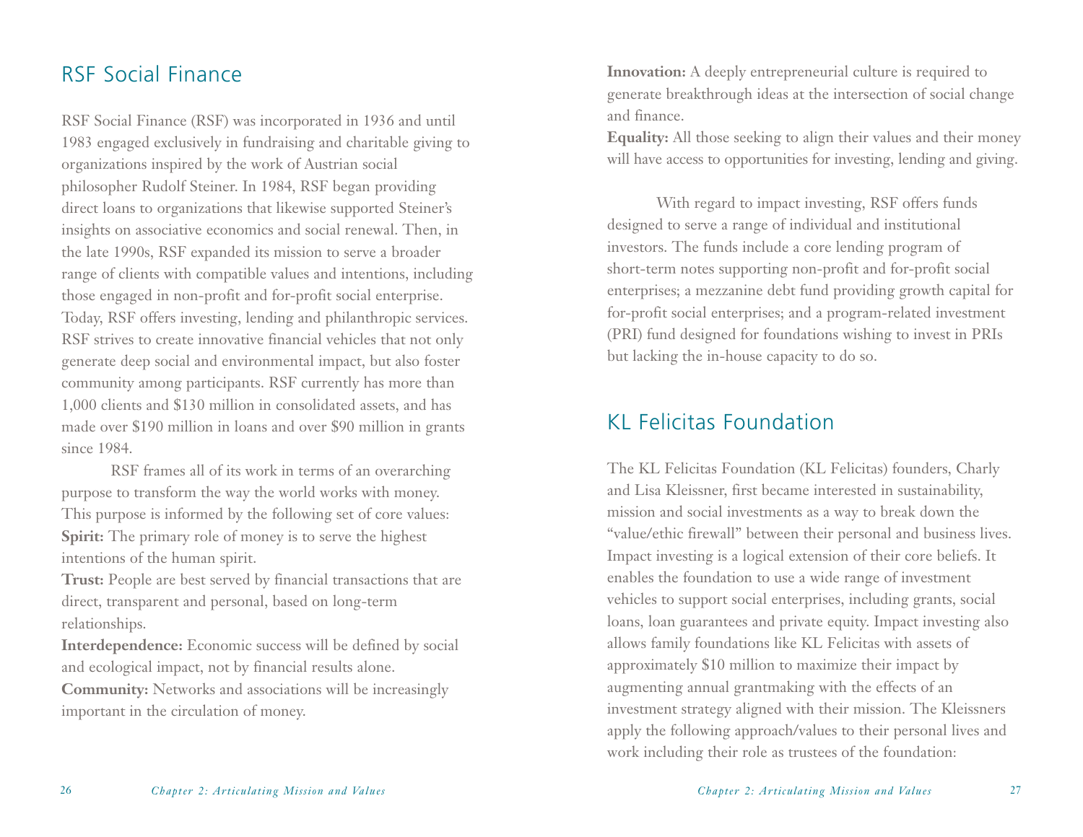# RSF Social Finance

RSF Social Finance (RSF) was incorporated in 1936 and until 1983 engaged exclusively in fundraising and charitable giving to organizations inspired by the work of Austrian social philosopher Rudolf Steiner. In 1984, RSF began providing direct loans to organizations that likewise supported Steiner's insights on associative economics and social renewal. Then, in the late 1990s, RSF expanded its mission to serve a broader range of clients with compatible values and intentions, including those engaged in non-profit and for-profit social enterprise. Today, RSF offers investing, lending and philanthropic services. RSF strives to create innovative financial vehicles that not only generate deep social and environmental impact, but also foster community among participants. RSF currently has more than 1,000 clients and \$130 million in consolidated assets, and has made over \$190 million in loans and over \$90 million in grants since 1984.

RSF frames all of its work in terms of an overarching purpose to transform the way the world works with money. This purpose is informed by the following set of core values: **Spirit:** The primary role of money is to serve the highest intentions of the human spirit.

**Trust:** People are best served by financial transactions that are direct, transparent and personal, based on long-term relationships.

**Interdependence:** Economic success will be defined by social and ecological impact, not by financial results alone.

**Community:** Networks and associations will be increasingly important in the circulation of money.

**Innovation:** A deeply entrepreneurial culture is required to generate breakthrough ideas at the intersection of social change and finance.

**Equality:** All those seeking to align their values and their money will have access to opportunities for investing, lending and giving.

With regard to impact investing, RSF offers funds designed to serve a range of individual and institutional investors. The funds include a core lending program of short-term notes supporting non-profit and for-profit social enterprises; a mezzanine debt fund providing growth capital for for-profit social enterprises; and a program-related investment (PRI) fund designed for foundations wishing to invest in PRIs but lacking the in-house capacity to do so.

## KL Felicitas Foundation

The KL Felicitas Foundation (KL Felicitas) founders, Charly and Lisa Kleissner, first became interested in sustainability, mission and social investments as a way to break down the "value/ethic firewall" between their personal and business lives. Impact investing is a logical extension of their core beliefs. It enables the foundation to use a wide range of investment vehicles to support social enterprises, including grants, social loans, loan guarantees and private equity. Impact investing also allows family foundations like KL Felicitas with assets of approximately \$10 million to maximize their impact by augmenting annual grantmaking with the effects of an investment strategy aligned with their mission. The Kleissners apply the following approach/values to their personal lives and work including their role as trustees of the foundation: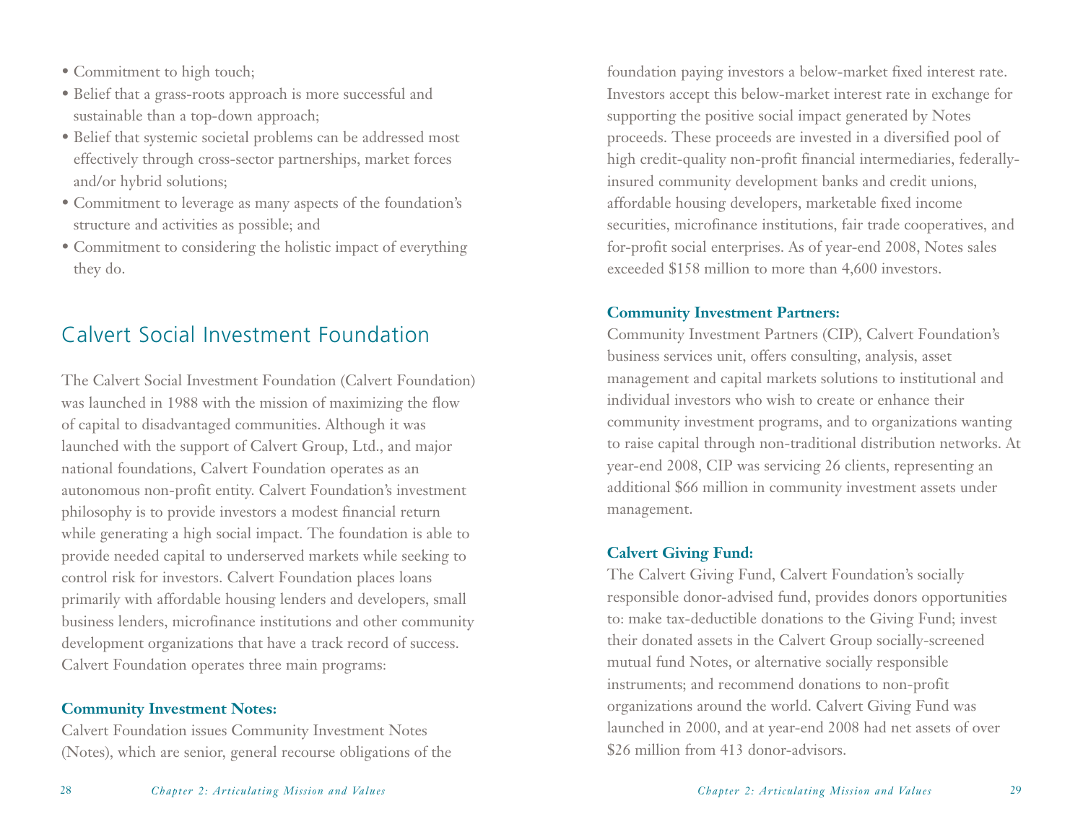- Commitment to high touch;
- Belief that a grass-roots approach is more successful and sustainable than a top-down approach;
- Belief that systemic societal problems can be addressed most effectively through cross-sector partnerships, market forces and/or hybrid solutions;
- Commitment to leverage as many aspects of the foundation's structure and activities as possible; and
- Commitment to considering the holistic impact of everything they do.

# Calvert Social Investment Foundation

The Calvert Social Investment Foundation (Calvert Foundation) was launched in 1988 with the mission of maximizing the flow of capital to disadvantaged communities. Although it was launched with the support of Calvert Group, Ltd., and major national foundations, Calvert Foundation operates as an autonomous non-profit entity. Calvert Foundation's investment philosophy is to provide investors a modest financial return while generating a high social impact. The foundation is able to provide needed capital to underserved markets while seeking to control risk for investors. Calvert Foundation places loans primarily with affordable housing lenders and developers, small business lenders, microfinance institutions and other community development organizations that have a track record of success. Calvert Foundation operates three main programs:

#### **Community Investment Notes:**

Calvert Foundation issues Community Investment Notes (Notes), which are senior, general recourse obligations of the foundation paying investors a below-market fixed interest rate. Investors accept this below-market interest rate in exchange for supporting the positive social impact generated by Notes proceeds. These proceeds are invested in a diversified pool of high credit-quality non-profit financial intermediaries, federallyinsured community development banks and credit unions, affordable housing developers, marketable fixed income securities, microfinance institutions, fair trade cooperatives, and for-profit social enterprises. As of year-end 2008, Notes sales exceeded \$158 million to more than 4,600 investors.

#### **Community Investment Partners:**

Community Investment Partners (CIP), Calvert Foundation's business services unit, offers consulting, analysis, asset management and capital markets solutions to institutional and individual investors who wish to create or enhance their community investment programs, and to organizations wanting to raise capital through non-traditional distribution networks. At year-end 2008, CIP was servicing 26 clients, representing an additional \$66 million in community investment assets under management.

#### **Calvert Giving Fund:**

The Calvert Giving Fund, Calvert Foundation's socially responsible donor-advised fund, provides donors opportunities to: make tax-deductible donations to the Giving Fund; invest their donated assets in the Calvert Group socially-screened mutual fund Notes, or alternative socially responsible instruments; and recommend donations to non-profit organizations around the world. Calvert Giving Fund was launched in 2000, and at year-end 2008 had net assets of over \$26 million from 413 donor-advisors.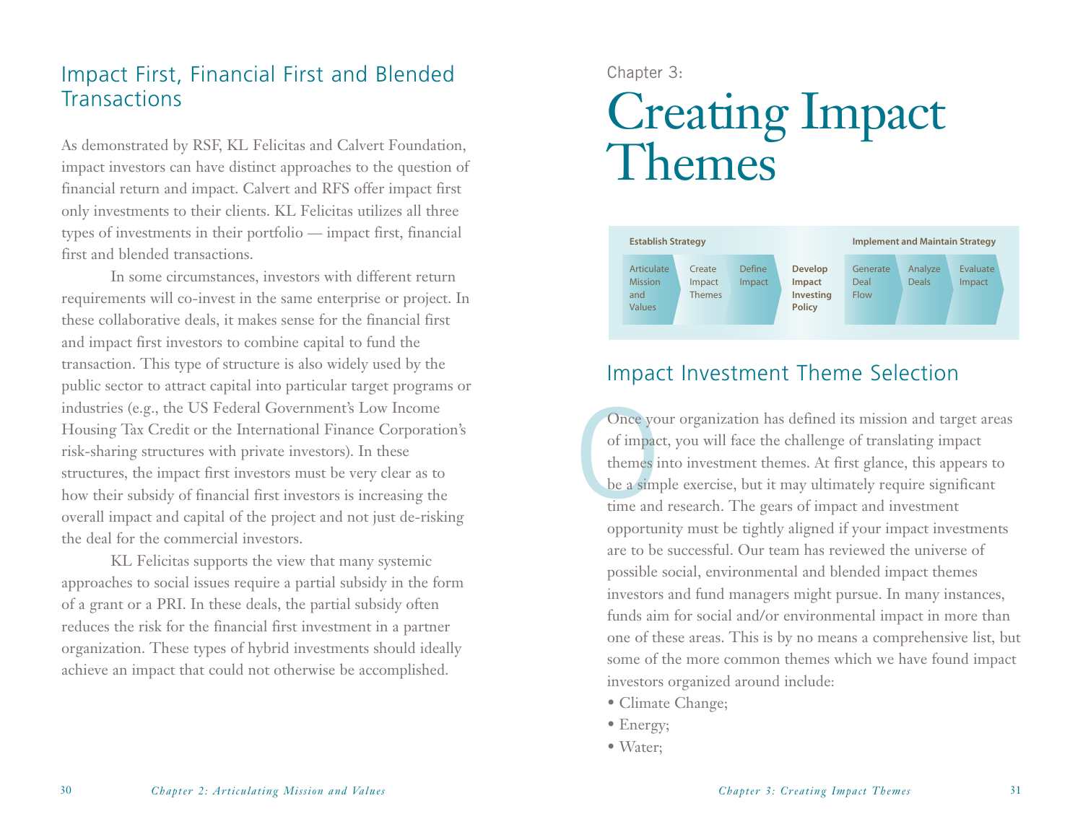# Impact First, Financial First and Blended **Transactions**

As demonstrated by RSF, KL Felicitas and Calvert Foundation, impact investors can have distinct approaches to the question of financial return and impact. Calvert and RFS offer impact first only investments to their clients. KL Felicitas utilizes all three types of investments in their portfolio — impact first, financial first and blended transactions.

In some circumstances, investors with different return requirements will co-invest in the same enterprise or project. In these collaborative deals, it makes sense for the financial first and impact first investors to combine capital to fund the transaction. This type of structure is also widely used by the public sector to attract capital into particular target programs or industries (e.g., the US Federal Government's Low Income Housing Tax Credit or the International Finance Corporation's risk-sharing structures with private investors). In these structures, the impact first investors must be very clear as to how their subsidy of financial first investors is increasing the overall impact and capital of the project and not just de-risking the deal for the commercial investors.

KL Felicitas supports the view that many systemic approaches to social issues require a partial subsidy in the form of a grant or a PRI. In these deals, the partial subsidy often reduces the risk for the financial first investment in a partner organization. These types of hybrid investments should ideally achieve an impact that could not otherwise be accomplished.

#### Chapter 3:

# Creating Impact Themes



# Impact Investment Theme Selection

Impace<br>
Once yo<br>
of impace<br>
themes i<br>
be a simple and<br>
time and<br>
opportune Once your organization has defined its mission and target areas of impact, you will face the challenge of translating impact themes into investment themes. At first glance, this appears to be a simple exercise, but it may ultimately require significant time and research. The gears of impact and investment opportunity must be tightly aligned if your impact investments are to be successful. Our team has reviewed the universe of possible social, environmental and blended impact themes investors and fund managers might pursue. In many instances, funds aim for social and/or environmental impact in more than one of these areas. This is by no means a comprehensive list, but some of the more common themes which we have found impact investors organized around include:

- Climate Change;
- Energy;
- Water;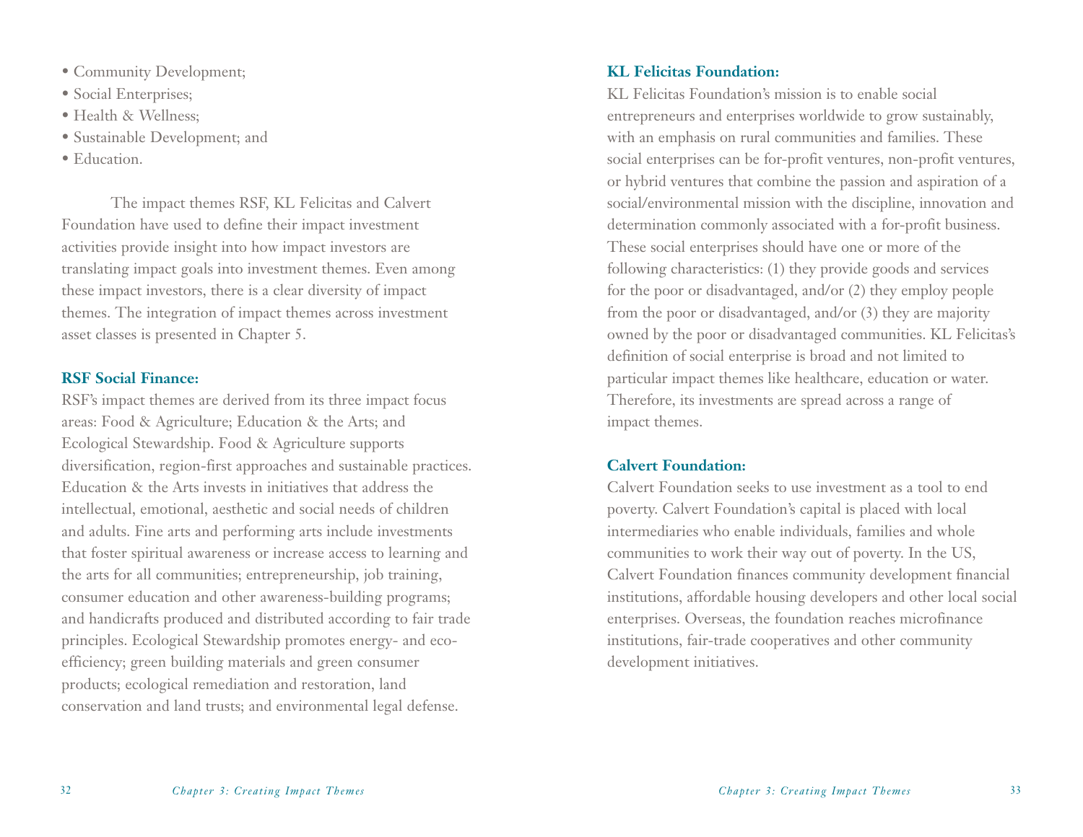- Community Development;
- Social Enterprises;
- Health & Wellness;
- Sustainable Development; and
- Education.

The impact themes RSF, KL Felicitas and Calvert Foundation have used to define their impact investment activities provide insight into how impact investors are translating impact goals into investment themes. Even among these impact investors, there is a clear diversity of impact themes. The integration of impact themes across investment asset classes is presented in Chapter 5.

#### **RSF Social Finance:**

RSF's impact themes are derived from its three impact focus areas: Food & Agriculture; Education & the Arts; and Ecological Stewardship. Food & Agriculture supports diversification, region-first approaches and sustainable practices. Education & the Arts invests in initiatives that address the intellectual, emotional, aesthetic and social needs of children and adults. Fine arts and performing arts include investments that foster spiritual awareness or increase access to learning and the arts for all communities; entrepreneurship, job training, consumer education and other awareness-building programs; and handicrafts produced and distributed according to fair trade principles. Ecological Stewardship promotes energy- and ecoefficiency; green building materials and green consumer products; ecological remediation and restoration, land conservation and land trusts; and environmental legal defense.

#### **KL Felicitas Foundation:**

KL Felicitas Foundation's mission is to enable social entrepreneurs and enterprises worldwide to grow sustainably, with an emphasis on rural communities and families. These social enterprises can be for-profit ventures, non-profit ventures, or hybrid ventures that combine the passion and aspiration of a social/environmental mission with the discipline, innovation and determination commonly associated with a for-profit business. These social enterprises should have one or more of the following characteristics: (1) they provide goods and services for the poor or disadvantaged, and/or (2) they employ people from the poor or disadvantaged, and/or (3) they are majority owned by the poor or disadvantaged communities. KL Felicitas's definition of social enterprise is broad and not limited to particular impact themes like healthcare, education or water. Therefore, its investments are spread across a range of impact themes.

#### **Calvert Foundation:**

Calvert Foundation seeks to use investment as a tool to end poverty. Calvert Foundation's capital is placed with local intermediaries who enable individuals, families and whole communities to work their way out of poverty. In the US, Calvert Foundation finances community development financial institutions, affordable housing developers and other local social enterprises. Overseas, the foundation reaches microfinance institutions, fair-trade cooperatives and other community development initiatives.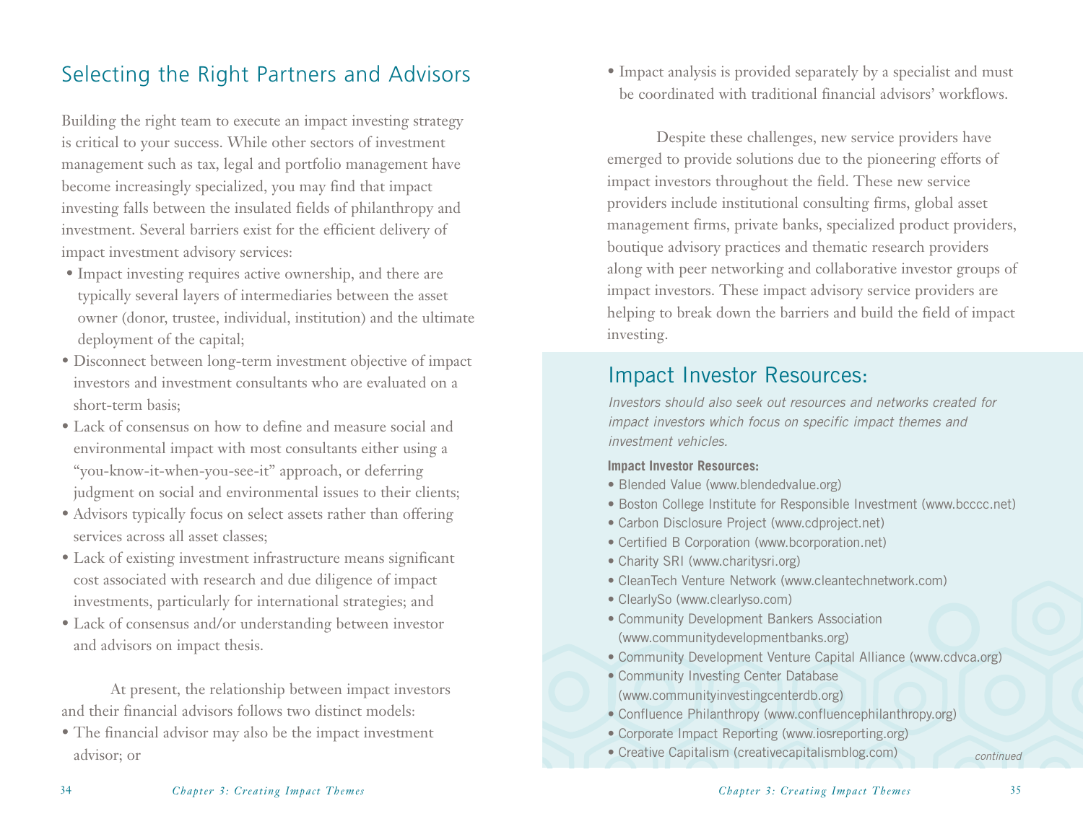# Selecting the Right Partners and Advisors

Building the right team to execute an impact investing strategy is critical to your success. While other sectors of investment management such as tax, legal and portfolio management have become increasingly specialized, you may find that impact investing falls between the insulated fields of philanthropy and investment. Several barriers exist for the efficient delivery of impact investment advisory services:

- Impact investing requires active ownership, and there are typically several layers of intermediaries between the asset owner (donor, trustee, individual, institution) and the ultimate deployment of the capital;
- Disconnect between long-term investment objective of impact investors and investment consultants who are evaluated on a short-term basis;
- Lack of consensus on how to define and measure social and environmental impact with most consultants either using a "you-know-it-when-you-see-it" approach, or deferring judgment on social and environmental issues to their clients;
- Advisors typically focus on select assets rather than offering services across all asset classes;
- Lack of existing investment infrastructure means significant cost associated with research and due diligence of impact investments, particularly for international strategies; and
- Lack of consensus and/or understanding between investor and advisors on impact thesis.

At present, the relationship between impact investors and their financial advisors follows two distinct models:

• The financial advisor may also be the impact investment advisor; or

• Impact analysis is provided separately by a specialist and must be coordinated with traditional financial advisors' workflows.

Despite these challenges, new service providers have emerged to provide solutions due to the pioneering efforts of impact investors throughout the field. These new service providers include institutional consulting firms, global asset management firms, private banks, specialized product providers, boutique advisory practices and thematic research providers along with peer networking and collaborative investor groups of impact investors. These impact advisory service providers are helping to break down the barriers and build the field of impact investing.

### Impact Investor Resources:

*Investors should also seek out resources and networks created for impact investors which focus on specific impact themes and investment vehicles.*

#### **Impact Investor Resources:**

- Blended Value (www.blendedvalue.org)
- Boston College Institute for Responsible Investment (www.bcccc.net)
- Carbon Disclosure Project (www.cdproject.net)
- Certified B Corporation (www.bcorporation.net)
- Charity SRI (www.charitysri.org)
- CleanTech Venture Network (www.cleantechnetwork.com)
- ClearlySo (www.clearlyso.com)
- Community Development Bankers Association (www.communitydevelopmentbanks.org)
- Community Development Venture Capital Alliance (www.cdvca.org)
- Community Investing Center Database (www.communityinvestingcenterdb.org)
- Confluence Philanthropy (www.confluencephilanthropy.org)
- Corporate Impact Reporting (www.iosreporting.org)
- Creative Capitalism (creativecapitalismblog.com) *continued*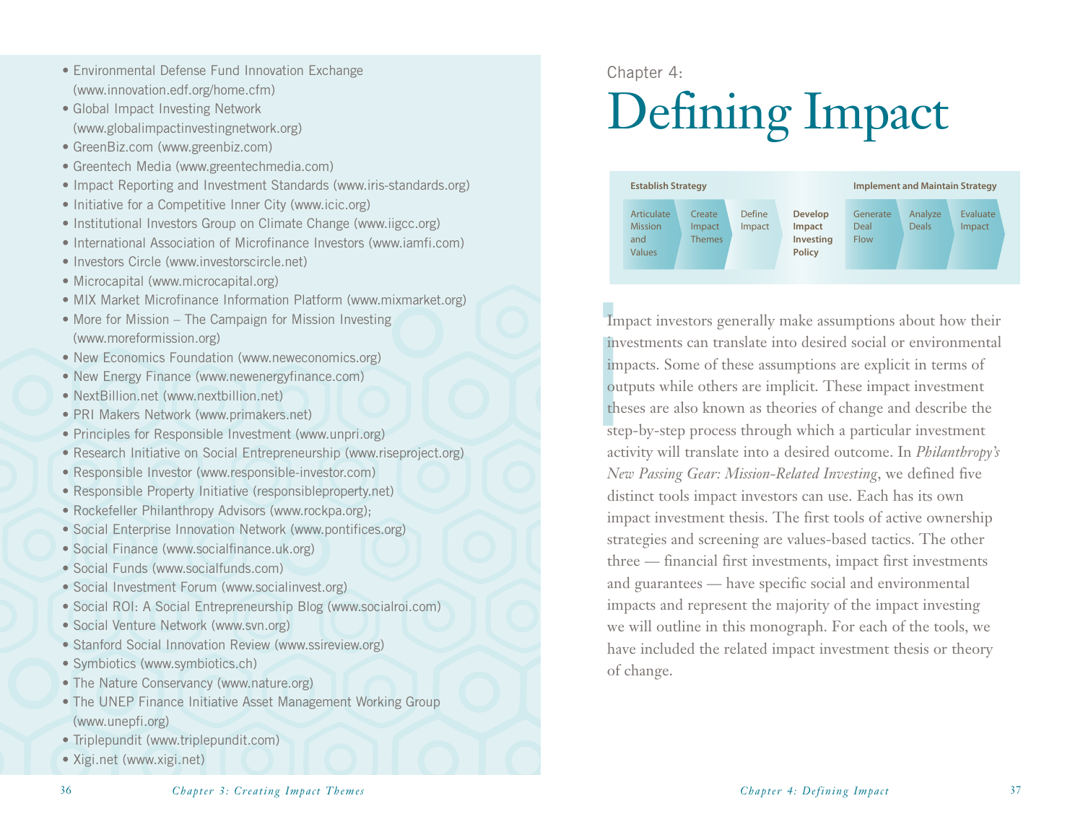- Environmental Defense Fund Innovation Exchange (www.innovation.edf.org/home.cfm)
- Global Impact Investing Network (www.globalimpactinvestingnetwork.org)
- GreenBiz.com (www.greenbiz.com)
- Greentech Media (www.greentechmedia.com)
- Impact Reporting and Investment Standards (www.iris-standards.org)
- Initiative for a Competitive Inner City (www.icic.org)
- Institutional Investors Group on Climate Change (www.iigcc.org)
- International Association of Microfinance Investors (www.iamfi.com)
- Investors Circle (www.investorscircle.net)
- Microcapital (www.microcapital.org)
- MIX Market Microfinance Information Platform (www.mixmarket.org)
- More for Mission The Campaign for Mission Investing (www.moreformission.org)
- New Economics Foundation (www.neweconomics.org)
- New Energy Finance (www.newenergyfinance.com)
- NextBillion.net (www.nextbillion.net)
- PRI Makers Network (www.primakers.net)
- Principles for Responsible Investment (www.unpri.org)
- Research Initiative on Social Entrepreneurship (www.riseproject.org)
- Responsible Investor (www.responsible-investor.com)
- Responsible Property Initiative (responsibleproperty.net)
- Rockefeller Philanthropy Advisors (www.rockpa.org);
- Social Enterprise Innovation Network (www.pontifices.org)
- Social Finance (www.socialfinance.uk.org)
- Social Funds (www.socialfunds.com)
- Social Investment Forum (www.socialinvest.org)
- Social ROI: A Social Entrepreneurship Blog (www.socialroi.com)
- Social Venture Network (www.svn.org)
- Stanford Social Innovation Review (www.ssireview.org)
- Symbiotics (www.symbiotics.ch)
- The Nature Conservancy (www.nature.org)
- The UNEP Finance Initiative Asset Management Working Group (www.unepfi.org)
- Triplepundit (www.triplepundit.com)
- Xigi.net (www.xigi.net)

### Chapter 4:

# Defining Impact

| <b>Establish Strategy</b>                            |                                          |                                |                                                        |                                 |                         |                    | <b>Implement and Maintain Strategy</b> |  |
|------------------------------------------------------|------------------------------------------|--------------------------------|--------------------------------------------------------|---------------------------------|-------------------------|--------------------|----------------------------------------|--|
| <b>Articulate</b><br><b>Mission</b><br>and<br>Values | Create<br><i>Impact</i><br><b>Themes</b> | <b>Define</b><br><b>Impact</b> | <b>Develop</b><br>Impact<br>Investing<br><b>Policy</b> | Generate<br>Deal<br><b>Flow</b> | Analyze<br><b>Deals</b> | Evaluate<br>Impact |                                        |  |

Imp<br>
inv<br>
imp<br>
out<br>
the<br>
step<br>
acti Impact investors generally make assumptions about how their investments can translate into desired social or environmental impacts. Some of these assumptions are explicit in terms of outputs while others are implicit. These impact investment theses are also known as theories of change and describe the step-by-step process through which a particular investment activity will translate into a desired outcome. In *Philanthropy's New Passing Gear: Mission-Related Investing*, we defined five distinct tools impact investors can use. Each has its own impact investment thesis. The first tools of active ownership strategies and screening are values-based tactics. The other three — financial first investments, impact first investments and guarantees — have specific social and environmental impacts and represent the majority of the impact investing we will outline in this monograph. For each of the tools, we have included the related impact investment thesis or theory of change.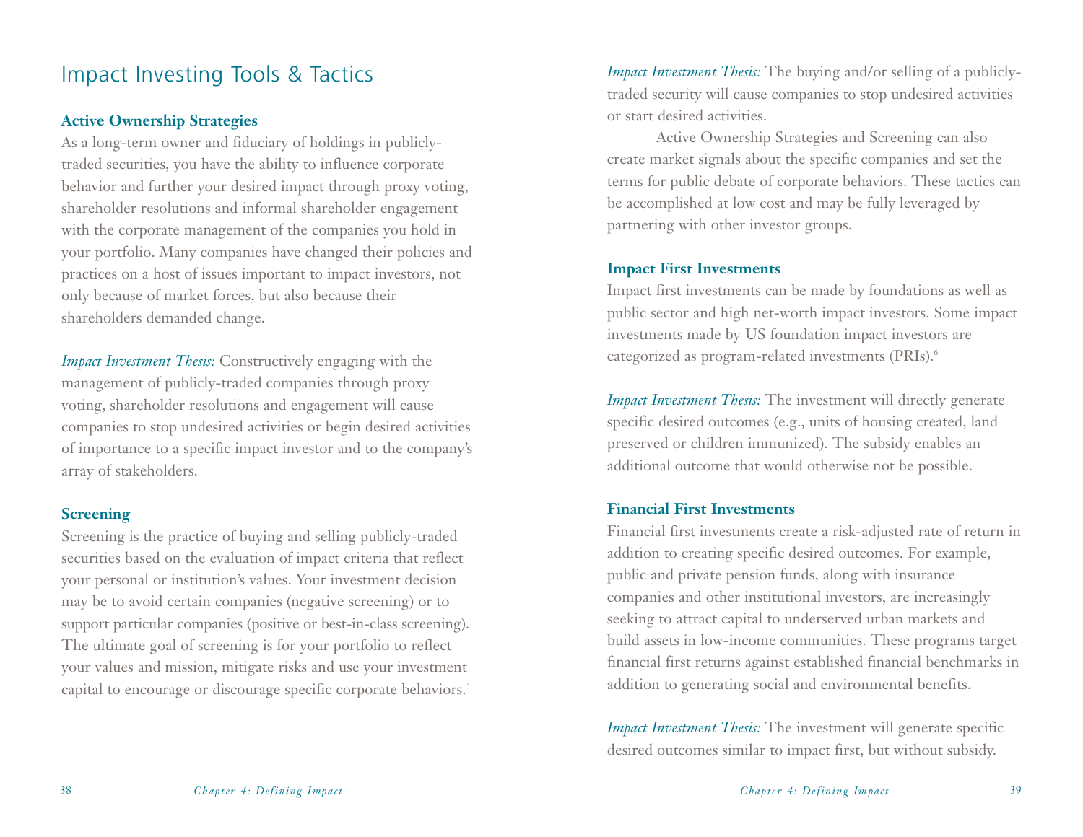# Impact Investing Tools & Tactics

#### **Active Ownership Strategies**

As a long-term owner and fiduciary of holdings in publiclytraded securities, you have the ability to influence corporate behavior and further your desired impact through proxy voting, shareholder resolutions and informal shareholder engagement with the corporate management of the companies you hold in your portfolio. Many companies have changed their policies and practices on a host of issues important to impact investors, not only because of market forces, but also because their shareholders demanded change.

*Impact Investment Thesis:* Constructively engaging with the management of publicly-traded companies through proxy voting, shareholder resolutions and engagement will cause companies to stop undesired activities or begin desired activities of importance to a specific impact investor and to the company's array of stakeholders.

#### **Screening**

Screening is the practice of buying and selling publicly-traded securities based on the evaluation of impact criteria that reflect your personal or institution's values. Your investment decision may be to avoid certain companies (negative screening) or to support particular companies (positive or best-in-class screening). The ultimate goal of screening is for your portfolio to reflect your values and mission, mitigate risks and use your investment capital to encourage or discourage specific corporate behaviors. 5

*Impact Investment Thesis:* The buying and/or selling of a publiclytraded security will cause companies to stop undesired activities or start desired activities.

Active Ownership Strategies and Screening can also create market signals about the specific companies and set the terms for public debate of corporate behaviors. These tactics can be accomplished at low cost and may be fully leveraged by partnering with other investor groups.

#### **Impact First Investments**

Impact first investments can be made by foundations as well as public sector and high net-worth impact investors. Some impact investments made by US foundation impact investors are categorized as program-related investments (PRIs). 6

*Impact Investment Thesis:* The investment will directly generate specific desired outcomes (e.g., units of housing created, land preserved or children immunized). The subsidy enables an additional outcome that would otherwise not be possible.

#### **Financial First Investments**

Financial first investments create a risk-adjusted rate of return in addition to creating specific desired outcomes. For example, public and private pension funds, along with insurance companies and other institutional investors, are increasingly seeking to attract capital to underserved urban markets and build assets in low-income communities. These programs target financial first returns against established financial benchmarks in addition to generating social and environmental benefits.

*Impact Investment Thesis:* The investment will generate specific desired outcomes similar to impact first, but without subsidy.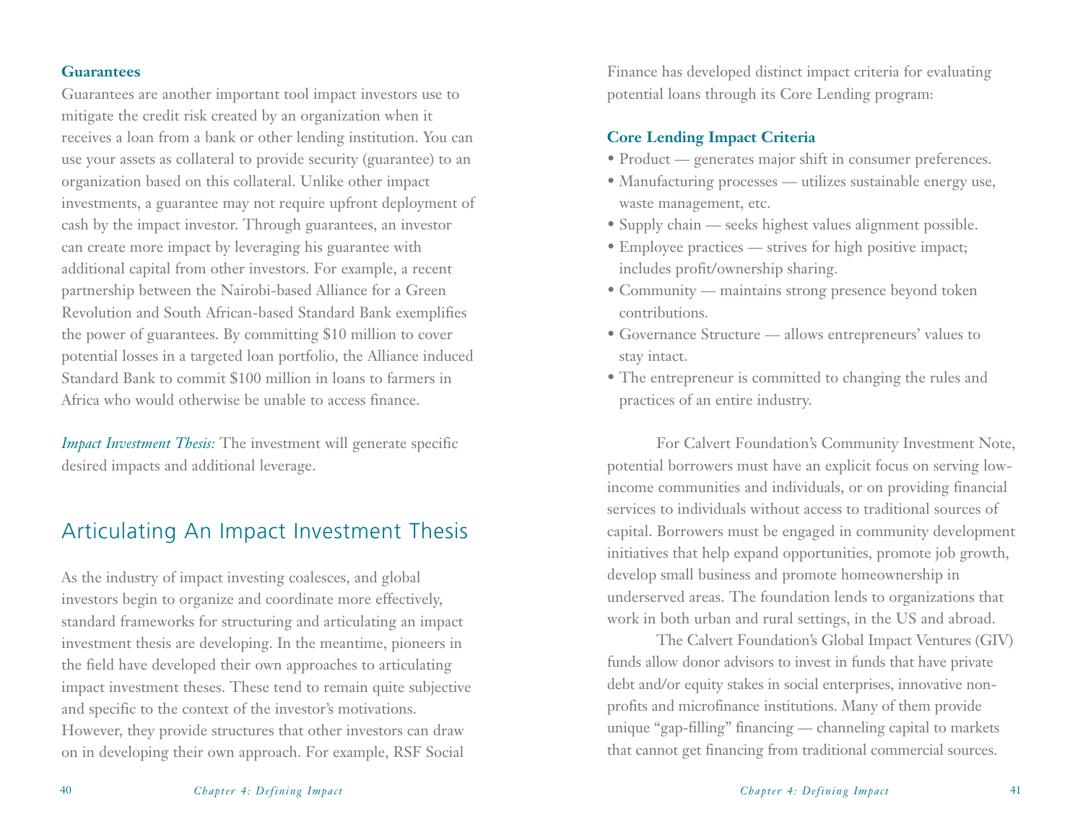#### **Guarantees**

Guarantees are another important tool impact investors use to mitigate the credit risk created by an organization when it receives a loan from a bank or other lending institution. You can use your assets as collateral to provide security (guarantee) to an organization based on this collateral. Unlike other impact investments, a guarantee may not require upfront deployment of cash by the impact investor. Through guarantees, an investor can create more impact by leveraging his guarantee with additional capital from other investors. For example, a recent partnership between the Nairobi-based Alliance for a Green Revolution and South African-based Standard Bank exemplifies the power of guarantees. By committing \$10 million to cover potential losses in a targeted loan portfolio, the Alliance induced Standard Bank to commit \$100 million in loans to farmers in Africa who would otherwise be unable to access finance.

*Impact Investment Thesis:* The investment will generate specific desired impacts and additional leverage.

## Articulating An Impact Investment Thesis

As the industry of impact investing coalesces, and global investors begin to organize and coordinate more effectively, standard frameworks for structuring and articulating an impact investment thesis are developing. In the meantime, pioneers in the field have developed their own approaches to articulating impact investment theses. These tend to remain quite subjective and specific to the context of the investor's motivations. However, they provide structures that other investors can draw on in developing their own approach. For example, RSF Social

Finance has developed distinct impact criteria for evaluating potential loans through its Core Lending program:

#### **Core Lending Impact Criteria**

- Product generates major shift in consumer preferences.
- Manufacturing processes utilizes sustainable energy use, waste management, etc.
- Supply chain seeks highest values alignment possible.
- Employee practices strives for high positive impact; includes profit/ownership sharing.
- Community maintains strong presence beyond token contributions.
- Governance Structure allows entrepreneurs' values to stay intact.
- The entrepreneur is committed to changing the rules and practices of an entire industry.

For Calvert Foundation's Community Investment Note, potential borrowers must have an explicit focus on serving lowincome communities and individuals, or on providing financial services to individuals without access to traditional sources of capital. Borrowers must be engaged in community development initiatives that help expand opportunities, promote job growth, develop small business and promote homeownership in underserved areas. The foundation lends to organizations that work in both urban and rural settings, in the US and abroad.

The Calvert Foundation's Global Impact Ventures (GIV) funds allow donor advisors to invest in funds that have private debt and/or equity stakes in social enterprises, innovative nonprofits and microfinance institutions. Many of them provide unique "gap-filling" financing — channeling capital to markets that cannot get financing from traditional commercial sources.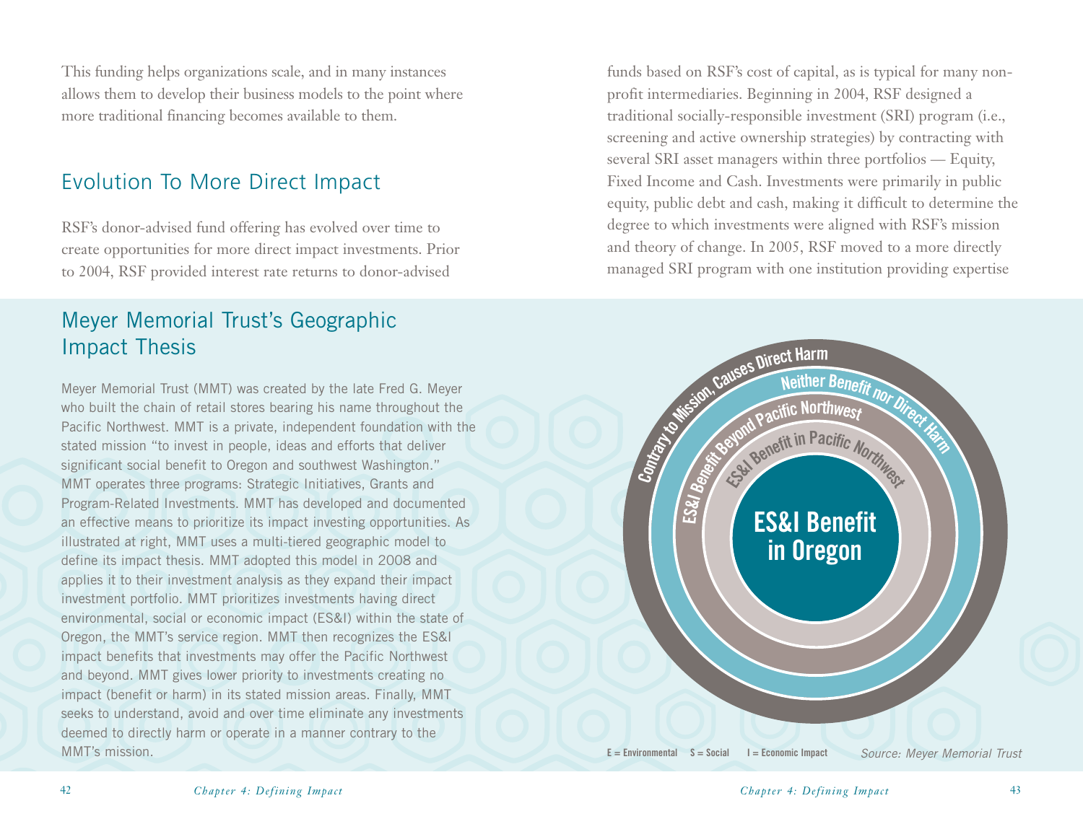This funding helps organizations scale, and in many instances allows them to develop their business models to the point where more traditional financing becomes available to them.

# Evolution To More Direct Impact

RSF's donor-advised fund offering has evolved over time to create opportunities for more direct impact investments. Prior to 2004, RSF provided interest rate returns to donor-advised

# Meyer Memorial Trust's Geographic Impact Thesis

Meyer Memorial Trust (MMT) was created by the late Fred G. Meyer who built the chain of retail stores bearing his name throughout the Pacific Northwest. MMT is a private, independent foundation with the stated mission "to invest in people, ideas and efforts that deliver significant social benefit to Oregon and southwest Washington." MMT operates three programs: Strategic Initiatives, Grants and Program-Related Investments. MMT has developed and documented an effective means to prioritize its impact investing opportunities. As illustrated at right, MMT uses a multi-tiered geographic model to define its impact thesis. MMT adopted this model in 2008 and applies it to their investment analysis as they expand their impact investment portfolio. MMT prioritizes investments having direct environmental, social or economic impact (ES&I) within the state of Oregon, the MMT's service region. MMT then recognizes the ES&I impact benefits that investments may offer the Pacific Northwest and beyond. MMT gives lower priority to investments creating no impact (benefit or harm) in its stated mission areas. Finally, MMT seeks to understand, avoid and over time eliminate any investments deemed to directly harm or operate in a manner contrary to the

funds based on RSF's cost of capital, as is typical for many nonprofit intermediaries. Beginning in 2004, RSF designed a traditional socially-responsible investment (SRI) program (i.e., screening and active ownership strategies) by contracting with several SRI asset managers within three portfolios — Equity, Fixed Income and Cash. Investments were primarily in public equity, public debt and cash, making it difficult to determine the degree to which investments were aligned with RSF's mission and theory of change. In 2005, RSF moved to a more directly managed SRI program with one institution providing expertise

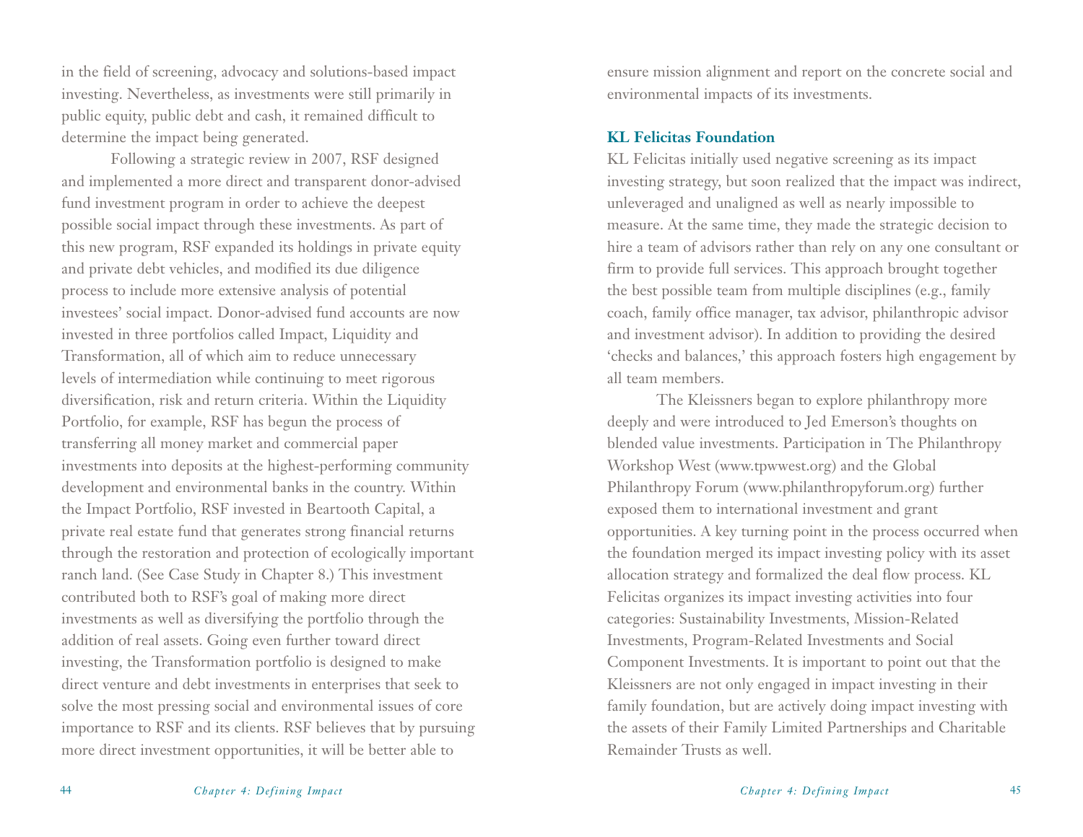in the field of screening, advocacy and solutions-based impact investing. Nevertheless, as investments were still primarily in public equity, public debt and cash, it remained difficult to determine the impact being generated.

Following a strategic review in 2007, RSF designed and implemented a more direct and transparent donor-advised fund investment program in order to achieve the deepest possible social impact through these investments. As part of this new program, RSF expanded its holdings in private equity and private debt vehicles, and modified its due diligence process to include more extensive analysis of potential investees' social impact. Donor-advised fund accounts are now invested in three portfolios called Impact, Liquidity and Transformation, all of which aim to reduce unnecessary levels of intermediation while continuing to meet rigorous diversification, risk and return criteria. Within the Liquidity Portfolio, for example, RSF has begun the process of transferring all money market and commercial paper investments into deposits at the highest-performing community development and environmental banks in the country. Within the Impact Portfolio, RSF invested in Beartooth Capital, a private real estate fund that generates strong financial returns through the restoration and protection of ecologically important ranch land. (See Case Study in Chapter 8.) This investment contributed both to RSF's goal of making more direct investments as well as diversifying the portfolio through the addition of real assets. Going even further toward direct investing, the Transformation portfolio is designed to make direct venture and debt investments in enterprises that seek to solve the most pressing social and environmental issues of core importance to RSF and its clients. RSF believes that by pursuing more direct investment opportunities, it will be better able to

ensure mission alignment and report on the concrete social and environmental impacts of its investments.

#### **KL Felicitas Foundation**

KL Felicitas initially used negative screening as its impact investing strategy, but soon realized that the impact was indirect, unleveraged and unaligned as well as nearly impossible to measure. At the same time, they made the strategic decision to hire a team of advisors rather than rely on any one consultant or firm to provide full services. This approach brought together the best possible team from multiple disciplines (e.g., family coach, family office manager, tax advisor, philanthropic advisor and investment advisor). In addition to providing the desired 'checks and balances,' this approach fosters high engagement by all team members.

The Kleissners began to explore philanthropy more deeply and were introduced to Jed Emerson's thoughts on blended value investments. Participation in The Philanthropy Workshop West (www.tpwwest.org) and the Global Philanthropy Forum (www.philanthropyforum.org) further exposed them to international investment and grant opportunities. A key turning point in the process occurred when the foundation merged its impact investing policy with its asset allocation strategy and formalized the deal flow process. KL Felicitas organizes its impact investing activities into four categories: Sustainability Investments, Mission-Related Investments, Program-Related Investments and Social Component Investments. It is important to point out that the Kleissners are not only engaged in impact investing in their family foundation, but are actively doing impact investing with the assets of their Family Limited Partnerships and Charitable Remainder Trusts as well.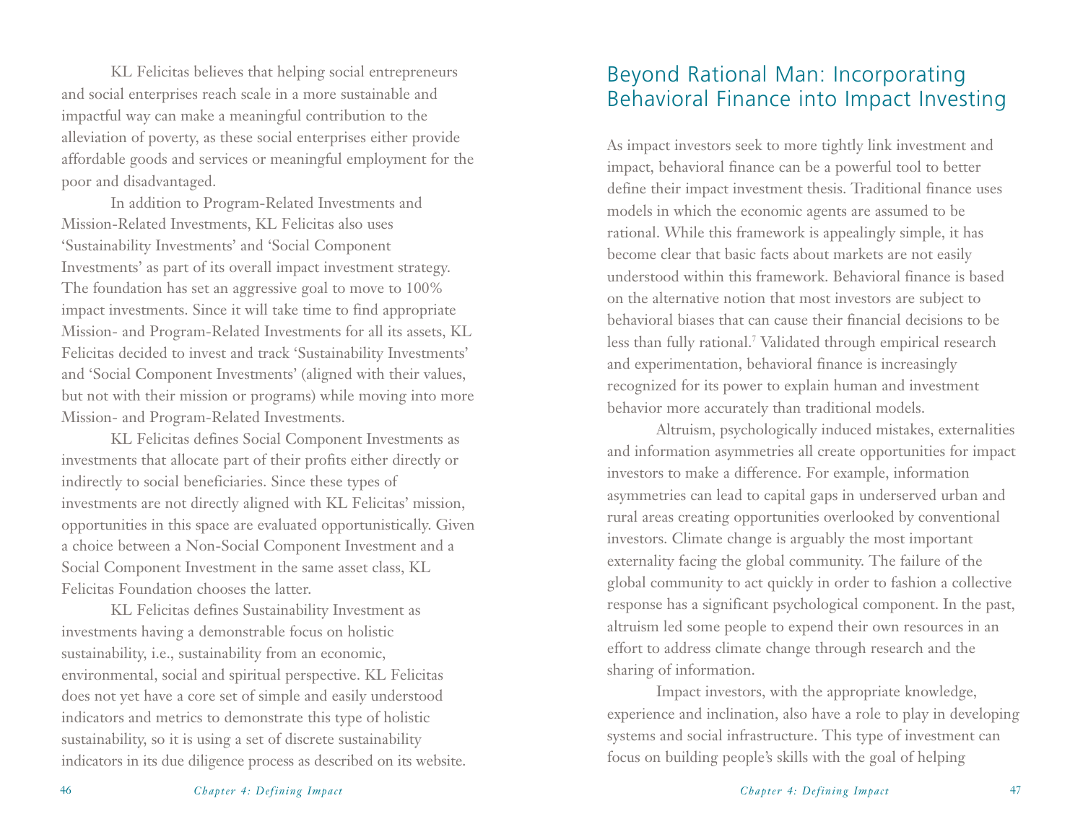KL Felicitas believes that helping social entrepreneurs and social enterprises reach scale in a more sustainable and impactful way can make a meaningful contribution to the alleviation of poverty, as these social enterprises either provide affordable goods and services or meaningful employment for the poor and disadvantaged.

In addition to Program-Related Investments and Mission-Related Investments, KL Felicitas also uses 'Sustainability Investments' and 'Social Component Investments' as part of its overall impact investment strategy. The foundation has set an aggressive goal to move to 100% impact investments. Since it will take time to find appropriate Mission- and Program-Related Investments for all its assets, KL Felicitas decided to invest and track 'Sustainability Investments' and 'Social Component Investments' (aligned with their values, but not with their mission or programs) while moving into more Mission- and Program-Related Investments.

KL Felicitas defines Social Component Investments as investments that allocate part of their profits either directly or indirectly to social beneficiaries. Since these types of investments are not directly aligned with KL Felicitas' mission, opportunities in this space are evaluated opportunistically. Given a choice between a Non-Social Component Investment and a Social Component Investment in the same asset class, KL Felicitas Foundation chooses the latter.

KL Felicitas defines Sustainability Investment as investments having a demonstrable focus on holistic sustainability, i.e., sustainability from an economic, environmental, social and spiritual perspective. KL Felicitas does not yet have a core set of simple and easily understood indicators and metrics to demonstrate this type of holistic sustainability, so it is using a set of discrete sustainability indicators in its due diligence process as described on its website.

# Beyond Rational Man: Incorporating Behavioral Finance into Impact Investing

As impact investors seek to more tightly link investment and impact, behavioral finance can be a powerful tool to better define their impact investment thesis. Traditional finance uses models in which the economic agents are assumed to be rational. While this framework is appealingly simple, it has become clear that basic facts about markets are not easily understood within this framework. Behavioral finance is based on the alternative notion that most investors are subject to behavioral biases that can cause their financial decisions to be less than fully rational. <sup>7</sup> Validated through empirical research and experimentation, behavioral finance is increasingly recognized for its power to explain human and investment behavior more accurately than traditional models.

Altruism, psychologically induced mistakes, externalities and information asymmetries all create opportunities for impact investors to make a difference. For example, information asymmetries can lead to capital gaps in underserved urban and rural areas creating opportunities overlooked by conventional investors. Climate change is arguably the most important externality facing the global community. The failure of the global community to act quickly in order to fashion a collective response has a significant psychological component. In the past, altruism led some people to expend their own resources in an effort to address climate change through research and the sharing of information.

Impact investors, with the appropriate knowledge, experience and inclination, also have a role to play in developing systems and social infrastructure. This type of investment can focus on building people's skills with the goal of helping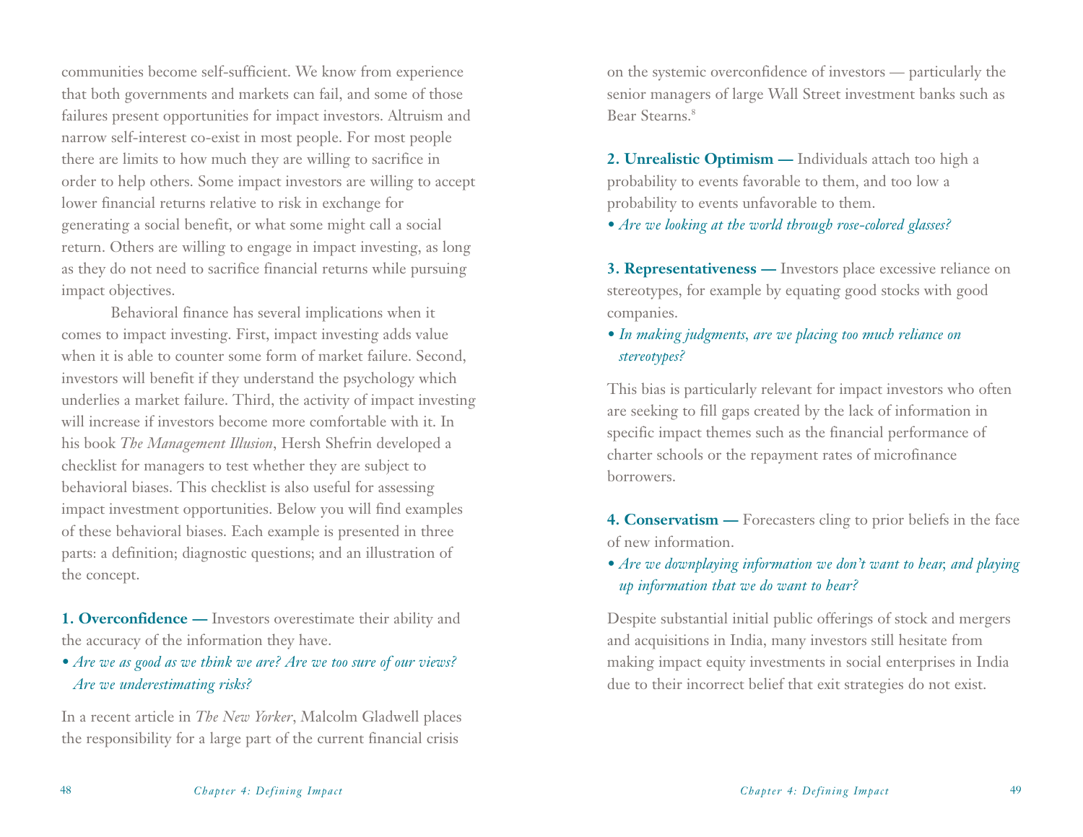communities become self-sufficient. We know from experience that both governments and markets can fail, and some of those failures present opportunities for impact investors. Altruism and narrow self-interest co-exist in most people. For most people there are limits to how much they are willing to sacrifice in order to help others. Some impact investors are willing to accept lower financial returns relative to risk in exchange for generating a social benefit, or what some might call a social return. Others are willing to engage in impact investing, as long as they do not need to sacrifice financial returns while pursuing impact objectives.

Behavioral finance has several implications when it comes to impact investing. First, impact investing adds value when it is able to counter some form of market failure. Second, investors will benefit if they understand the psychology which underlies a market failure. Third, the activity of impact investing will increase if investors become more comfortable with it. In his book *The Management Illusion*, Hersh Shefrin developed a checklist for managers to test whether they are subject to behavioral biases. This checklist is also useful for assessing impact investment opportunities. Below you will find examples of these behavioral biases. Each example is presented in three parts: a definition; diagnostic questions; and an illustration of the concept.

**1. Overconfidence —** Investors overestimate their ability and the accuracy of the information they have.

#### *• Are we as good as we think we are? Are we too sure of our views? Are we underestimating risks?*

In a recent article in *The New Yorker*, Malcolm Gladwell places the responsibility for a large part of the current financial crisis

on the systemic overconfidence of investors — particularly the senior managers of large Wall Street investment banks such as Bear Stearns. 8

**2. Unrealistic Optimism —** Individuals attach too high a probability to events favorable to them, and too low a probability to events unfavorable to them.

#### *• Are we looking at the world through rose-colored glasses?*

**3. Representativeness —** Investors place excessive reliance on stereotypes, for example by equating good stocks with good companies.

#### *• In making judgments, are we placing too much reliance on stereotypes?*

This bias is particularly relevant for impact investors who often are seeking to fill gaps created by the lack of information in specific impact themes such as the financial performance of charter schools or the repayment rates of microfinance borrowers.

**4. Conservatism —** Forecasters cling to prior beliefs in the face of new information.

#### *• Are we downplaying information we don't want to hear, and playing up information that we do want to hear?*

Despite substantial initial public offerings of stock and mergers and acquisitions in India, many investors still hesitate from making impact equity investments in social enterprises in India due to their incorrect belief that exit strategies do not exist.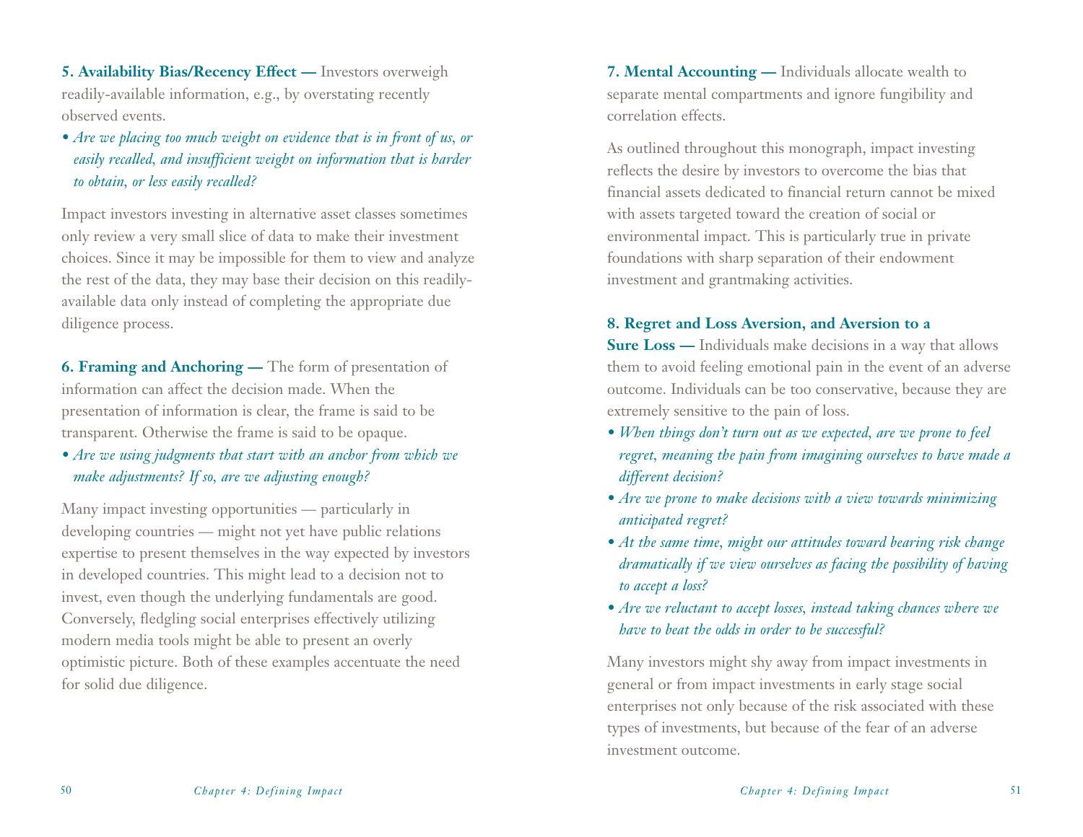**5. Availability Bias/Recency Effect —** Investors overweigh readily-available information, e.g., by overstating recently observed events.

*• Are we placing too much weight on evidence that is in front of us, or easily recalled, and insufficient weight on information that is harder to obtain, or less easily recalled?*

Impact investors investing in alternative asset classes sometimes only review a very small slice of data to make their investment choices. Since it may be impossible for them to view and analyze the rest of the data, they may base their decision on this readilyavailable data only instead of completing the appropriate due diligence process.

**6. Framing and Anchoring —** The form of presentation of information can affect the decision made. When the presentation of information is clear, the frame is said to be transparent. Otherwise the frame is said to be opaque.

*• Are we using judgments that start with an anchor from which we make adjustments? If so, are we adjusting enough?*

Many impact investing opportunities — particularly in developing countries — might not yet have public relations expertise to present themselves in the way expected by investors in developed countries. This might lead to a decision not to invest, even though the underlying fundamentals are good. Conversely, fledgling social enterprises effectively utilizing modern media tools might be able to present an overly optimistic picture. Both of these examples accentuate the need for solid due diligence.

**7. Mental Accounting —** Individuals allocate wealth to separate mental compartments and ignore fungibility and correlation effects.

As outlined throughout this monograph, impact investing reflects the desire by investors to overcome the bias that financial assets dedicated to financial return cannot be mixed with assets targeted toward the creation of social or environmental impact. This is particularly true in private foundations with sharp separation of their endowment investment and grantmaking activities.

#### **8. Regret and Loss Aversion, and Aversion to a**

**Sure Loss —** Individuals make decisions in a way that allows them to avoid feeling emotional pain in the event of an adverse outcome. Individuals can be too conservative, because they are extremely sensitive to the pain of loss.

- *• When things don't turn out as we expected, are we prone to feel regret, meaning the pain from imagining ourselves to have made a different decision?*
- *• Are we prone to make decisions with a view towards minimizing anticipated regret?*
- *• At the same time, might our attitudes toward bearing risk change dramatically if we view ourselves as facing the possibility of having to accept a loss?*
- *• Are we reluctant to accept losses, instead taking chances where we have to beat the odds in order to be successful?*

Many investors might shy away from impact investments in general or from impact investments in early stage social enterprises not only because of the risk associated with these types of investments, but because of the fear of an adverse investment outcome.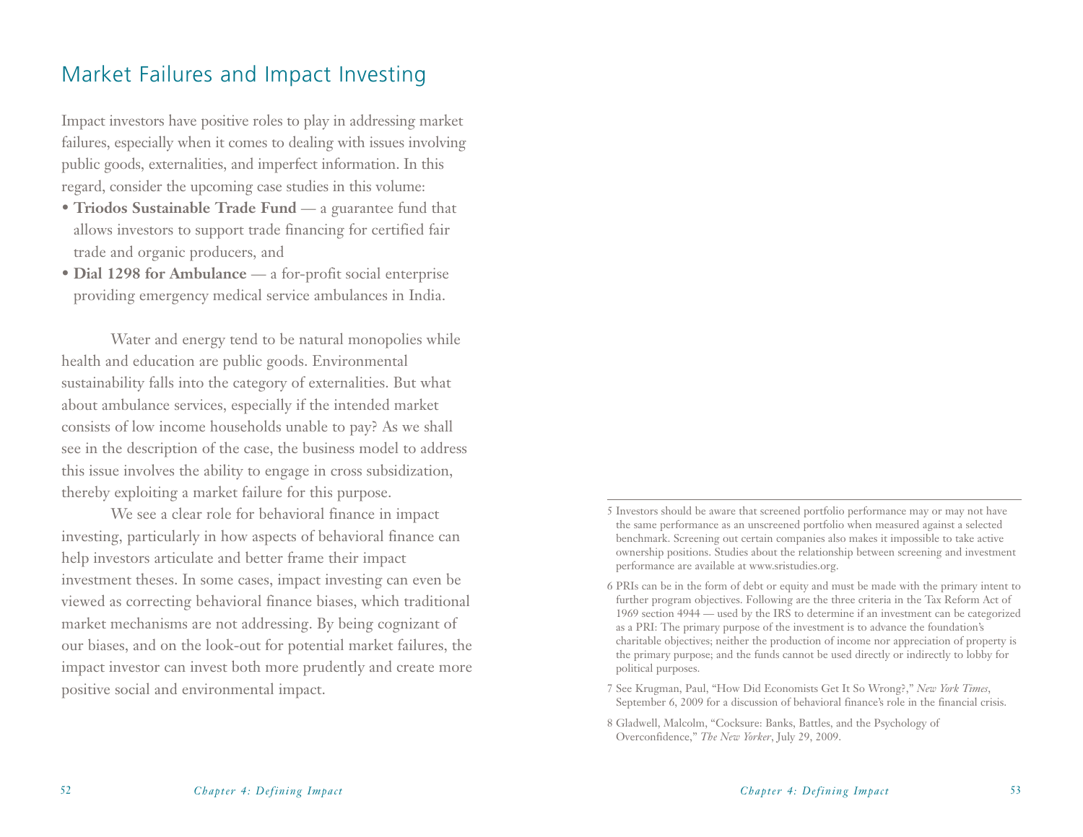# Market Failures and Impact Investing

Impact investors have positive roles to play in addressing market failures, especially when it comes to dealing with issues involving public goods, externalities, and imperfect information. In this regard, consider the upcoming case studies in this volume:

- **Triodos Sustainable Trade Fund** a guarantee fund that allows investors to support trade financing for certified fair trade and organic producers, and
- **Dial 1298 for Ambulance** a for-profit social enterprise providing emergency medical service ambulances in India.

Water and energy tend to be natural monopolies while health and education are public goods. Environmental sustainability falls into the category of externalities. But what about ambulance services, especially if the intended market consists of low income households unable to pay? As we shall see in the description of the case, the business model to address this issue involves the ability to engage in cross subsidization, thereby exploiting a market failure for this purpose.

We see a clear role for behavioral finance in impact investing, particularly in how aspects of behavioral finance can help investors articulate and better frame their impact investment theses. In some cases, impact investing can even be viewed as correcting behavioral finance biases, which traditional market mechanisms are not addressing. By being cognizant of our biases, and on the look-out for potential market failures, the impact investor can invest both more prudently and create more positive social and environmental impact.

<sup>5</sup> Investors should be aware that screened portfolio performance may or may not have the same performance as an unscreened portfolio when measured against a selected benchmark. Screening out certain companies also makes it impossible to take active ownership positions. Studies about the relationship between screening and investment performance are available at www.sristudies.org.

<sup>6</sup> PRIs can be in the form of debt or equity and must be made with the primary intent to further program objectives. Following are the three criteria in the Tax Reform Act of 1969 section 4944 — used by the IRS to determine if an investment can be categorized as a PRI: The primary purpose of the investment is to advance the foundation's charitable objectives; neither the production of income nor appreciation of property is the primary purpose; and the funds cannot be used directly or indirectly to lobby for political purposes.

<sup>7</sup> See Krugman, Paul, "How Did Economists Get It So Wrong?," *New York Times*, September 6, 2009 for a discussion of behavioral finance's role in the financial crisis.

<sup>8</sup> Gladwell, Malcolm, "Cocksure: Banks, Battles, and the Psychology of Overconfidence," *The New Yorker*, July 29, 2009.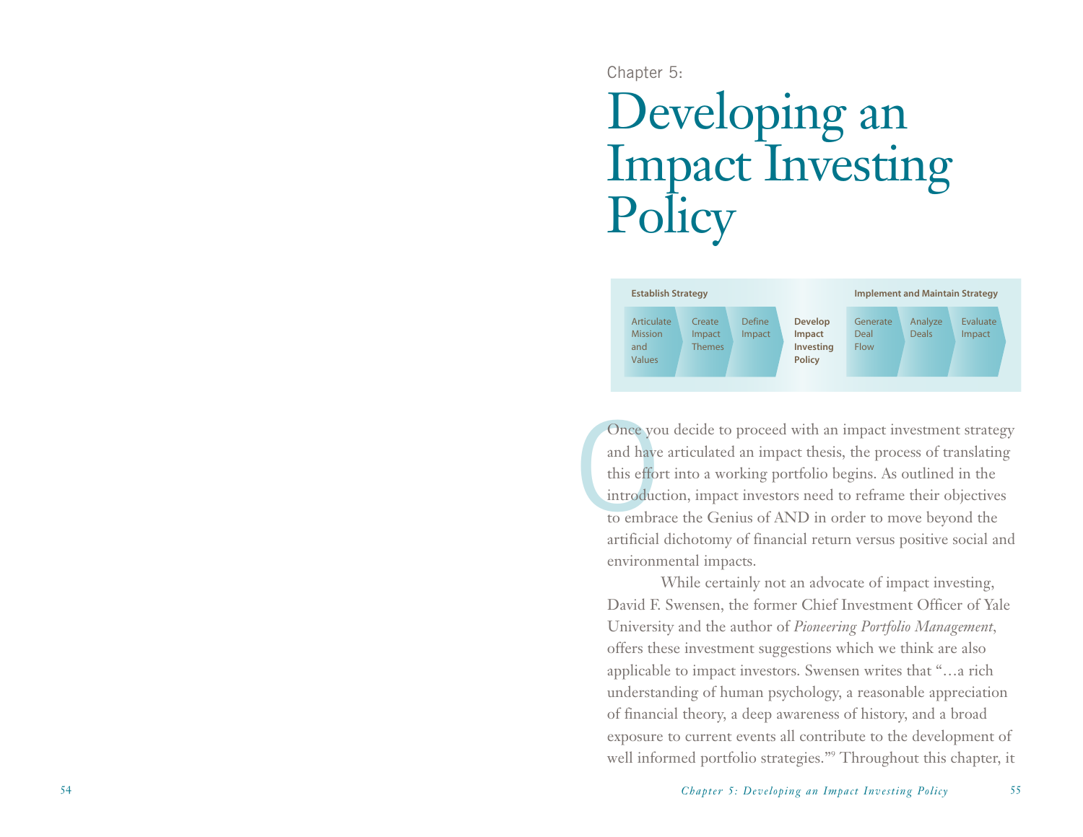#### Chapter 5:

# Developing an Impact Investing Policy

| <b>Establish Strategy</b>                     |                                          |                                |                                                               |                                 |                         | <b>Implement and Maintain Strategy</b> |  |  |  |
|-----------------------------------------------|------------------------------------------|--------------------------------|---------------------------------------------------------------|---------------------------------|-------------------------|----------------------------------------|--|--|--|
| Articulate<br><b>Mission</b><br>and<br>Values | Create<br><b>Impact</b><br><b>Themes</b> | <b>Define</b><br><b>Impact</b> | <b>Develop</b><br>Impact<br><b>Investing</b><br><b>Policy</b> | Generate<br>Deal<br><b>Flow</b> | Analyze<br><b>Deals</b> | Evaluate<br><b>Impact</b>              |  |  |  |

Once yo<br>
and have<br>
this effor<br>
introduc<br>
to embra<br>
artificial Once you decide to proceed with an impact investment strategy and have articulated an impact thesis, the process of translating this effort into a working portfolio begins. As outlined in the introduction, impact investors need to reframe their objectives to embrace the Genius of AND in order to move beyond the artificial dichotomy of financial return versus positive social and environmental impacts.

While certainly not an advocate of impact investing, David F. Swensen, the former Chief Investment Officer of Yale University and the author of Pioneering Portfolio Management, offers these investment suggestions which we think are also applicable to impact investors. Swensen writes that "…a rich understanding of human psychology, a reasonable appreciation of financial theory, a deep awareness of history, and a broad exposure to current events all contribute to the development of well informed portfolio strategies." Throughout this chapter, it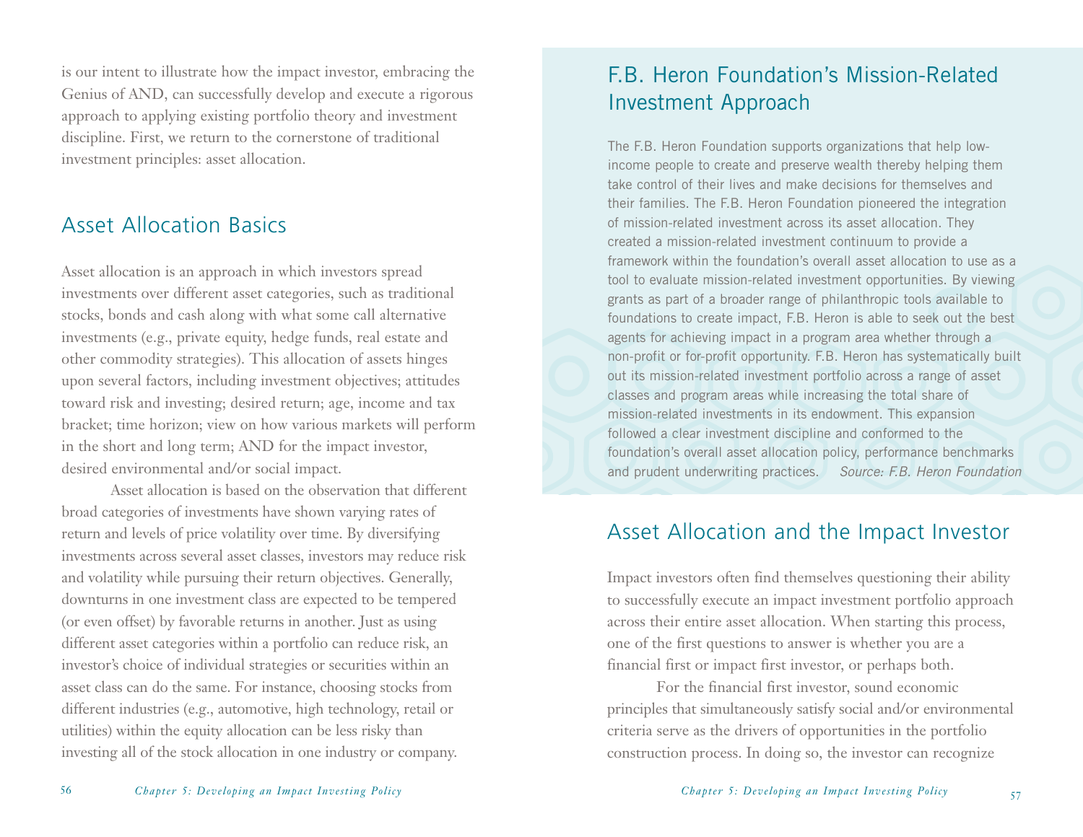is our intent to illustrate how the impact investor, embracing the Genius of AND, can successfully develop and execute a rigorous approach to applying existing portfolio theory and investment discipline. First, we return to the cornerstone of traditional investment principles: asset allocation.

# Asset Allocation Basics

Asset allocation is an approach in which investors spread investments over different asset categories, such as traditional stocks, bonds and cash along with what some call alternative investments (e.g., private equity, hedge funds, real estate and other commodity strategies). This allocation of assets hinges upon several factors, including investment objectives; attitudes toward risk and investing; desired return; age, income and tax bracket; time horizon; view on how various markets will perform in the short and long term; AND for the impact investor, desired environmental and/or social impact.

Asset allocation is based on the observation that different broad categories of investments have shown varying rates of return and levels of price volatility over time. By diversifying investments across several asset classes, investors may reduce risk and volatility while pursuing their return objectives. Generally, downturns in one investment class are expected to be tempered (or even offset) by favorable returns in another. Just as using different asset categories within a portfolio can reduce risk, an investor's choice of individual strategies or securities within an asset class can do the same. For instance, choosing stocks from different industries (e.g., automotive, high technology, retail or utilities) within the equity allocation can be less risky than investing all of the stock allocation in one industry or company.

# F.B. Heron Foundation's Mission-Related Investment Approach

The F.B. Heron Foundation supports organizations that help lowincome people to create and preserve wealth thereby helping them take control of their lives and make decisions for themselves and their families. The F.B. Heron Foundation pioneered the integration of mission-related investment across its asset allocation. They created a mission-related investment continuum to provide a framework within the foundation's overall asset allocation to use as a tool to evaluate mission-related investment opportunities. By viewing grants as part of a broader range of philanthropic tools available to foundations to create impact, F.B. Heron is able to seek out the best agents for achieving impact in a program area whether through a non-profit or for-profit opportunity. F.B. Heron has systematically built out its mission-related investment portfolio across a range of asset classes and program areas while increasing the total share of mission-related investments in its endowment. This expansion followed a clear investment discipline and conformed to the foundation's overall asset allocation policy, performance benchmarks and prudent underwriting practices. *Source: F.B. Heron Foundation*

# Asset Allocation and the Impact Investor

Impact investors often find themselves questioning their ability to successfully execute an impact investment portfolio approach across their entire asset allocation. When starting this process, one of the first questions to answer is whether you are a financial first or impact first investor, or perhaps both.

For the financial first investor, sound economic principles that simultaneously satisfy social and/or environmental criteria serve as the drivers of opportunities in the portfolio construction process. In doing so, the investor can recognize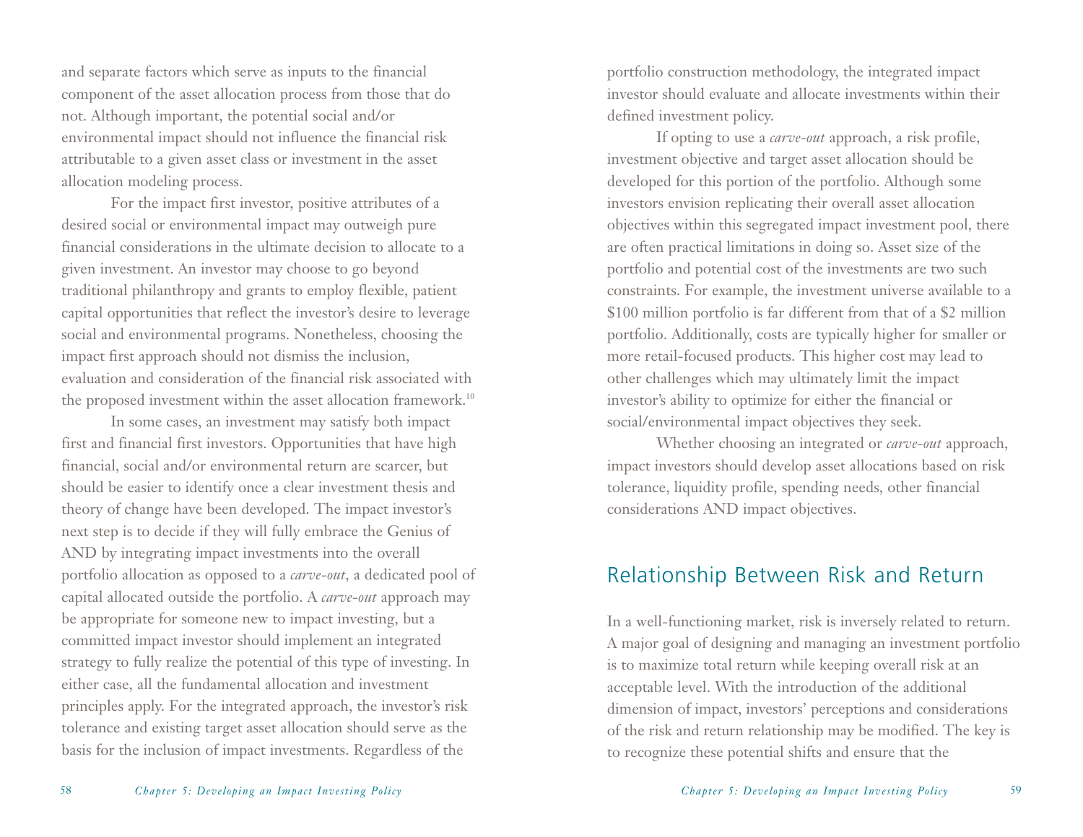and separate factors which serve as inputs to the financial component of the asset allocation process from those that do not. Although important, the potential social and/or environmental impact should not influence the financial risk attributable to a given asset class or investment in the asset allocation modeling process.

For the impact first investor, positive attributes of a desired social or environmental impact may outweigh pure financial considerations in the ultimate decision to allocate to a given investment. An investor may choose to go beyond traditional philanthropy and grants to employ flexible, patient capital opportunities that reflect the investor's desire to leverage social and environmental programs. Nonetheless, choosing the impact first approach should not dismiss the inclusion, evaluation and consideration of the financial risk associated with the proposed investment within the asset allocation framework. 10

In some cases, an investment may satisfy both impact first and financial first investors. Opportunities that have high financial, social and/or environmental return are scarcer, but should be easier to identify once a clear investment thesis and theory of change have been developed. The impact investor's next step is to decide if they will fully embrace the Genius of AND by integrating impact investments into the overall portfolio allocation as opposed to a *carve-out*, a dedicated pool of capital allocated outside the portfolio. A *carve-out* approach may be appropriate for someone new to impact investing, but a committed impact investor should implement an integrated strategy to fully realize the potential of this type of investing. In either case, all the fundamental allocation and investment principles apply. For the integrated approach, the investor's risk tolerance and existing target asset allocation should serve as the basis for the inclusion of impact investments. Regardless of the

portfolio construction methodology, the integrated impact investor should evaluate and allocate investments within their defined investment policy.

If opting to use a *carve-out* approach, a risk profile, investment objective and target asset allocation should be developed for this portion of the portfolio. Although some investors envision replicating their overall asset allocation objectives within this segregated impact investment pool, there are often practical limitations in doing so. Asset size of the portfolio and potential cost of the investments are two such constraints. For example, the investment universe available to a \$100 million portfolio is far different from that of a \$2 million portfolio. Additionally, costs are typically higher for smaller or more retail-focused products. This higher cost may lead to other challenges which may ultimately limit the impact investor's ability to optimize for either the financial or social/environmental impact objectives they seek.

Whether choosing an integrated or *carve-out* approach, impact investors should develop asset allocations based on risk tolerance, liquidity profile, spending needs, other financial considerations AND impact objectives.

# Relationship Between Risk and Return

In a well-functioning market, risk is inversely related to return. A major goal of designing and managing an investment portfolio is to maximize total return while keeping overall risk at an acceptable level. With the introduction of the additional dimension of impact, investors' perceptions and considerations of the risk and return relationship may be modified. The key is to recognize these potential shifts and ensure that the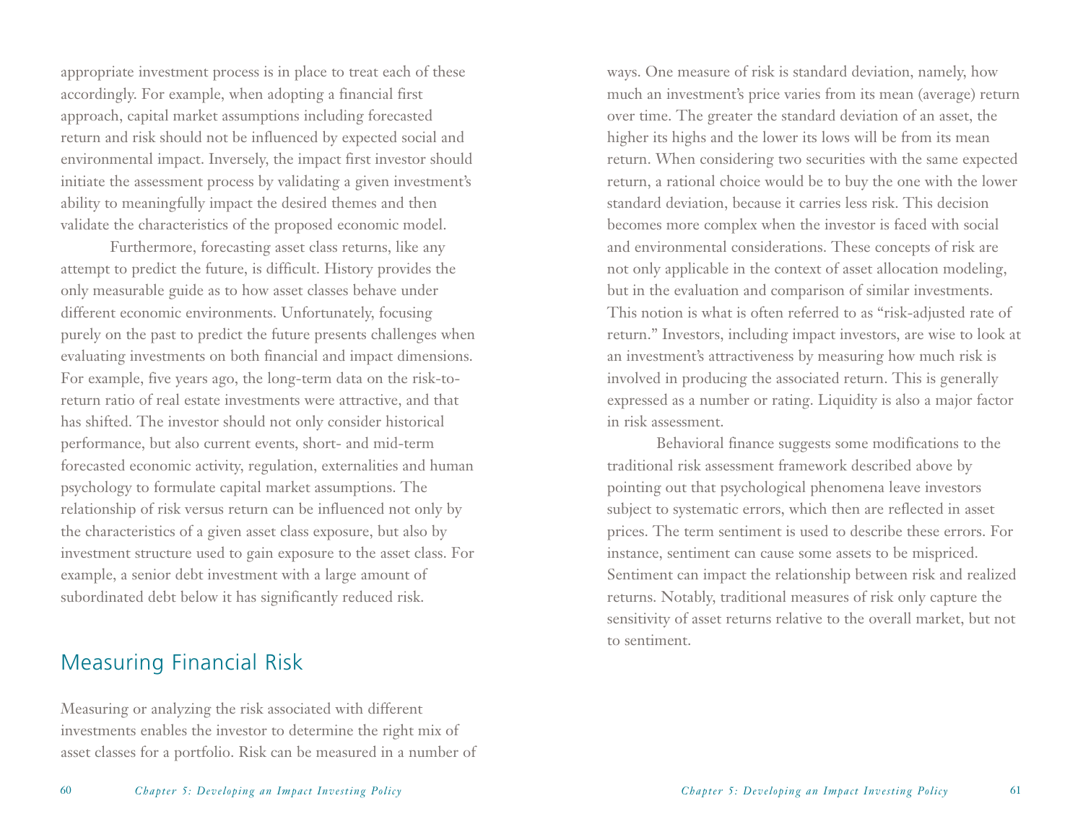appropriate investment process is in place to treat each of these accordingly. For example, when adopting a financial first approach, capital market assumptions including forecasted return and risk should not be influenced by expected social and environmental impact. Inversely, the impact first investor should initiate the assessment process by validating a given investment's ability to meaningfully impact the desired themes and then validate the characteristics of the proposed economic model.

Furthermore, forecasting asset class returns, like any attempt to predict the future, is difficult. History provides the only measurable guide as to how asset classes behave under different economic environments. Unfortunately, focusing purely on the past to predict the future presents challenges when evaluating investments on both financial and impact dimensions. For example, five years ago, the long-term data on the risk-toreturn ratio of real estate investments were attractive, and that has shifted. The investor should not only consider historical performance, but also current events, short- and mid-term forecasted economic activity, regulation, externalities and human psychology to formulate capital market assumptions. The relationship of risk versus return can be influenced not only by the characteristics of a given asset class exposure, but also by investment structure used to gain exposure to the asset class. For example, a senior debt investment with a large amount of subordinated debt below it has significantly reduced risk.

# Measuring Financial Risk

Measuring or analyzing the risk associated with different investments enables the investor to determine the right mix of asset classes for a portfolio. Risk can be measured in a number of ways. One measure of risk is standard deviation, namely, how much an investment's price varies from its mean (average) return over time. The greater the standard deviation of an asset, the higher its highs and the lower its lows will be from its mean return. When considering two securities with the same expected return, a rational choice would be to buy the one with the lower standard deviation, because it carries less risk. This decision becomes more complex when the investor is faced with social and environmental considerations. These concepts of risk are not only applicable in the context of asset allocation modeling, but in the evaluation and comparison of similar investments. This notion is what is often referred to as "risk-adjusted rate of return." Investors, including impact investors, are wise to look at an investment's attractiveness by measuring how much risk is involved in producing the associated return. This is generally expressed as a number or rating. Liquidity is also a major factor in risk assessment.

Behavioral finance suggests some modifications to the traditional risk assessment framework described above by pointing out that psychological phenomena leave investors subject to systematic errors, which then are reflected in asset prices. The term sentiment is used to describe these errors. For instance, sentiment can cause some assets to be mispriced. Sentiment can impact the relationship between risk and realized returns. Notably, traditional measures of risk only capture the sensitivity of asset returns relative to the overall market, but not to sentiment.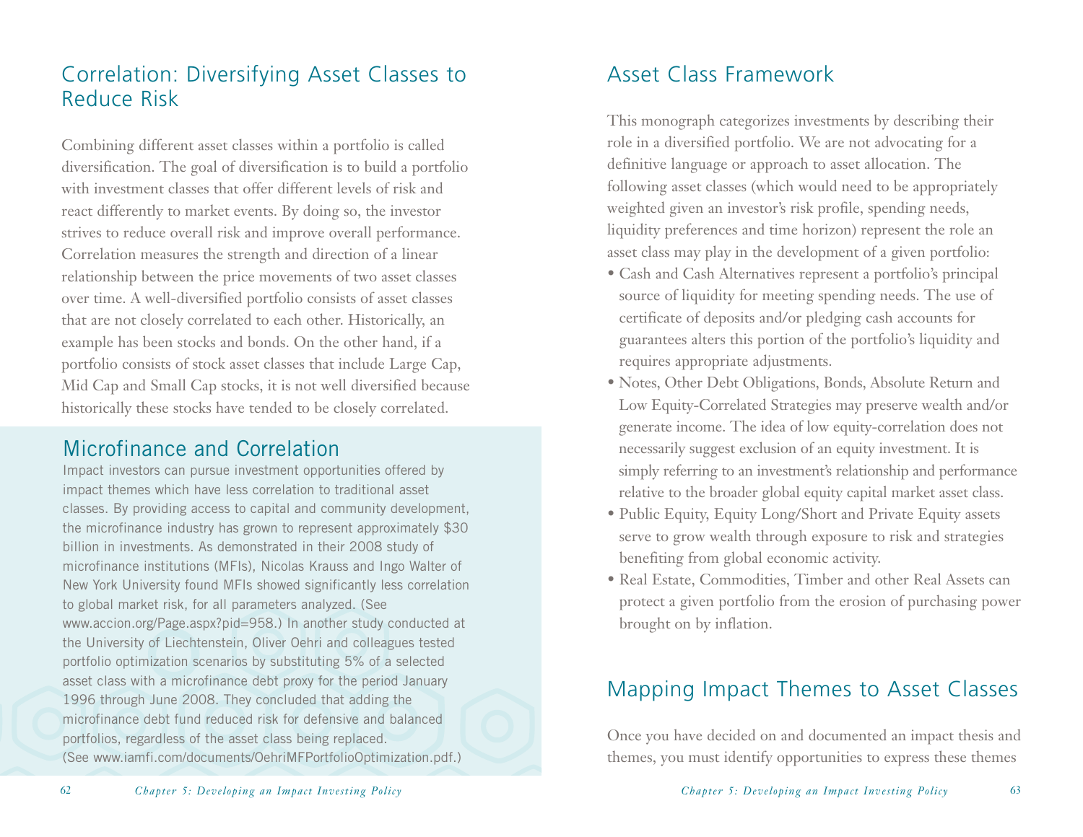# Correlation: Diversifying Asset Classes to Reduce Risk

Combining different asset classes within a portfolio is called diversification. The goal of diversification is to build a portfolio with investment classes that offer different levels of risk and react differently to market events. By doing so, the investor strives to reduce overall risk and improve overall performance. Correlation measures the strength and direction of a linear relationship between the price movements of two asset classes over time. A well-diversified portfolio consists of asset classes that are not closely correlated to each other. Historically, an example has been stocks and bonds. On the other hand, if a portfolio consists of stock asset classes that include Large Cap, Mid Cap and Small Cap stocks, it is not well diversified because historically these stocks have tended to be closely correlated.

# Microfinance and Correlation

Impact investors can pursue investment opportunities offered by impact themes which have less correlation to traditional asset classes. By providing access to capital and community development, the microfinance industry has grown to represent approximately \$30 billion in investments. As demonstrated in their 2008 study of microfinance institutions (MFIs), Nicolas Krauss and Ingo Walter of New York University found MFIs showed significantly less correlation to global market risk, for all parameters analyzed. (See www.accion.org/Page.aspx?pid=958.) In another study conducted at the University of Liechtenstein, Oliver Oehri and colleagues tested portfolio optimization scenarios by substituting 5% of a selected asset class with a microfinance debt proxy for the period January 1996 through June 2008. They concluded that adding the microfinance debt fund reduced risk for defensive and balanced portfolios, regardless of the asset class being replaced. (See www.iamfi.com/documents/OehriMFPortfolioOptimization.pdf.)

# Asset Class Framework

This monograph categorizes investments by describing their role in a diversified portfolio. We are not advocating for a definitive language or approach to asset allocation. The following asset classes (which would need to be appropriately weighted given an investor's risk profile, spending needs, liquidity preferences and time horizon) represent the role an asset class may play in the development of a given portfolio:

- Cash and Cash Alternatives represent a portfolio's principal source of liquidity for meeting spending needs. The use of certificate of deposits and/or pledging cash accounts for guarantees alters this portion of the portfolio's liquidity and requires appropriate adjustments.
- Notes, Other Debt Obligations, Bonds, Absolute Return and Low Equity-Correlated Strategies may preserve wealth and/or generate income. The idea of low equity-correlation does not necessarily suggest exclusion of an equity investment. It is simply referring to an investment's relationship and performance relative to the broader global equity capital market asset class.
- Public Equity, Equity Long/Short and Private Equity assets serve to grow wealth through exposure to risk and strategies benefiting from global economic activity.
- Real Estate, Commodities, Timber and other Real Assets can protect a given portfolio from the erosion of purchasing power brought on by inflation.

# Mapping Impact Themes to Asset Classes

Once you have decided on and documented an impact thesis and themes, you must identify opportunities to express these themes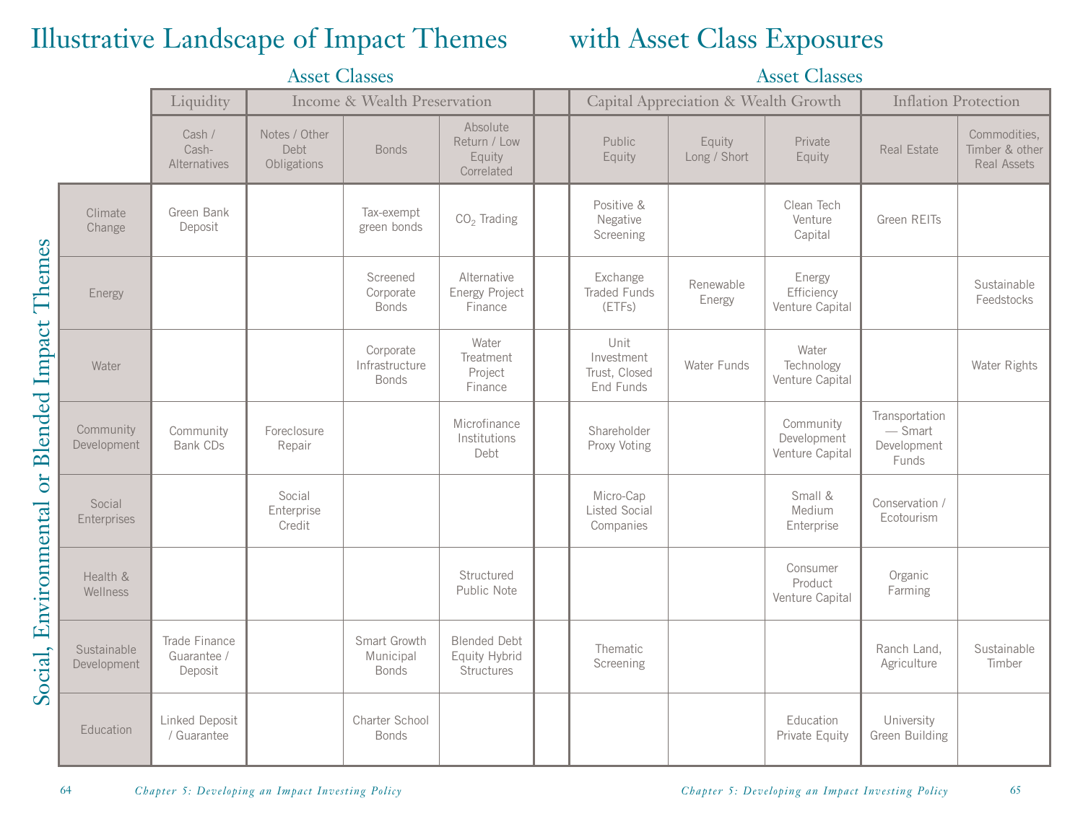# Illustrative Landscape of Impact Themes with Asset Class Exposures

# Asset Classes

## Asset Classes

|                            | Liquidity                               |                                      | Income & Wealth Preservation                |                                                    |                                                  | Capital Appreciation & Wealth Growth |                                             | <b>Inflation Protection</b>                         |                                                      |
|----------------------------|-----------------------------------------|--------------------------------------|---------------------------------------------|----------------------------------------------------|--------------------------------------------------|--------------------------------------|---------------------------------------------|-----------------------------------------------------|------------------------------------------------------|
|                            | Cash /<br>Cash-<br>Alternatives         | Notes / Other<br>Debt<br>Obligations | <b>Bonds</b>                                | Absolute<br>Return / Low<br>Equity<br>Correlated   | Public<br>Equity                                 | Equity<br>Long / Short               | Private<br>Equity                           | <b>Real Estate</b>                                  | Commodities,<br>Timber & other<br><b>Real Assets</b> |
| Climate<br>Change          | Green Bank<br>Deposit                   |                                      | Tax-exempt<br>green bonds                   | $CO2$ Trading                                      | Positive &<br>Negative<br>Screening              |                                      | Clean Tech<br>Venture<br>Capital            | Green REITs                                         |                                                      |
| Energy                     |                                         |                                      | Screened<br>Corporate<br><b>Bonds</b>       | Alternative<br>Energy Project<br>Finance           | Exchange<br><b>Traded Funds</b><br>(ETFs)        | Renewable<br>Energy                  | Energy<br>Efficiency<br>Venture Capital     |                                                     | Sustainable<br>Feedstocks                            |
| Water                      |                                         |                                      | Corporate<br>Infrastructure<br><b>Bonds</b> | Water<br>Treatment<br>Project<br>Finance           | Unit<br>Investment<br>Trust, Closed<br>End Funds | Water Funds                          | Water<br>Technology<br>Venture Capital      |                                                     | Water Rights                                         |
| Community<br>Development   | Community<br><b>Bank CDs</b>            | Foreclosure<br>Repair                |                                             | Microfinance<br>Institutions<br>Debt               | Shareholder<br>Proxy Voting                      |                                      | Community<br>Development<br>Venture Capital | Transportation<br>$-$ Smart<br>Development<br>Funds |                                                      |
| Social<br>Enterprises      |                                         | Social<br>Enterprise<br>Credit       |                                             |                                                    | Micro-Cap<br><b>Listed Social</b><br>Companies   |                                      | Small &<br>Medium<br>Enterprise             | Conservation /<br>Ecotourism                        |                                                      |
| Health &<br>Wellness       |                                         |                                      |                                             | Structured<br>Public Note                          |                                                  |                                      | Consumer<br>Product<br>Venture Capital      | Organic<br>Farming                                  |                                                      |
| Sustainable<br>Development | Trade Finance<br>Guarantee /<br>Deposit |                                      | Smart Growth<br>Municipal<br><b>Bonds</b>   | <b>Blended Debt</b><br>Equity Hybrid<br>Structures | Thematic<br>Screening                            |                                      |                                             | Ranch Land,<br>Agriculture                          | Sustainable<br>Timber                                |
| Education                  | Linked Deposit<br>/ Guarantee           |                                      | Charter School<br><b>Bonds</b>              |                                                    |                                                  |                                      | Education<br>Private Equity                 | University<br>Green Building                        |                                                      |

s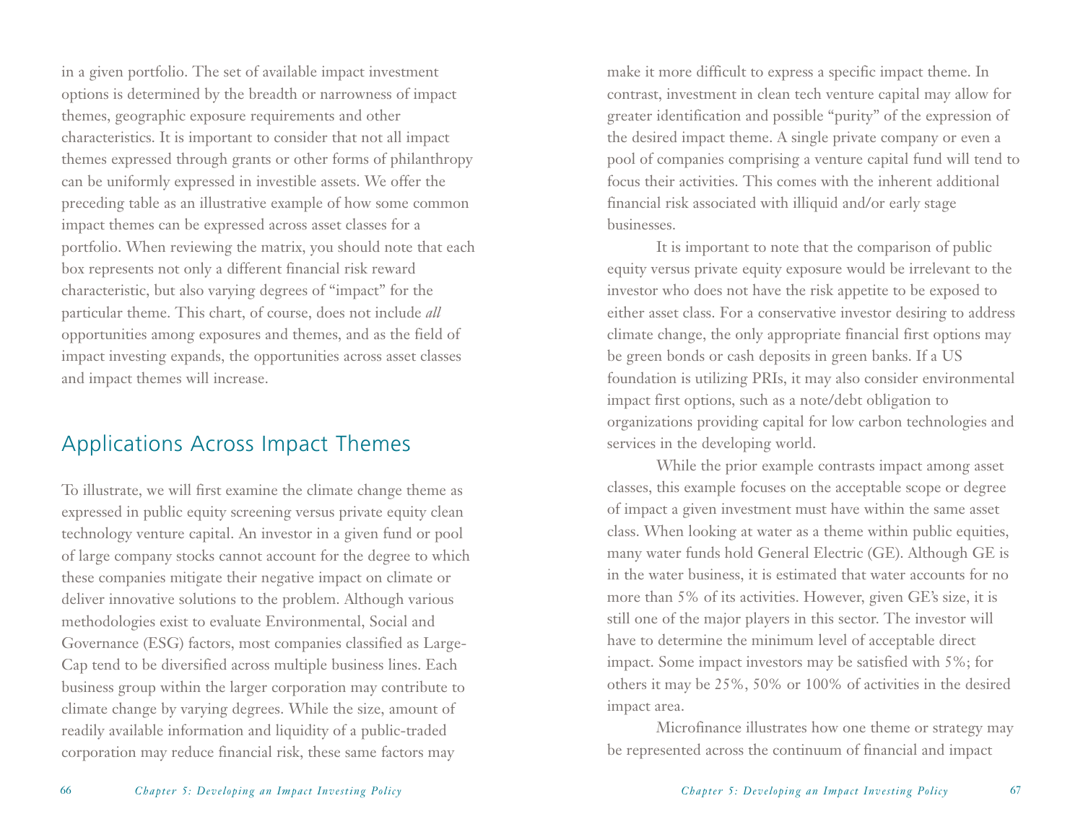in a given portfolio. The set of available impact investment options is determined by the breadth or narrowness of impact themes, geographic exposure requirements and other characteristics. It is important to consider that not all impact themes expressed through grants or other forms of philanthropy can be uniformly expressed in investible assets. We offer the preceding table as an illustrative example of how some common impact themes can be expressed across asset classes for a portfolio. When reviewing the matrix, you should note that each box represents not only a different financial risk reward characteristic, but also varying degrees of "impact" for the particular theme. This chart, of course, does not include *all* opportunities among exposures and themes, and as the field of impact investing expands, the opportunities across asset classes and impact themes will increase.

# Applications Across Impact Themes

To illustrate, we will first examine the climate change theme as expressed in public equity screening versus private equity clean technology venture capital. An investor in a given fund or pool of large company stocks cannot account for the degree to which these companies mitigate their negative impact on climate or deliver innovative solutions to the problem. Although various methodologies exist to evaluate Environmental, Social and Governance (ESG) factors, most companies classified as Large-Cap tend to be diversified across multiple business lines. Each business group within the larger corporation may contribute to climate change by varying degrees. While the size, amount of readily available information and liquidity of a public-traded corporation may reduce financial risk, these same factors may

make it more difficult to express a specific impact theme. In contrast, investment in clean tech venture capital may allow for greater identification and possible "purity" of the expression of the desired impact theme. A single private company or even a pool of companies comprising a venture capital fund will tend to focus their activities. This comes with the inherent additional financial risk associated with illiquid and/or early stage businesses.

It is important to note that the comparison of public equity versus private equity exposure would be irrelevant to the investor who does not have the risk appetite to be exposed to either asset class. For a conservative investor desiring to address climate change, the only appropriate financial first options may be green bonds or cash deposits in green banks. If a US foundation is utilizing PRIs, it may also consider environmental impact first options, such as a note/debt obligation to organizations providing capital for low carbon technologies and services in the developing world.

While the prior example contrasts impact among asset classes, this example focuses on the acceptable scope or degree of impact a given investment must have within the same asset class. When looking at water as a theme within public equities, many water funds hold General Electric (GE). Although GE is in the water business, it is estimated that water accounts for no more than 5% of its activities. However, given GE's size, it is still one of the major players in this sector. The investor will have to determine the minimum level of acceptable direct impact. Some impact investors may be satisfied with 5%; for others it may be 25%, 50% or 100% of activities in the desired impact area.

Microfinance illustrates how one theme or strategy may be represented across the continuum of financial and impact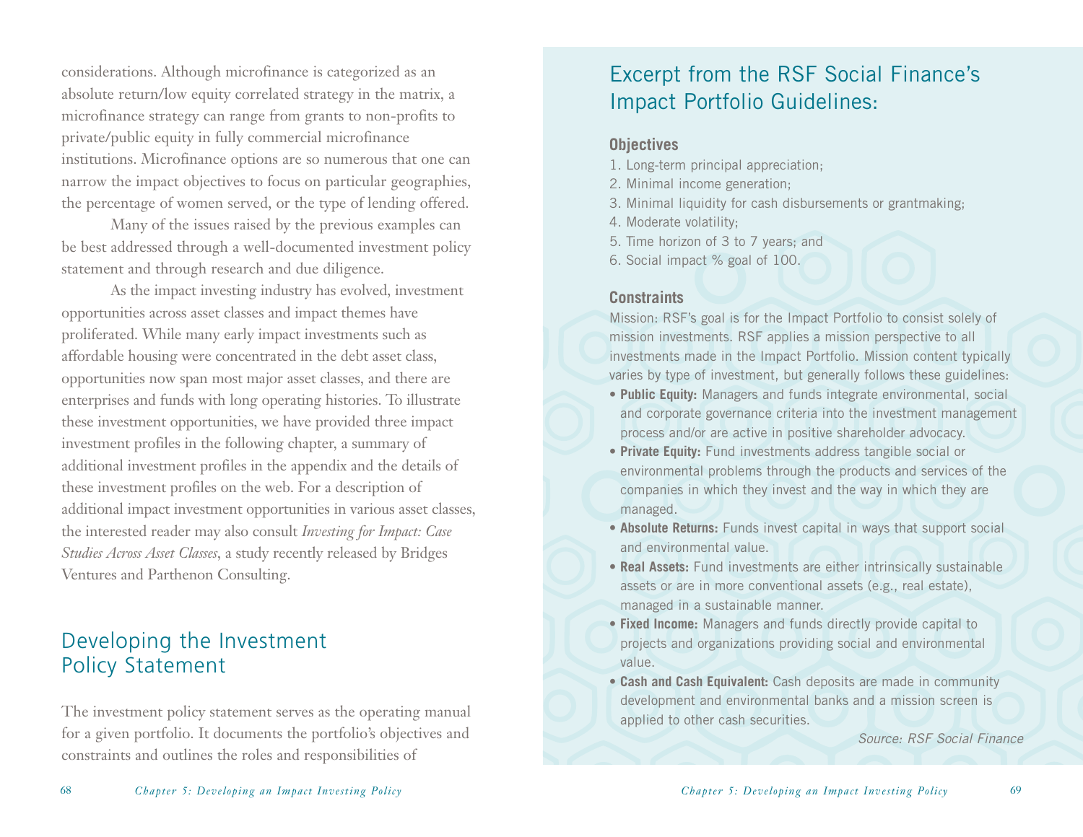considerations. Although microfinance is categorized as an absolute return/low equity correlated strategy in the matrix, a microfinance strategy can range from grants to non-profits to private/public equity in fully commercial microfinance institutions. Microfinance options are so numerous that one can narrow the impact objectives to focus on particular geographies, the percentage of women served, or the type of lending offered.

Many of the issues raised by the previous examples can be best addressed through a well-documented investment policy statement and through research and due diligence.

As the impact investing industry has evolved, investment opportunities across asset classes and impact themes have proliferated. While many early impact investments such as affordable housing were concentrated in the debt asset class, opportunities now span most major asset classes, and there are enterprises and funds with long operating histories. To illustrate these investment opportunities, we have provided three impact investment profiles in the following chapter, a summary of additional investment profiles in the appendix and the details of these investment profiles on the web. For a description of additional impact investment opportunities in various asset classes, the interested reader may also consult *Investing for Impact: Case Studies Across Asset Classes*, a study recently released by Bridges Ventures and Parthenon Consulting.

# Developing the Investment Policy Statement

The investment policy statement serves as the operating manual for a given portfolio. It documents the portfolio's objectives and constraints and outlines the roles and responsibilities of

# Excerpt from the RSF Social Finance's Impact Portfolio Guidelines:

#### **Objectives**

- 1. Long-term principal appreciation;
- 2. Minimal income generation;
- 3. Minimal liquidity for cash disbursements or grantmaking;
- 4. Moderate volatility;
- 5. Time horizon of 3 to 7 years; and
- 6. Social impact % goal of 100.

#### **Constraints**

Mission: RSF's goal is for the Impact Portfolio to consist solely of mission investments. RSF applies a mission perspective to all investments made in the Impact Portfolio. Mission content typically varies by type of investment, but generally follows these guidelines:

- **Public Equity:** Managers and funds integrate environmental, social and corporate governance criteria into the investment management process and/or are active in positive shareholder advocacy.
- **Private Equity:** Fund investments address tangible social or environmental problems through the products and services of the companies in which they invest and the way in which they are managed.
- **Absolute Returns:** Funds invest capital in ways that support social and environmental value.
- **Real Assets:** Fund investments are either intrinsically sustainable assets or are in more conventional assets (e.g., real estate), managed in a sustainable manner.
- **Fixed Income:** Managers and funds directly provide capital to projects and organizations providing social and environmental value.
- **Cash and Cash Equivalent:** Cash deposits are made in community development and environmental banks and a mission screen is applied to other cash securities.

*Source: RSF Social Finance*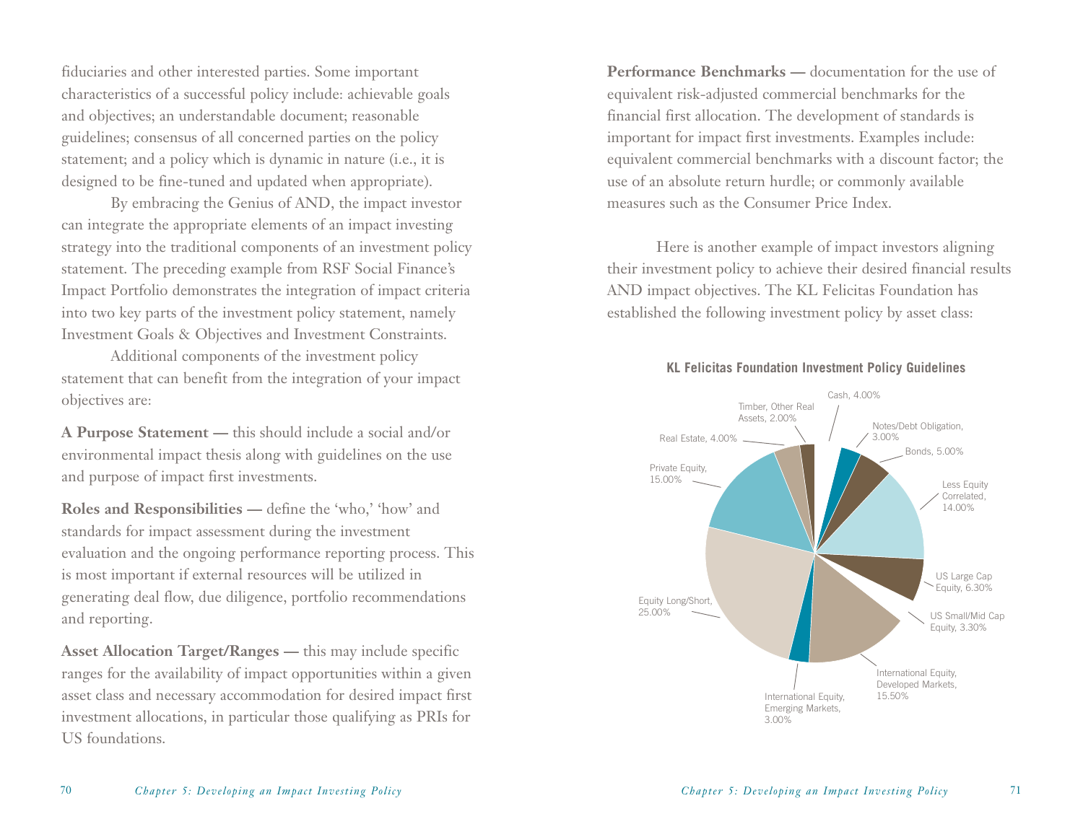fiduciaries and other interested parties. Some important characteristics of a successful policy include: achievable goals and objectives; an understandable document; reasonable guidelines; consensus of all concerned parties on the policy statement; and a policy which is dynamic in nature (i.e., it is designed to be fine-tuned and updated when appropriate).

By embracing the Genius of AND, the impact investor can integrate the appropriate elements of an impact investing strategy into the traditional components of an investment policy statement. The preceding example from RSF Social Finance's Impact Portfolio demonstrates the integration of impact criteria into two key parts of the investment policy statement, namely Investment Goals & Objectives and Investment Constraints.

Additional components of the investment policy statement that can benefit from the integration of your impact objectives are:

**A Purpose Statement —** this should include a social and/or environmental impact thesis along with guidelines on the use and purpose of impact first investments.

**Roles and Responsibilities —** define the 'who,' 'how' and standards for impact assessment during the investment evaluation and the ongoing performance reporting process. This is most important if external resources will be utilized in generating deal flow, due diligence, portfolio recommendations and reporting.

**Asset Allocation Target/Ranges —** this may include specific ranges for the availability of impact opportunities within a given asset class and necessary accommodation for desired impact first investment allocations, in particular those qualifying as PRIs for US foundations.

**Performance Benchmarks —** documentation for the use of equivalent risk-adjusted commercial benchmarks for the financial first allocation. The development of standards is important for impact first investments. Examples include: equivalent commercial benchmarks with a discount factor; the use of an absolute return hurdle; or commonly available measures such as the Consumer Price Index.

Here is another example of impact investors aligning their investment policy to achieve their desired financial results AND impact objectives. The KL Felicitas Foundation has established the following investment policy by asset class:



#### **KL Felicitas Foundation Investment Policy Guidelines**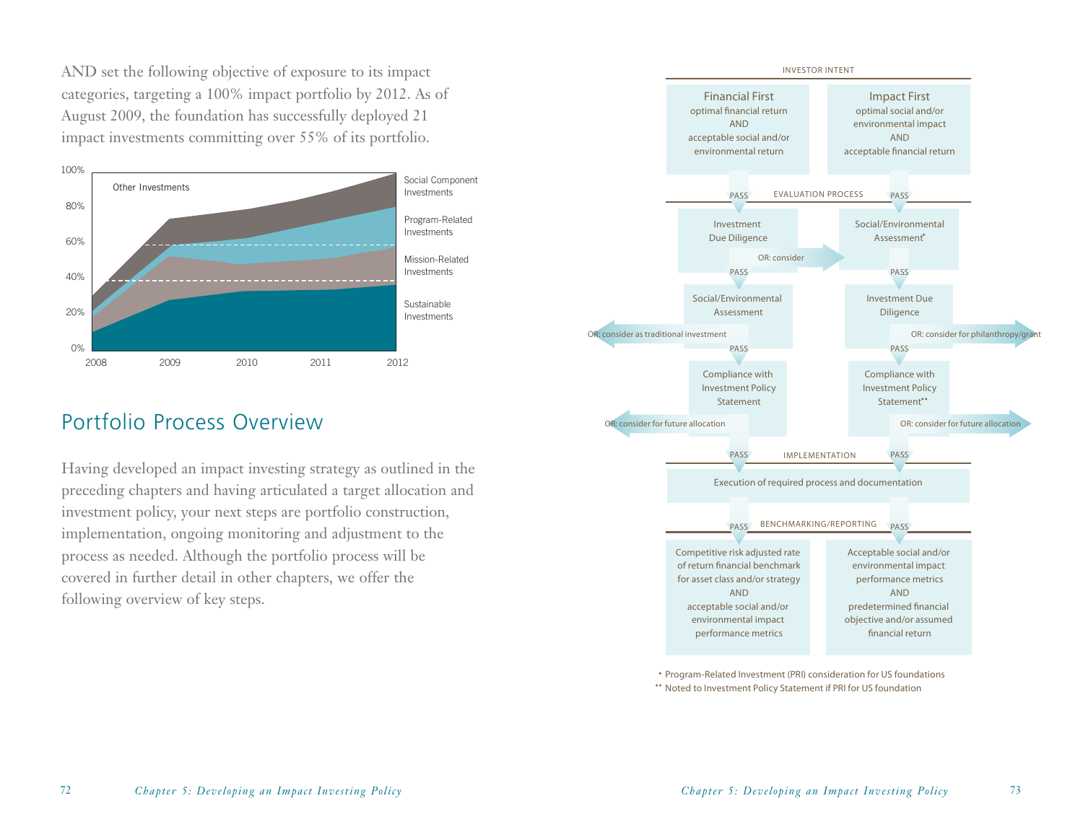AND set the following objective of exposure to its impact categories, targeting a 100% impact portfolio by 2012. As of August 2009, the foundation has successfully deployed 21 impact investments committing over 55% of its portfolio.



# Portfolio Process Overview

Having developed an impact investing strategy as outlined in the preceding chapters and having articulated a target allocation and investment policy, your next steps are portfolio construction, implementation, ongoing monitoring and adjustment to the process as needed. Although the portfolio process will be covered in further detail in other chapters, we offer the following overview of key steps.



Program-Related Investment (PRI) consideration for US foundations Noted to Investment Policy Statement if PRI for US foundation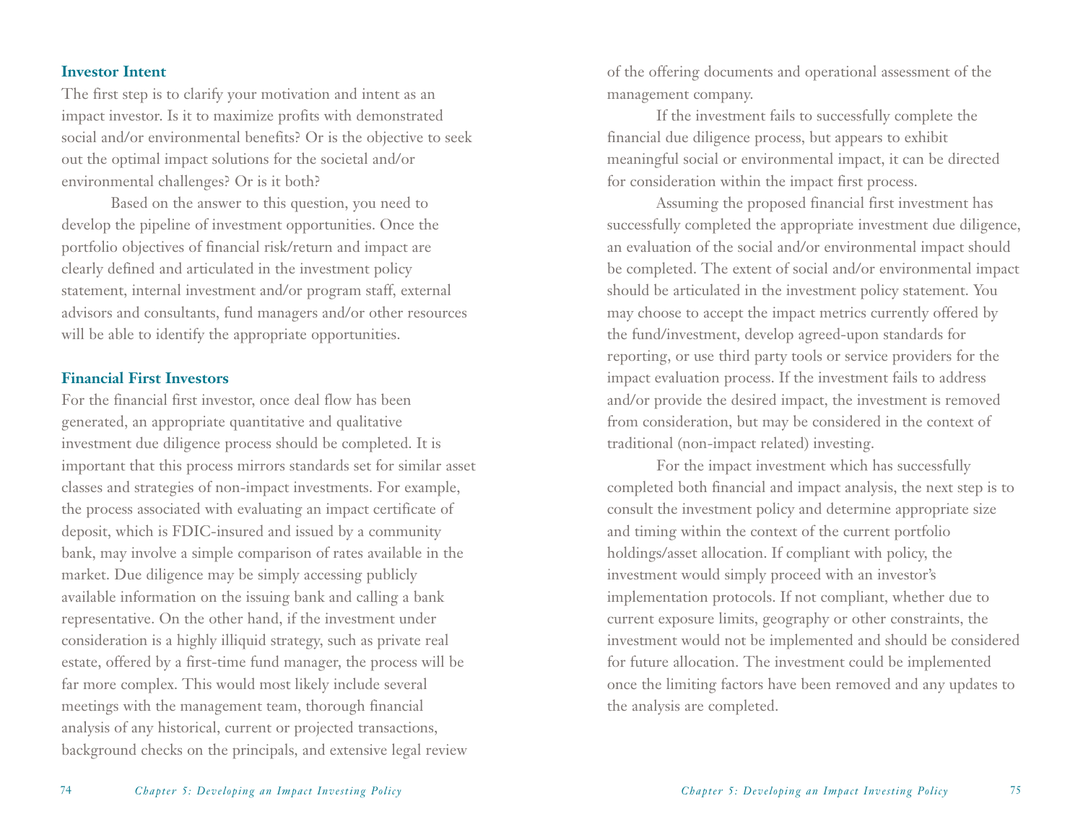#### **Investor Intent**

The first step is to clarify your motivation and intent as an impact investor. Is it to maximize profits with demonstrated social and/or environmental benefits? Or is the objective to seek out the optimal impact solutions for the societal and/or environmental challenges? Or is it both?

Based on the answer to this question, you need to develop the pipeline of investment opportunities. Once the portfolio objectives of financial risk/return and impact are clearly defined and articulated in the investment policy statement, internal investment and/or program staff, external advisors and consultants, fund managers and/or other resources will be able to identify the appropriate opportunities.

#### **Financial First Investors**

For the financial first investor, once deal flow has been generated, an appropriate quantitative and qualitative investment due diligence process should be completed. It is important that this process mirrors standards set for similar asset classes and strategies of non-impact investments. For example, the process associated with evaluating an impact certificate of deposit, which is FDIC-insured and issued by a community bank, may involve a simple comparison of rates available in the market. Due diligence may be simply accessing publicly available information on the issuing bank and calling a bank representative. On the other hand, if the investment under consideration is a highly illiquid strategy, such as private real estate, offered by a first-time fund manager, the process will be far more complex. This would most likely include several meetings with the management team, thorough financial analysis of any historical, current or projected transactions, background checks on the principals, and extensive legal review

of the offering documents and operational assessment of the management company.

If the investment fails to successfully complete the financial due diligence process, but appears to exhibit meaningful social or environmental impact, it can be directed for consideration within the impact first process.

Assuming the proposed financial first investment has successfully completed the appropriate investment due diligence, an evaluation of the social and/or environmental impact should be completed. The extent of social and/or environmental impact should be articulated in the investment policy statement. You may choose to accept the impact metrics currently offered by the fund/investment, develop agreed-upon standards for reporting, or use third party tools or service providers for the impact evaluation process. If the investment fails to address and/or provide the desired impact, the investment is removed from consideration, but may be considered in the context of traditional (non-impact related) investing.

For the impact investment which has successfully completed both financial and impact analysis, the next step is to consult the investment policy and determine appropriate size and timing within the context of the current portfolio holdings/asset allocation. If compliant with policy, the investment would simply proceed with an investor's implementation protocols. If not compliant, whether due to current exposure limits, geography or other constraints, the investment would not be implemented and should be considered for future allocation. The investment could be implemented once the limiting factors have been removed and any updates to the analysis are completed.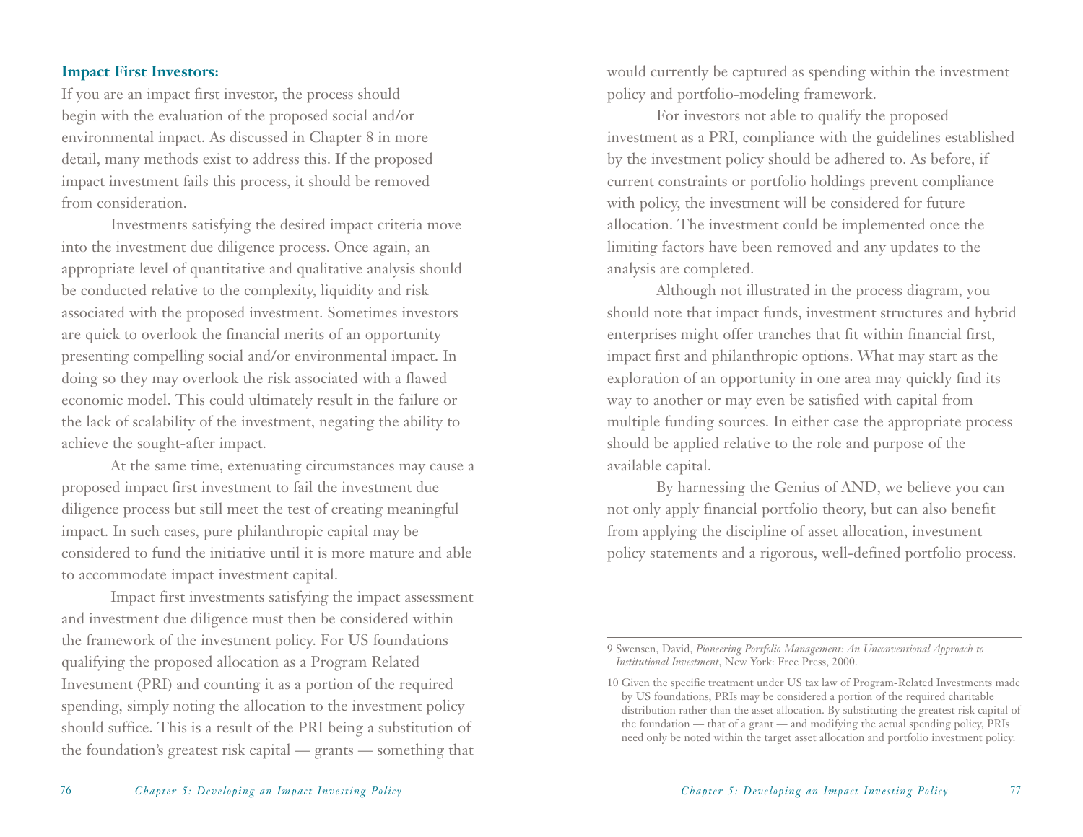#### **Impact First Investors:**

If you are an impact first investor, the process should begin with the evaluation of the proposed social and/or environmental impact. As discussed in Chapter 8 in more detail, many methods exist to address this. If the proposed impact investment fails this process, it should be removed from consideration.

Investments satisfying the desired impact criteria move into the investment due diligence process. Once again, an appropriate level of quantitative and qualitative analysis should be conducted relative to the complexity, liquidity and risk associated with the proposed investment. Sometimes investors are quick to overlook the financial merits of an opportunity presenting compelling social and/or environmental impact. In doing so they may overlook the risk associated with a flawed economic model. This could ultimately result in the failure or the lack of scalability of the investment, negating the ability to achieve the sought-after impact.

At the same time, extenuating circumstances may cause a proposed impact first investment to fail the investment due diligence process but still meet the test of creating meaningful impact. In such cases, pure philanthropic capital may be considered to fund the initiative until it is more mature and able to accommodate impact investment capital.

Impact first investments satisfying the impact assessment and investment due diligence must then be considered within the framework of the investment policy. For US foundations qualifying the proposed allocation as a Program Related Investment (PRI) and counting it as a portion of the required spending, simply noting the allocation to the investment policy should suffice. This is a result of the PRI being a substitution of the foundation's greatest risk capital — grants — something that would currently be captured as spending within the investment policy and portfolio-modeling framework.

For investors not able to qualify the proposed investment as a PRI, compliance with the guidelines established by the investment policy should be adhered to. As before, if current constraints or portfolio holdings prevent compliance with policy, the investment will be considered for future allocation. The investment could be implemented once the limiting factors have been removed and any updates to the analysis are completed.

Although not illustrated in the process diagram, you should note that impact funds, investment structures and hybrid enterprises might offer tranches that fit within financial first, impact first and philanthropic options. What may start as the exploration of an opportunity in one area may quickly find its way to another or may even be satisfied with capital from multiple funding sources. In either case the appropriate process should be applied relative to the role and purpose of the available capital.

By harnessing the Genius of AND, we believe you can not only apply financial portfolio theory, but can also benefit from applying the discipline of asset allocation, investment policy statements and a rigorous, well-defined portfolio process.

<sup>9</sup> Swensen, David, *Pioneering Portfolio Management: An Unconventional Approach to Institutional Investment*, New York: Free Press, 2000.

<sup>10</sup> Given the specific treatment under US tax law of Program-Related Investments made by US foundations, PRIs may be considered a portion of the required charitable distribution rather than the asset allocation. By substituting the greatest risk capital of the foundation — that of a grant — and modifying the actual spending policy, PRIs need only be noted within the target asset allocation and portfolio investment policy.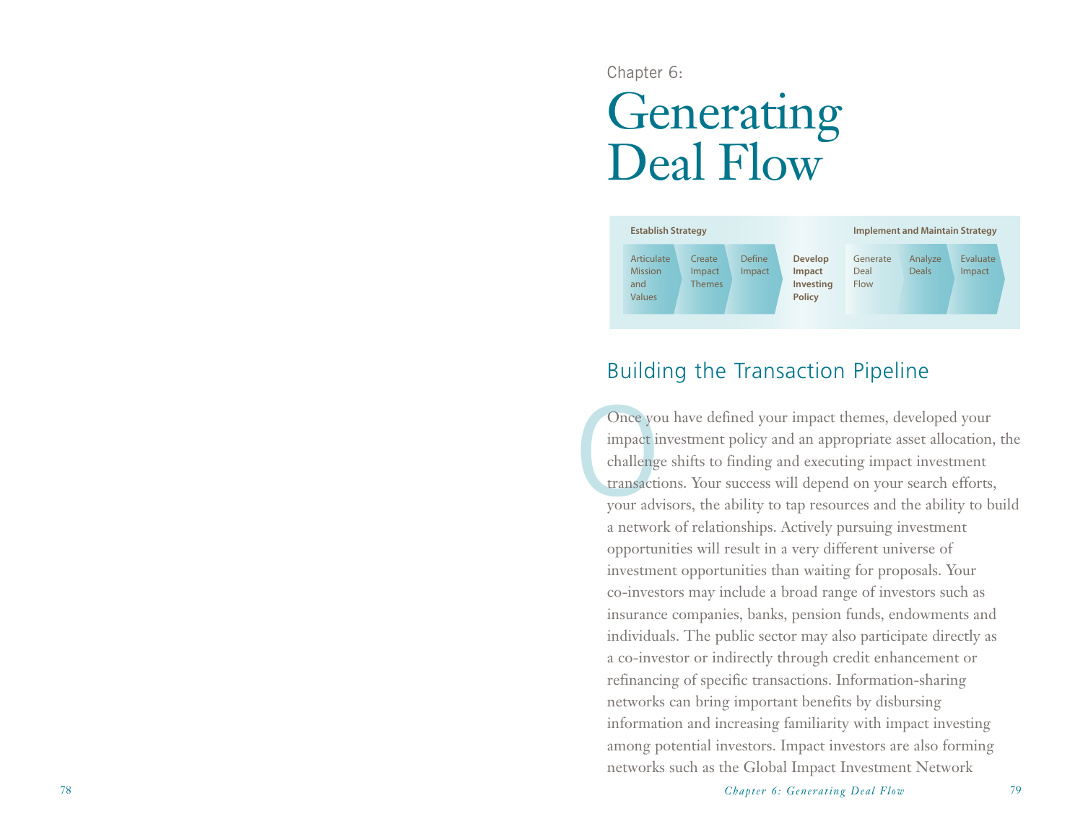Chapter 6:

# Generating Deal Flow

| <b>Establish Strategy</b>                     |                                          |                                |                                                        | <b>Implement and Maintain Strategy</b> |                         |                    |  |
|-----------------------------------------------|------------------------------------------|--------------------------------|--------------------------------------------------------|----------------------------------------|-------------------------|--------------------|--|
| Articulate<br><b>Mission</b><br>and<br>Values | Create<br><i>Impact</i><br><b>Themes</b> | <b>Define</b><br><i>Impact</i> | <b>Develop</b><br>Impact<br>Investing<br><b>Policy</b> | Generate<br>Deal<br>Flow               | Analyze<br><b>Deals</b> | Evaluate<br>Impact |  |

# ing the Transaction Pipeline

Buildi<br>
Once yo<br>
impact in<br>
challeng<br>
transacti<br>
your adv<br>
a networ Once you have defined your impact themes, developed your impact investment policy and an appropriate asset allocation, the challenge shifts to finding and executing impact investment transactions. Your success will depend on your search efforts, your advisors, the ability to tap resources and the ability to build a network of relationships. Actively pursuing investment opportunities will result in a very different universe of investment opportunities than waiting for proposals. Your co-investors may include a broad range of investors such as insurance companies, banks, pension funds, endowments and individuals. The public sector may also participate directly as a co-investor or indirectly through credit enhancement or refinancing of specific transactions. Information-sharing networks can bring important benefits by disbursing information and increasing familiarity with impact investing among potential investors. Impact investors are also forming networks such as the Global Impact Investment Network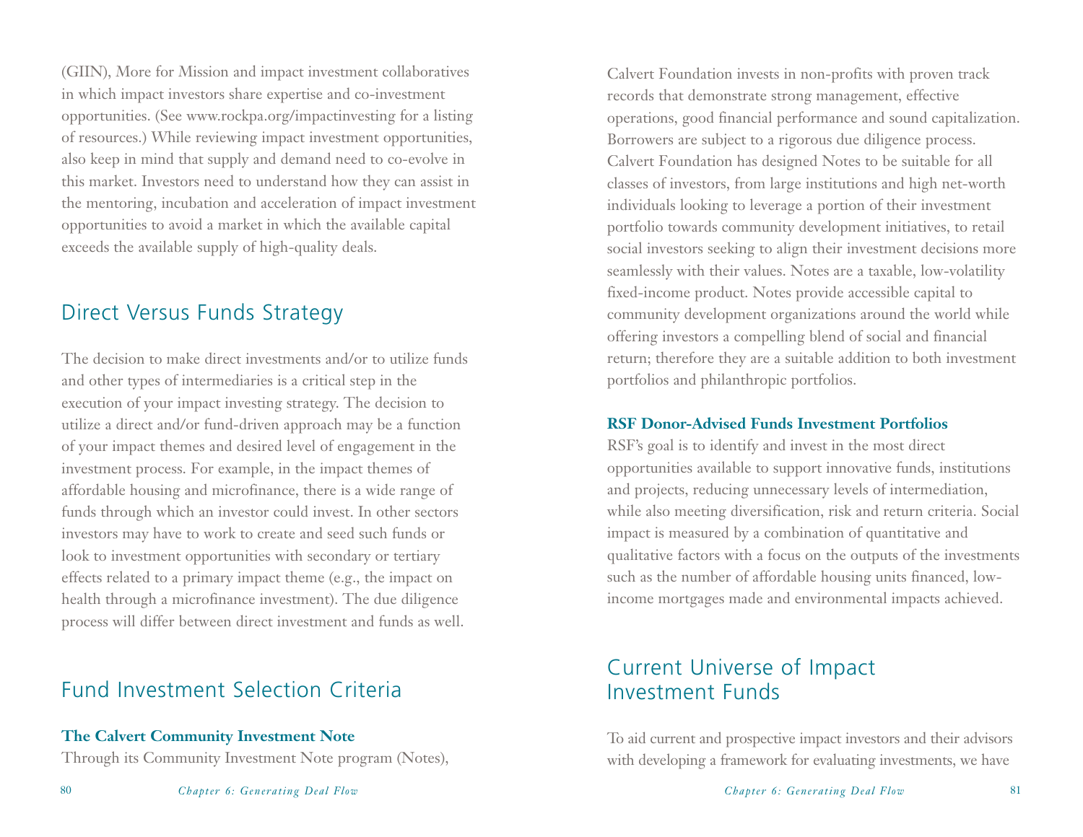(GIIN), More for Mission and impact investment collaboratives in which impact investors share expertise and co-investment opportunities. (See www.rockpa.org/impactinvesting for a listing of resources.) While reviewing impact investment opportunities, also keep in mind that supply and demand need to co-evolve in this market. Investors need to understand how they can assist in the mentoring, incubation and acceleration of impact investment opportunities to avoid a market in which the available capital exceeds the available supply of high-quality deals.

# Direct Versus Funds Strategy

The decision to make direct investments and/or to utilize funds and other types of intermediaries is a critical step in the execution of your impact investing strategy. The decision to utilize a direct and/or fund-driven approach may be a function of your impact themes and desired level of engagement in the investment process. For example, in the impact themes of affordable housing and microfinance, there is a wide range of funds through which an investor could invest. In other sectors investors may have to work to create and seed such funds or look to investment opportunities with secondary or tertiary effects related to a primary impact theme (e.g., the impact on health through a microfinance investment). The due diligence process will differ between direct investment and funds as well.

# Fund Investment Selection Criteria

#### **The Calvert Community Investment Note**

Through its Community Investment Note program (Notes),

Calvert Foundation invests in non-profits with proven track records that demonstrate strong management, effective operations, good financial performance and sound capitalization. Borrowers are subject to a rigorous due diligence process. Calvert Foundation has designed Notes to be suitable for all classes of investors, from large institutions and high net-worth individuals looking to leverage a portion of their investment portfolio towards community development initiatives, to retail social investors seeking to align their investment decisions more seamlessly with their values. Notes are a taxable, low-volatility fixed-income product. Notes provide accessible capital to community development organizations around the world while offering investors a compelling blend of social and financial return; therefore they are a suitable addition to both investment portfolios and philanthropic portfolios.

#### **RSF Donor-Advised Funds Investment Portfolios**

RSF's goal is to identify and invest in the most direct opportunities available to support innovative funds, institutions and projects, reducing unnecessary levels of intermediation, while also meeting diversification, risk and return criteria. Social impact is measured by a combination of quantitative and qualitative factors with a focus on the outputs of the investments such as the number of affordable housing units financed, lowincome mortgages made and environmental impacts achieved.

# Current Universe of Impact Investment Funds

To aid current and prospective impact investors and their advisors with developing a framework for evaluating investments, we have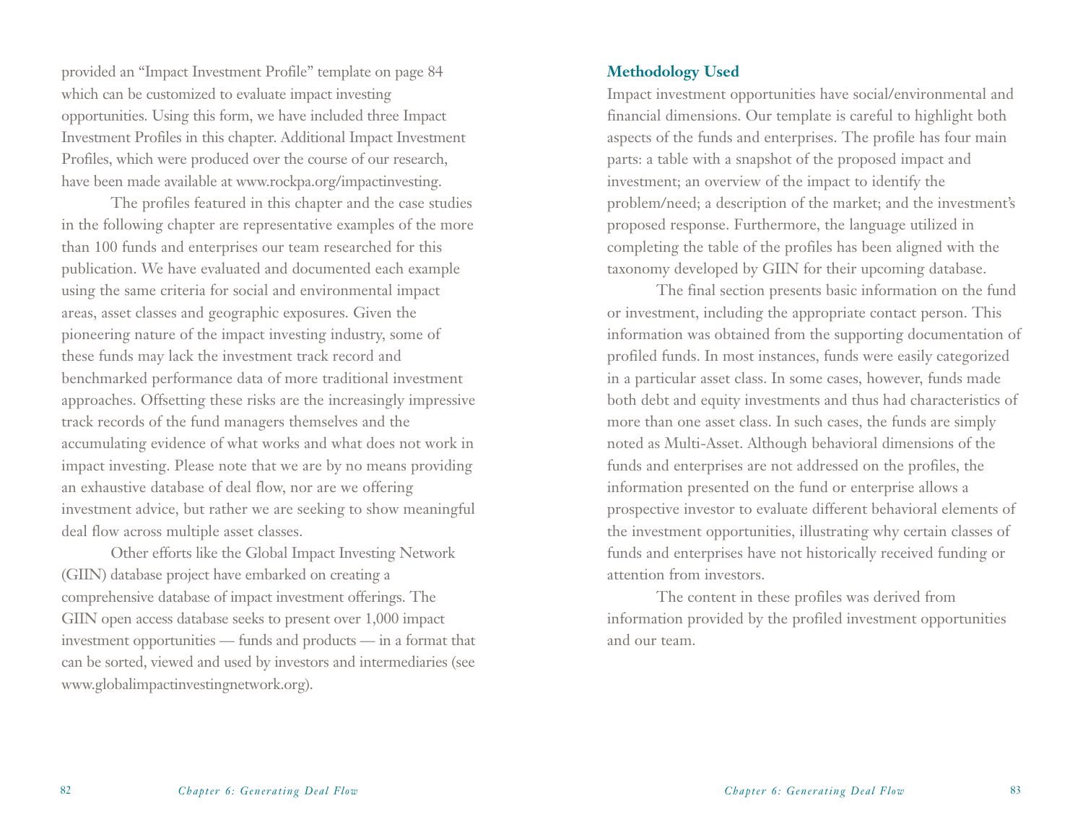provided an "Impact Investment Profile" template on page 84 which can be customized to evaluate impact investing opportunities. Using this form, we have included three Impact Investment Profiles in this chapter. Additional Impact Investment Profiles, which were produced over the course of our research, have been made available at www.rockpa.org/impactinvesting.

The profiles featured in this chapter and the case studies in the following chapter are representative examples of the more than 100 funds and enterprises our team researched for this publication. We have evaluated and documented each example using the same criteria for social and environmental impact areas, asset classes and geographic exposures. Given the pioneering nature of the impact investing industry, some of these funds may lack the investment track record and benchmarked performance data of more traditional investment approaches. Offsetting these risks are the increasingly impressive track records of the fund managers themselves and the accumulating evidence of what works and what does not work in impact investing. Please note that we are by no means providing an exhaustive database of deal flow, nor are we offering investment advice, but rather we are seeking to show meaningful deal flow across multiple asset classes.

Other efforts like the Global Impact Investing Network (GIIN) database project have embarked on creating a comprehensive database of impact investment offerings. The GIIN open access database seeks to present over 1,000 impact investment opportunities — funds and products — in a format that can be sorted, viewed and used by investors and intermediaries (see www.globalimpactinvestingnetwork.org).

#### **Methodology Used**

Impact investment opportunities have social/environmental and financial dimensions. Our template is careful to highlight both aspects of the funds and enterprises. The profile has four main parts: a table with a snapshot of the proposed impact and investment; an overview of the impact to identify the problem/need; a description of the market; and the investment's proposed response. Furthermore, the language utilized in completing the table of the profiles has been aligned with the taxonomy developed by GIIN for their upcoming database.

The final section presents basic information on the fund or investment, including the appropriate contact person. This information was obtained from the supporting documentation of profiled funds. In most instances, funds were easily categorized in a particular asset class. In some cases, however, funds made both debt and equity investments and thus had characteristics of more than one asset class. In such cases, the funds are simply noted as Multi-Asset. Although behavioral dimensions of the funds and enterprises are not addressed on the profiles, the information presented on the fund or enterprise allows a prospective investor to evaluate different behavioral elements of the investment opportunities, illustrating why certain classes of funds and enterprises have not historically received funding or attention from investors.

The content in these profiles was derived from information provided by the profiled investment opportunities and our team.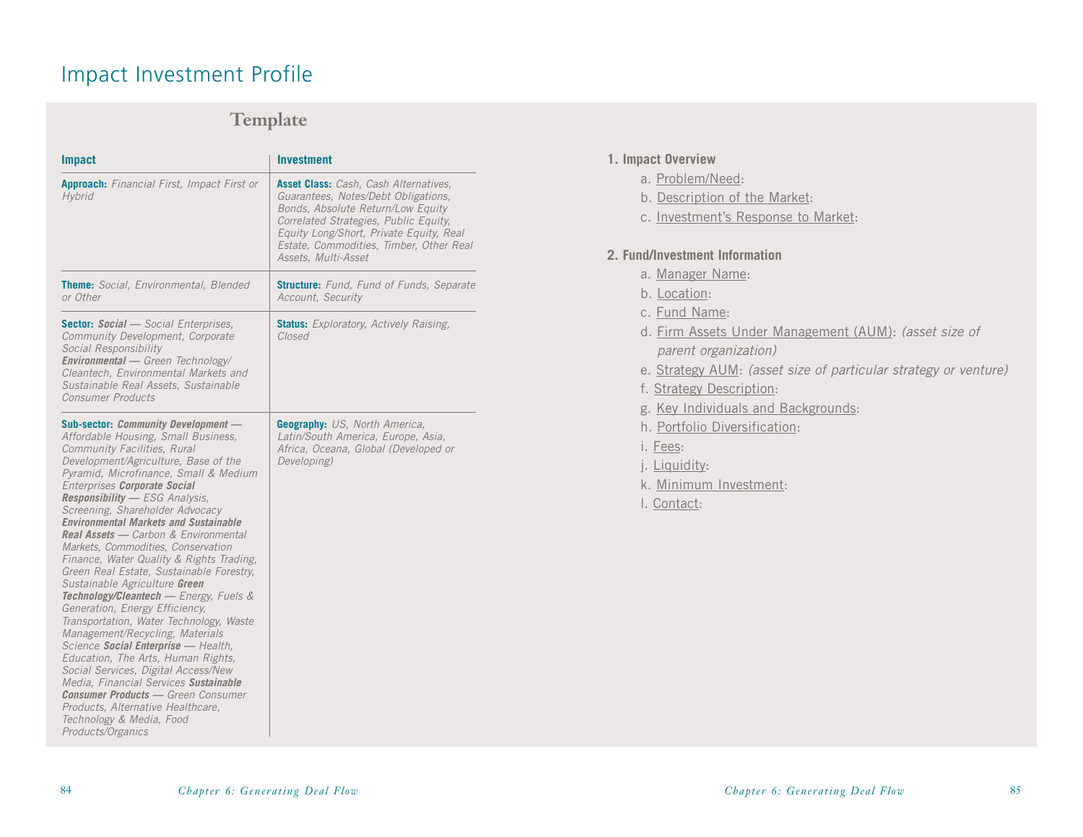# Impact Investment Profile

### **Template**

| <b>Impact</b>                                                                                                                                                                                                                                                                                                                                                                                                                                                                                                                                                                                                                                                                                                                                                                                                                                                                                                                                                                                                    | <b>Investment</b>                                                                                                                                                                                                                                                       |
|------------------------------------------------------------------------------------------------------------------------------------------------------------------------------------------------------------------------------------------------------------------------------------------------------------------------------------------------------------------------------------------------------------------------------------------------------------------------------------------------------------------------------------------------------------------------------------------------------------------------------------------------------------------------------------------------------------------------------------------------------------------------------------------------------------------------------------------------------------------------------------------------------------------------------------------------------------------------------------------------------------------|-------------------------------------------------------------------------------------------------------------------------------------------------------------------------------------------------------------------------------------------------------------------------|
| <b>Approach:</b> Financial First, Impact First or<br>Hybrid                                                                                                                                                                                                                                                                                                                                                                                                                                                                                                                                                                                                                                                                                                                                                                                                                                                                                                                                                      | Asset Class: Cash, Cash Alternatives,<br>Guarantees, Notes/Debt Obligations,<br>Bonds, Absolute Return/Low Equity<br>Correlated Strategies, Public Equity,<br>Equity Long/Short, Private Equity, Real<br>Estate, Commodities, Timber, Other Real<br>Assets, Multi-Asset |
| Theme: Social, Environmental, Blended<br>or Other                                                                                                                                                                                                                                                                                                                                                                                                                                                                                                                                                                                                                                                                                                                                                                                                                                                                                                                                                                | <b>Structure:</b> Fund, Fund of Funds, Separate<br>Account, Security                                                                                                                                                                                                    |
| <b>Sector: Social</b> - Social Enterprises,<br>Community Development, Corporate<br>Social Responsibility<br><b>Environmental - Green Technology/</b><br>Cleantech, Environmental Markets and<br>Sustainable Real Assets, Sustainable<br><b>Consumer Products</b>                                                                                                                                                                                                                                                                                                                                                                                                                                                                                                                                                                                                                                                                                                                                                 | <b>Status:</b> Exploratory, Actively Raising,<br>Closed                                                                                                                                                                                                                 |
| <b>Sub-sector: Community Development -</b><br>Affordable Housing, Small Business,<br>Community Facilities, Rural<br>Development/Agriculture, Base of the<br>Pyramid, Microfinance, Small & Medium<br>Enterprises Corporate Social<br><b>Responsibility</b> - ESG Analysis,<br>Screening, Shareholder Advocacy<br><b>Environmental Markets and Sustainable</b><br><b>Real Assets</b> — Carbon & Environmental<br>Markets, Commodities, Conservation<br>Finance, Water Quality & Rights Trading,<br>Green Real Estate, Sustainable Forestry,<br>Sustainable Agriculture Green<br>Technology/Cleantech - Energy, Fuels &<br>Generation, Energy Efficiency,<br>Transportation, Water Technology, Waste<br>Management/Recycling, Materials<br>Science Social Enterprise - Health,<br>Education, The Arts, Human Rights,<br>Social Services, Digital Access/New<br>Media, Financial Services Sustainable<br><b>Consumer Products - Green Consumer</b><br>Products, Alternative Healthcare,<br>Technology & Media, Food | <b>Geography:</b> US, North America,<br>Latin/South America, Europe, Asia,<br>Africa, Oceana, Global (Developed or<br>Developing)                                                                                                                                       |

#### **1. Impact Overview**

- a. Problem/Need:
- b. Description of the Market:
- c. Investment's Response to Market:

#### **2. Fund/Investment Information**

- a. Manager Name:
- b. Location:
- c. Fund Name:
- d. Firm Assets Under Management (AUM): *(asset size of parent organization)*
- e. Strategy AUM: *(asset size of particular strategy or venture)*
- f. Strategy Description:
- g. Key Individuals and Backgrounds:
- h. Portfolio Diversification:
- i. Fees:
- j. Liquidity:
- k. Minimum Investment:
- l. Contact:

*Products/Organics*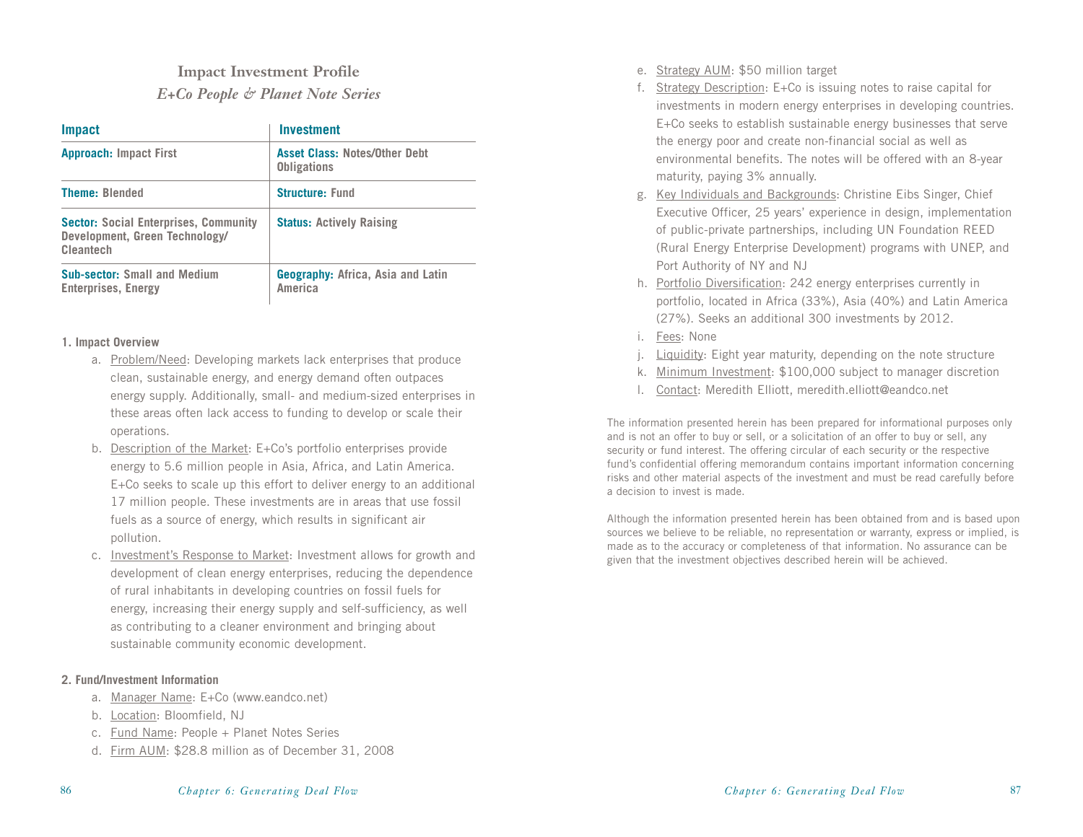### **Impact Investment Profile** *E+Co People & Planet Note Series*

| <b>Impact</b>                                                                               | <b>Investment</b>                                          |
|---------------------------------------------------------------------------------------------|------------------------------------------------------------|
| <b>Approach: Impact First</b>                                                               | <b>Asset Class: Notes/Other Debt</b><br><b>Obligations</b> |
| <b>Theme: Blended</b>                                                                       | <b>Structure: Fund</b>                                     |
| <b>Sector: Social Enterprises, Community</b><br>Development, Green Technology/<br>Cleantech | <b>Status: Actively Raising</b>                            |
| <b>Sub-sector: Small and Medium</b><br><b>Enterprises, Energy</b>                           | <b>Geography:</b> Africa, Asia and Latin<br>America        |

#### **1. Impact Overview**

- a. Problem/Need: Developing markets lack enterprises that produce clean, sustainable energy, and energy demand often outpaces energy supply. Additionally, small- and medium-sized enterprises in these areas often lack access to funding to develop or scale their operations.
- b. Description of the Market: E+Co's portfolio enterprises provide energy to 5.6 million people in Asia, Africa, and Latin America. E+Co seeks to scale up this effort to deliver energy to an additional 17 million people. These investments are in areas that use fossil fuels as a source of energy, which results in significant air pollution.
- c. Investment's Response to Market: Investment allows for growth and development of clean energy enterprises, reducing the dependence of rural inhabitants in developing countries on fossil fuels for energy, increasing their energy supply and self-sufficiency, as well as contributing to a cleaner environment and bringing about sustainable community economic development.

#### **2. Fund/Investment Information**

- a. Manager Name: E+Co (www.eandco.net)
- b. Location: Bloomfield, NJ
- c. Fund Name: People + Planet Notes Series
- d. Firm AUM: \$28.8 million as of December 31, 2008
- e. Strategy AUM: \$50 million target
- f. Strategy Description: E+Co is issuing notes to raise capital for investments in modern energy enterprises in developing countries. E+Co seeks to establish sustainable energy businesses that serve the energy poor and create non-financial social as well as environmental benefits. The notes will be offered with an 8-year maturity, paying 3% annually.
- g. Key Individuals and Backgrounds: Christine Eibs Singer, Chief Executive Officer, 25 years' experience in design, implementation of public-private partnerships, including UN Foundation REED (Rural Energy Enterprise Development) programs with UNEP, and Port Authority of NY and NJ
- h. Portfolio Diversification: 242 energy enterprises currently in portfolio, located in Africa (33%), Asia (40%) and Latin America (27%). Seeks an additional 300 investments by 2012.
- i. Fees: None
- j. Liquidity: Eight year maturity, depending on the note structure
- k. Minimum Investment: \$100,000 subject to manager discretion
- l. Contact: Meredith Elliott, meredith.elliott@eandco.net

The information presented herein has been prepared for informational purposes only and is not an offer to buy or sell, or a solicitation of an offer to buy or sell, any security or fund interest. The offering circular of each security or the respective fund's confidential offering memorandum contains important information concerning risks and other material aspects of the investment and must be read carefully before a decision to invest is made.

Although the information presented herein has been obtained from and is based upon sources we believe to be reliable, no representation or warranty, express or implied, is made as to the accuracy or completeness of that information. No assurance can be given that the investment objectives described herein will be achieved.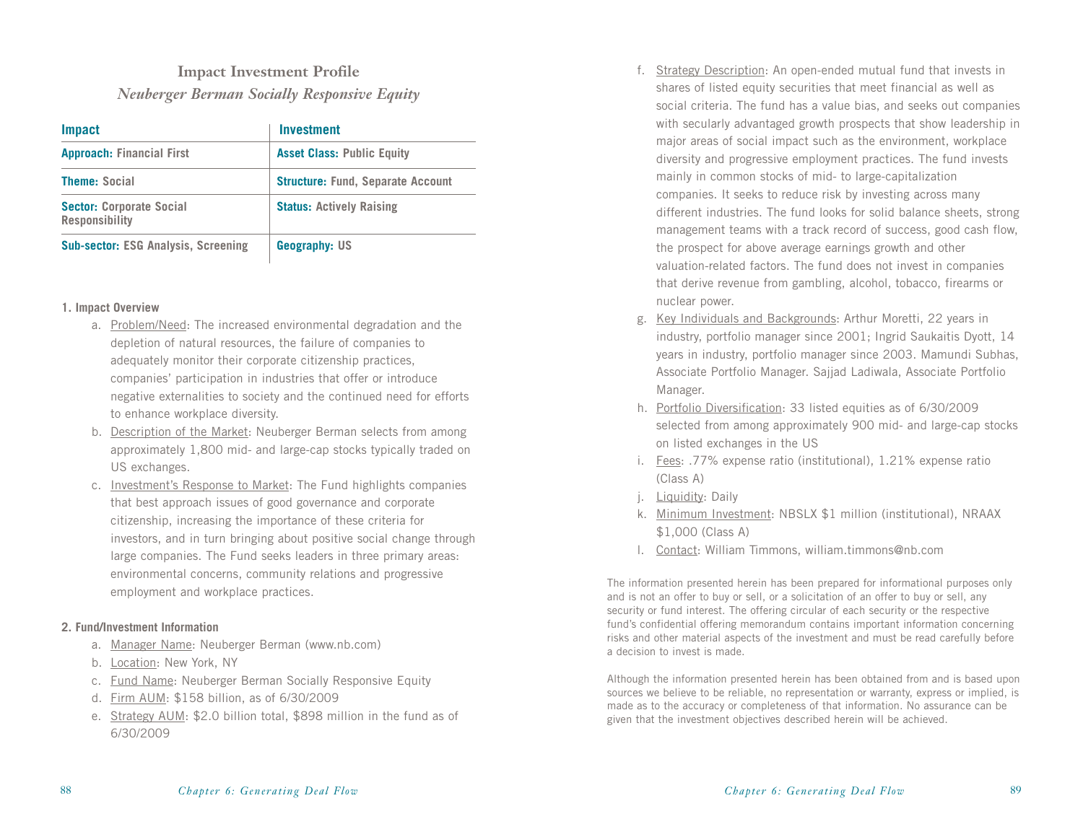#### **Impact Investment Profile** *Neuberger Berman Socially Responsive Equity*

| <b>Impact</b>                                     | <b>Investment</b>                        |
|---------------------------------------------------|------------------------------------------|
| <b>Approach: Financial First</b>                  | <b>Asset Class: Public Equity</b>        |
| <b>Theme: Social</b>                              | <b>Structure: Fund, Separate Account</b> |
| Sector: Corporate Social<br><b>Responsibility</b> | <b>Status: Actively Raising</b>          |
| <b>Sub-sector: ESG Analysis, Screening</b>        | <b>Geography: US</b>                     |

#### **1. Impact Overview**

- a. Problem/Need: The increased environmental degradation and the depletion of natural resources, the failure of companies to adequately monitor their corporate citizenship practices, companies' participation in industries that offer or introduce negative externalities to society and the continued need for efforts to enhance workplace diversity.
- b. Description of the Market: Neuberger Berman selects from among approximately 1,800 mid- and large-cap stocks typically traded on US exchanges.
- c. Investment's Response to Market: The Fund highlights companies that best approach issues of good governance and corporate citizenship, increasing the importance of these criteria for investors, and in turn bringing about positive social change through large companies. The Fund seeks leaders in three primary areas: environmental concerns, community relations and progressive employment and workplace practices.

#### **2. Fund/Investment Information**

- a. Manager Name: Neuberger Berman (www.nb.com)
- b. Location: New York, NY
- c. Fund Name: Neuberger Berman Socially Responsive Equity
- d. Firm AUM: \$158 billion, as of 6/30/2009
- e. Strategy AUM: \$2.0 billion total, \$898 million in the fund as of 6/30/2009
- f. Strategy Description: An open-ended mutual fund that invests in shares of listed equity securities that meet financial as well as social criteria. The fund has a value bias, and seeks out companies with secularly advantaged growth prospects that show leadership in major areas of social impact such as the environment, workplace diversity and progressive employment practices. The fund invests mainly in common stocks of mid- to large-capitalization companies. It seeks to reduce risk by investing across many different industries. The fund looks for solid balance sheets, strong management teams with a track record of success, good cash flow, the prospect for above average earnings growth and other valuation-related factors. The fund does not invest in companies that derive revenue from gambling, alcohol, tobacco, firearms or nuclear power.
- g. Key Individuals and Backgrounds: Arthur Moretti, 22 years in industry, portfolio manager since 2001; Ingrid Saukaitis Dyott, 14 years in industry, portfolio manager since 2003. Mamundi Subhas, Associate Portfolio Manager. Sajjad Ladiwala, Associate Portfolio Manager.
- h. Portfolio Diversification: 33 listed equities as of 6/30/2009 selected from among approximately 900 mid- and large-cap stocks on listed exchanges in the US
- i. Fees: .77% expense ratio (institutional), 1.21% expense ratio (Class A)
- j. Liquidity: Daily
- k. Minimum Investment: NBSLX \$1 million (institutional), NRAAX \$1,000 (Class A)
- l. Contact: William Timmons, william.timmons@nb.com

The information presented herein has been prepared for informational purposes only and is not an offer to buy or sell, or a solicitation of an offer to buy or sell, any security or fund interest. The offering circular of each security or the respective fund's confidential offering memorandum contains important information concerning risks and other material aspects of the investment and must be read carefully before a decision to invest is made.

Although the information presented herein has been obtained from and is based upon sources we believe to be reliable, no representation or warranty, express or implied, is made as to the accuracy or completeness of that information. No assurance can be given that the investment objectives described herein will be achieved.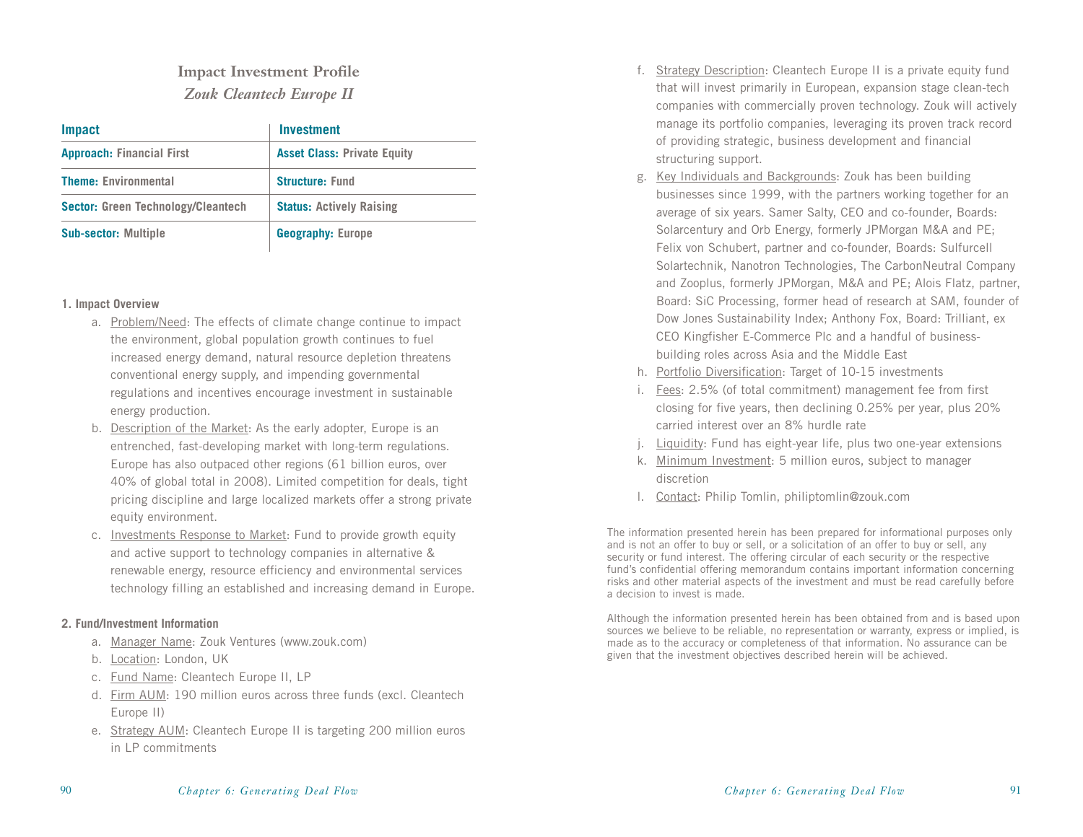### **Impact Investment Profile** *Zouk Cleantech Europe II*

| <b>Impact</b>                             | <b>Investment</b>                  |
|-------------------------------------------|------------------------------------|
| <b>Approach: Financial First</b>          | <b>Asset Class: Private Equity</b> |
| <b>Theme: Environmental</b>               | <b>Structure: Fund</b>             |
| <b>Sector: Green Technology/Cleantech</b> | <b>Status: Actively Raising</b>    |
| <b>Sub-sector: Multiple</b>               | <b>Geography: Europe</b>           |

#### **1. Impact Overview**

- a. Problem/Need: The effects of climate change continue to impact the environment, global population growth continues to fuel increased energy demand, natural resource depletion threatens conventional energy supply, and impending governmental regulations and incentives encourage investment in sustainable energy production.
- b. Description of the Market: As the early adopter, Europe is an entrenched, fast-developing market with long-term regulations. Europe has also outpaced other regions (61 billion euros, over 40% of global total in 2008). Limited competition for deals, tight pricing discipline and large localized markets offer a strong private equity environment.
- c. Investments Response to Market: Fund to provide growth equity and active support to technology companies in alternative & renewable energy, resource efficiency and environmental services technology filling an established and increasing demand in Europe.

#### **2. Fund/Investment Information**

- a. Manager Name: Zouk Ventures (www.zouk.com)
- b. Location: London, UK
- c. Fund Name: Cleantech Europe II, LP
- d. Firm AUM: 190 million euros across three funds (excl. Cleantech Europe II)
- e. Strategy AUM: Cleantech Europe II is targeting 200 million euros in LP commitments
- f. Strategy Description: Cleantech Europe II is a private equity fund that will invest primarily in European, expansion stage clean-tech companies with commercially proven technology. Zouk will actively manage its portfolio companies, leveraging its proven track record of providing strategic, business development and financial structuring support.
- g. Key Individuals and Backgrounds: Zouk has been building businesses since 1999, with the partners working together for an average of six years. Samer Salty, CEO and co-founder, Boards: Solarcentury and Orb Energy, formerly JPMorgan M&A and PE; Felix von Schubert, partner and co-founder, Boards: Sulfurcell Solartechnik, Nanotron Technologies, The CarbonNeutral Company and Zooplus, formerly JPMorgan, M&A and PE; Alois Flatz, partner, Board: SiC Processing, former head of research at SAM, founder of Dow Jones Sustainability Index; Anthony Fox, Board: Trilliant, ex CEO Kingfisher E-Commerce Plc and a handful of businessbuilding roles across Asia and the Middle East
- h. Portfolio Diversification: Target of 10-15 investments
- i. Fees: 2.5% (of total commitment) management fee from first closing for five years, then declining 0.25% per year, plus 20% carried interest over an 8% hurdle rate
- j. Liquidity: Fund has eight-year life, plus two one-year extensions
- k. Minimum Investment: 5 million euros, subject to manager discretion
- l. Contact: Philip Tomlin, philiptomlin@zouk.com

The information presented herein has been prepared for informational purposes only and is not an offer to buy or sell, or a solicitation of an offer to buy or sell, any security or fund interest. The offering circular of each security or the respective fund's confidential offering memorandum contains important information concerning risks and other material aspects of the investment and must be read carefully before a decision to invest is made.

Although the information presented herein has been obtained from and is based upon sources we believe to be reliable, no representation or warranty, express or implied, is made as to the accuracy or completeness of that information. No assurance can be given that the investment objectives described herein will be achieved.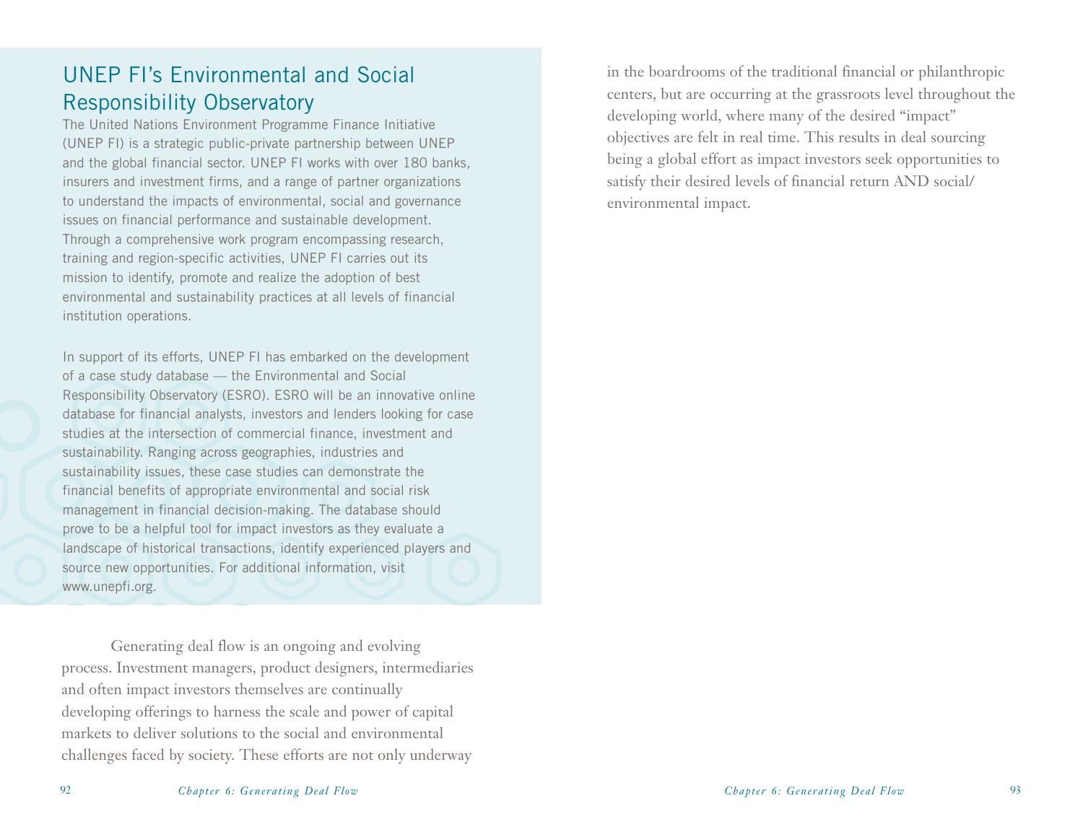# UNEP FI's Environmental and Social Responsibility Observatory

The United Nations Environment Programme Finance Initiative (UNEP FI) is a strategic public-private partnership between UNEP and the global financial sector. UNEP FI works with over 180 banks, insurers and investment firms, and a range of partner organizations to understand the impacts of environmental, social and governance issues on financial performance and sustainable development. Through a comprehensive work program encompassing research, training and region-specific activities, UNEP FI carries out its mission to identify, promote and realize the adoption of best environmental and sustainability practices at all levels of financial institution operations.

In support of its efforts, UNEP FI has embarked on the development of a case study database — the Environmental and Social Responsibility Observatory (ESRO). ESRO will be an innovative online database for financial analysts, investors and lenders looking for case studies at the intersection of commercial finance, investment and sustainability. Ranging across geographies, industries and sustainability issues, these case studies can demonstrate the financial benefits of appropriate environmental and social risk management in financial decision-making. The database should prove to be a helpful tool for impact investors as they evaluate a landscape of historical transactions, identify experienced players and source new opportunities. For additional information, visit www.unepfi.org.

Generating deal flow is an ongoing and evolving process. Investment managers, product designers, intermediaries and often impact investors themselves are continually developing offerings to harness the scale and power of capital markets to deliver solutions to the social and environmental challenges faced by society. These efforts are not only underway

in the boardrooms of the traditional financial or philanthropic centers, but are occurring at the grassroots level throughout the developing world, where many of the desired "impact" objectives are felt in real time. This results in deal sourcing being a global effort as impact investors seek opportunities to satisfy their desired levels of financial return AND social/ environmental impact.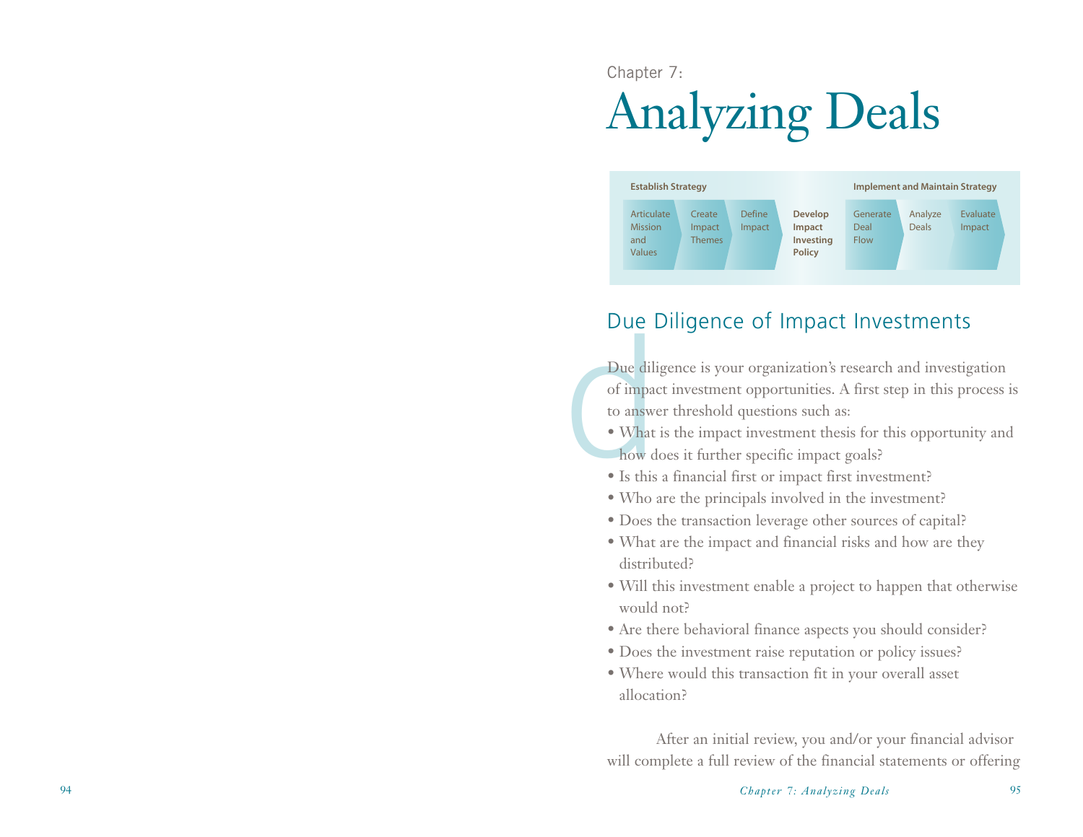# Chapter 7: Analyzing Deals

| <b>Establish Strategy</b>                     |                                          |                         |                                                               |                                 |                         |                                  |  | <b>Implement and Maintain Strategy</b> |  |
|-----------------------------------------------|------------------------------------------|-------------------------|---------------------------------------------------------------|---------------------------------|-------------------------|----------------------------------|--|----------------------------------------|--|
| Articulate<br><b>Mission</b><br>and<br>Values | Create<br><b>Impact</b><br><b>Themes</b> | Define<br><b>Impact</b> | <b>Develop</b><br>Impact<br><b>Investing</b><br><b>Policy</b> | Generate<br>Deal<br><b>Flow</b> | Analyze<br><b>Deals</b> | <b>Evaluate</b><br><b>Impact</b> |  |                                        |  |

# Diligence of Impact Investments

Due I<br>Due dili<br>of impac<br>to answer<br>What<br>Now de Is this Due diligence is your organization's research and investigation of impact investment opportunities. A first step in this process is to answer threshold questions such as:

- What is the impact investment thesis for this opportunity and how does it further specific impact goals?
- Is this a financial first or impact first investment?
- Who are the principals involved in the investment?
- Does the transaction leverage other sources of capital?
- What are the impact and financial risks and how are they distributed?
- Will this investment enable a project to happen that otherwise would not?
- Are there behavioral finance aspects you should consider?
- Does the investment raise reputation or policy issues?
- Where would this transaction fit in your overall asset allocation?

After an initial review, you and/or your financial advisor will complete a full review of the financial statements or offering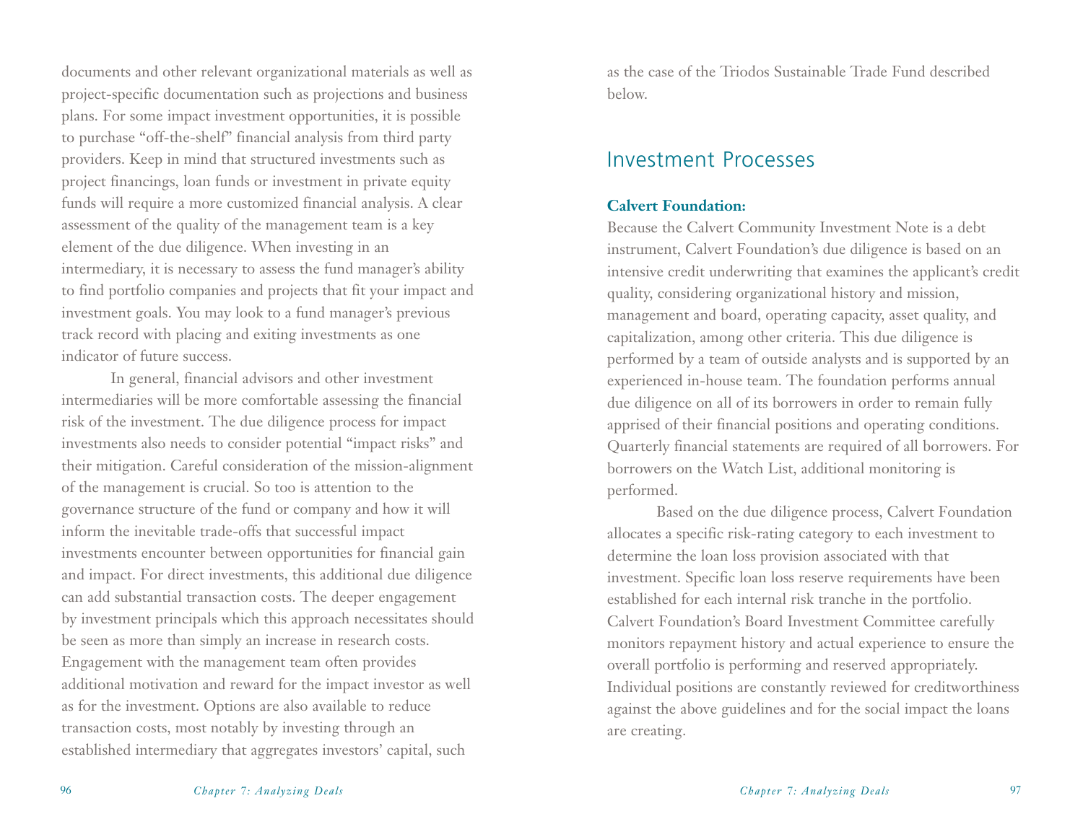documents and other relevant organizational materials as well as project-specific documentation such as projections and business plans. For some impact investment opportunities, it is possible to purchase "off-the-shelf" financial analysis from third party providers. Keep in mind that structured investments such as project financings, loan funds or investment in private equity funds will require a more customized financial analysis. A clear assessment of the quality of the management team is a key element of the due diligence. When investing in an intermediary, it is necessary to assess the fund manager's ability to find portfolio companies and projects that fit your impact and investment goals. You may look to a fund manager's previous track record with placing and exiting investments as one indicator of future success.

In general, financial advisors and other investment intermediaries will be more comfortable assessing the financial risk of the investment. The due diligence process for impact investments also needs to consider potential "impact risks" and their mitigation. Careful consideration of the mission-alignment of the management is crucial. So too is attention to the governance structure of the fund or company and how it will inform the inevitable trade-offs that successful impact investments encounter between opportunities for financial gain and impact. For direct investments, this additional due diligence can add substantial transaction costs. The deeper engagement by investment principals which this approach necessitates should be seen as more than simply an increase in research costs. Engagement with the management team often provides additional motivation and reward for the impact investor as well as for the investment. Options are also available to reduce transaction costs, most notably by investing through an established intermediary that aggregates investors' capital, such

as the case of the Triodos Sustainable Trade Fund described below.

### Investment Processes

#### **Calvert Foundation:**

Because the Calvert Community Investment Note is a debt instrument, Calvert Foundation's due diligence is based on an intensive credit underwriting that examines the applicant's credit quality, considering organizational history and mission, management and board, operating capacity, asset quality, and capitalization, among other criteria. This due diligence is performed by a team of outside analysts and is supported by an experienced in-house team. The foundation performs annual due diligence on all of its borrowers in order to remain fully apprised of their financial positions and operating conditions. Quarterly financial statements are required of all borrowers. For borrowers on the Watch List, additional monitoring is performed.

Based on the due diligence process, Calvert Foundation allocates a specific risk-rating category to each investment to determine the loan loss provision associated with that investment. Specific loan loss reserve requirements have been established for each internal risk tranche in the portfolio. Calvert Foundation's Board Investment Committee carefully monitors repayment history and actual experience to ensure the overall portfolio is performing and reserved appropriately. Individual positions are constantly reviewed for creditworthiness against the above guidelines and for the social impact the loans are creating.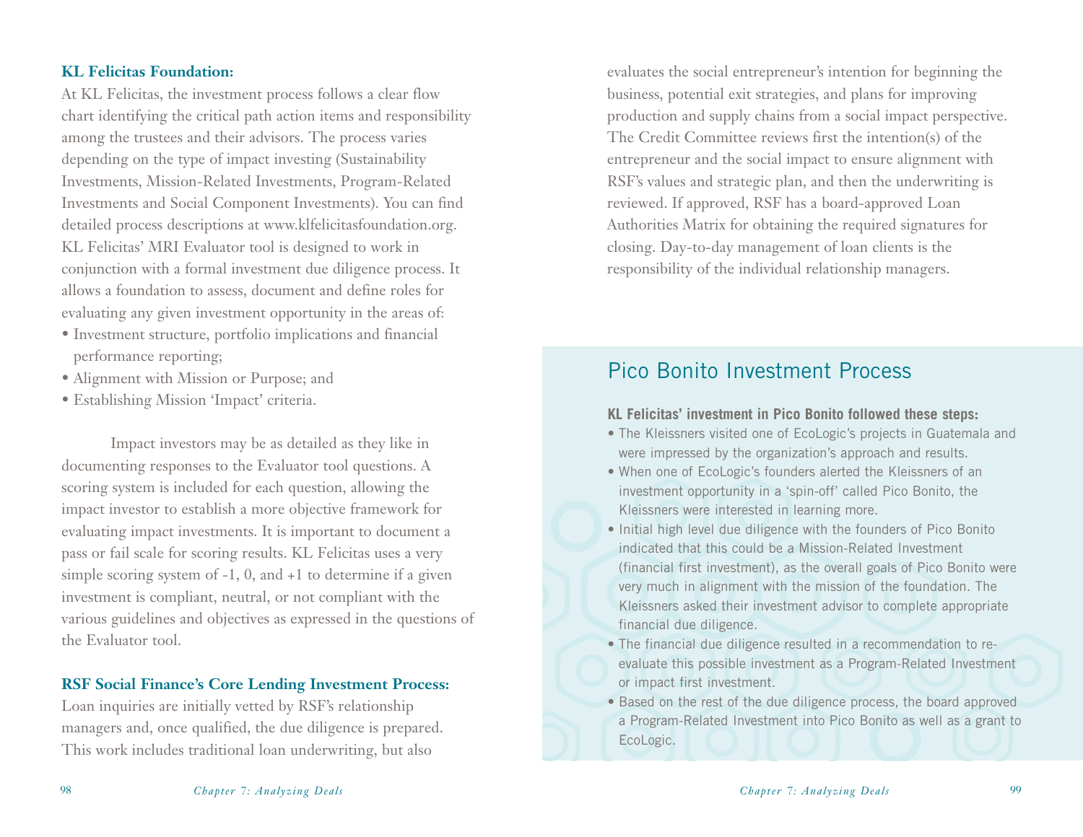#### **KL Felicitas Foundation:**

At KL Felicitas, the investment process follows a clear flow chart identifying the critical path action items and responsibility among the trustees and their advisors. The process varies depending on the type of impact investing (Sustainability Investments, Mission-Related Investments, Program-Related Investments and Social Component Investments). You can find detailed process descriptions at www.klfelicitasfoundation.org. KL Felicitas' MRI Evaluator tool is designed to work in conjunction with a formal investment due diligence process. It allows a foundation to assess, document and define roles for evaluating any given investment opportunity in the areas of:

- Investment structure, portfolio implications and financial performance reporting;
- Alignment with Mission or Purpose; and
- Establishing Mission 'Impact' criteria.

Impact investors may be as detailed as they like in documenting responses to the Evaluator tool questions. A scoring system is included for each question, allowing the impact investor to establish a more objective framework for evaluating impact investments. It is important to document a pass or fail scale for scoring results. KL Felicitas uses a very simple scoring system of -1, 0, and +1 to determine if a given investment is compliant, neutral, or not compliant with the various guidelines and objectives as expressed in the questions of the Evaluator tool.

#### **RSF Social Finance's Core Lending Investment Process:**

Loan inquiries are initially vetted by RSF's relationship managers and, once qualified, the due diligence is prepared. This work includes traditional loan underwriting, but also

evaluates the social entrepreneur's intention for beginning the business, potential exit strategies, and plans for improving production and supply chains from a social impact perspective. The Credit Committee reviews first the intention(s) of the entrepreneur and the social impact to ensure alignment with RSF's values and strategic plan, and then the underwriting is reviewed. If approved, RSF has a board-approved Loan Authorities Matrix for obtaining the required signatures for closing. Day-to-day management of loan clients is the responsibility of the individual relationship managers.

# Pico Bonito Investment Process

#### **KL Felicitas' investment in Pico Bonito followed these steps:**

- The Kleissners visited one of EcoLogic's projects in Guatemala and were impressed by the organization's approach and results.
- When one of EcoLogic's founders alerted the Kleissners of an investment opportunity in a 'spin-off' called Pico Bonito, the Kleissners were interested in learning more.
- Initial high level due diligence with the founders of Pico Bonito indicated that this could be a Mission-Related Investment (financial first investment), as the overall goals of Pico Bonito were very much in alignment with the mission of the foundation. The Kleissners asked their investment advisor to complete appropriate financial due diligence.
- The financial due diligence resulted in a recommendation to reevaluate this possible investment as a Program-Related Investment or impact first investment.
- Based on the rest of the due diligence process, the board approved a Program-Related Investment into Pico Bonito as well as a grant to EcoLogic.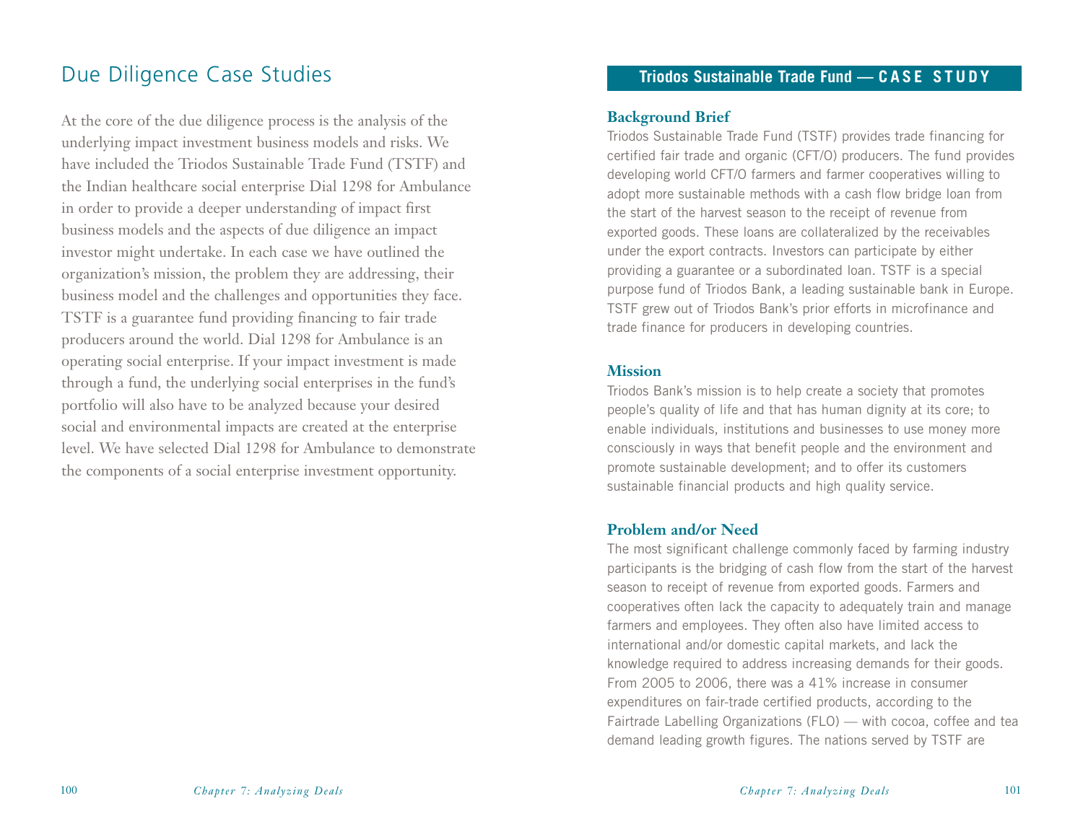# Due Diligence Case Studies

At the core of the due diligence process is the analysis of the underlying impact investment business models and risks. We have included the Triodos Sustainable Trade Fund (TSTF) and the Indian healthcare social enterprise Dial 1298 for Ambulance in order to provide a deeper understanding of impact first business models and the aspects of due diligence an impact investor might undertake. In each case we have outlined the organization's mission, the problem they are addressing, their business model and the challenges and opportunities they face. TSTF is a guarantee fund providing financing to fair trade producers around the world. Dial 1298 for Ambulance is an operating social enterprise. If your impact investment is made through a fund, the underlying social enterprises in the fund's portfolio will also have to be analyzed because your desired social and environmental impacts are created at the enterprise level. We have selected Dial 1298 for Ambulance to demonstrate the components of a social enterprise investment opportunity.

#### **Triodos Sustainable Trade Fund — C A S E S T U D Y**

#### **Background Brief**

Triodos Sustainable Trade Fund (TSTF) provides trade financing for certified fair trade and organic (CFT/O) producers. The fund provides developing world CFT/O farmers and farmer cooperatives willing to adopt more sustainable methods with a cash flow bridge loan from the start of the harvest season to the receipt of revenue from exported goods. These loans are collateralized by the receivables under the export contracts. Investors can participate by either providing a guarantee or a subordinated loan. TSTF is a special purpose fund of Triodos Bank, a leading sustainable bank in Europe. TSTF grew out of Triodos Bank's prior efforts in microfinance and trade finance for producers in developing countries.

#### **Mission**

Triodos Bank's mission is to help create a society that promotes people's quality of life and that has human dignity at its core; to enable individuals, institutions and businesses to use money more consciously in ways that benefit people and the environment and promote sustainable development; and to offer its customers sustainable financial products and high quality service.

#### **Problem and/or Need**

The most significant challenge commonly faced by farming industry participants is the bridging of cash flow from the start of the harvest season to receipt of revenue from exported goods. Farmers and cooperatives often lack the capacity to adequately train and manage farmers and employees. They often also have limited access to international and/or domestic capital markets, and lack the knowledge required to address increasing demands for their goods. From 2005 to 2006, there was a 41% increase in consumer expenditures on fair-trade certified products, according to the Fairtrade Labelling Organizations (FLO) — with cocoa, coffee and tea demand leading growth figures. The nations served by TSTF are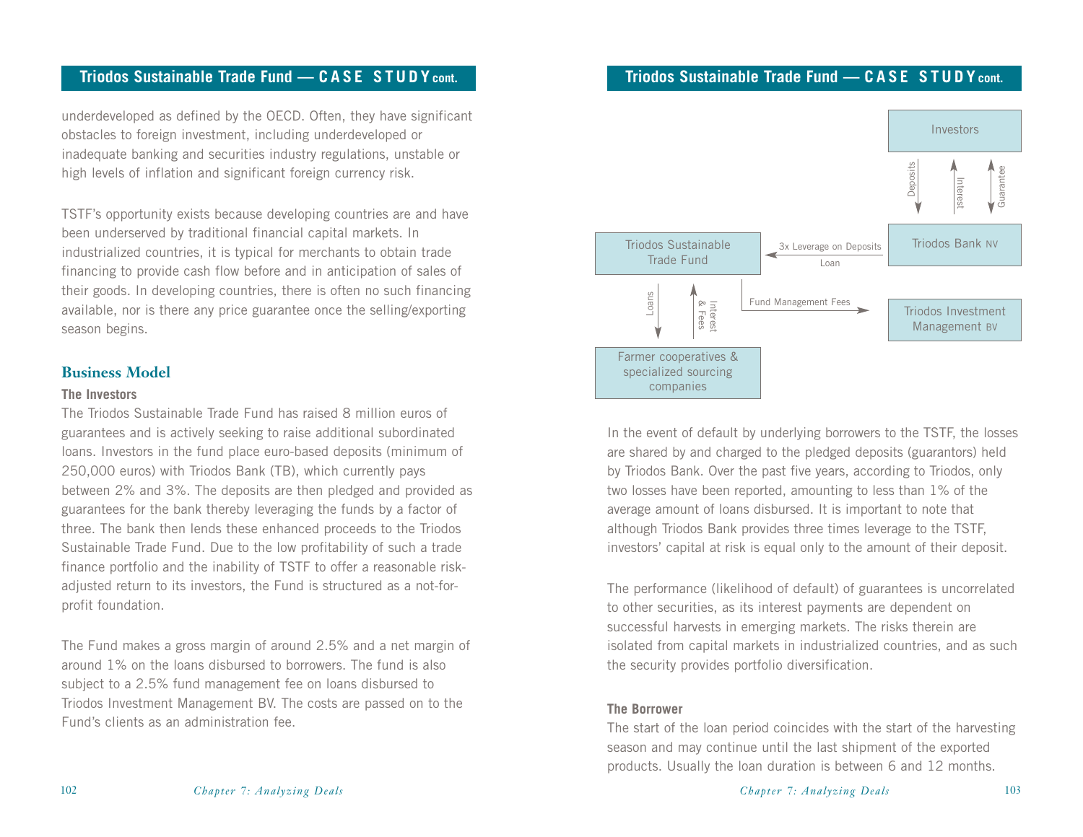underdeveloped as defined by the OECD. Often, they have significant obstacles to foreign investment, including underdeveloped or inadequate banking and securities industry regulations, unstable or high levels of inflation and significant foreign currency risk.

TSTF's opportunity exists because developing countries are and have been underserved by traditional financial capital markets. In industrialized countries, it is typical for merchants to obtain trade financing to provide cash flow before and in anticipation of sales of their goods. In developing countries, there is often no such financing available, nor is there any price guarantee once the selling/exporting season begins.

#### **Business Model**

#### **The Investors**

The Triodos Sustainable Trade Fund has raised 8 million euros of guarantees and is actively seeking to raise additional subordinated loans. Investors in the fund place euro-based deposits (minimum of 250,000 euros) with Triodos Bank (TB), which currently pays between 2% and 3%. The deposits are then pledged and provided as guarantees for the bank thereby leveraging the funds by a factor of three. The bank then lends these enhanced proceeds to the Triodos Sustainable Trade Fund. Due to the low profitability of such a trade finance portfolio and the inability of TSTF to offer a reasonable riskadjusted return to its investors, the Fund is structured as a not-forprofit foundation.

The Fund makes a gross margin of around 2.5% and a net margin of around 1% on the loans disbursed to borrowers. The fund is also subject to a 2.5% fund management fee on loans disbursed to Triodos Investment Management BV. The costs are passed on to the Fund's clients as an administration fee.





In the event of default by underlying borrowers to the TSTF, the losses are shared by and charged to the pledged deposits (guarantors) held by Triodos Bank. Over the past five years, according to Triodos, only two losses have been reported, amounting to less than 1% of the average amount of loans disbursed. It is important to note that although Triodos Bank provides three times leverage to the TSTF, investors' capital at risk is equal only to the amount of their deposit.

The performance (likelihood of default) of guarantees is uncorrelated to other securities, as its interest payments are dependent on successful harvests in emerging markets. The risks therein are isolated from capital markets in industrialized countries, and as such the security provides portfolio diversification.

#### **The Borrower**

The start of the loan period coincides with the start of the harvesting season and may continue until the last shipment of the exported products. Usually the loan duration is between 6 and 12 months.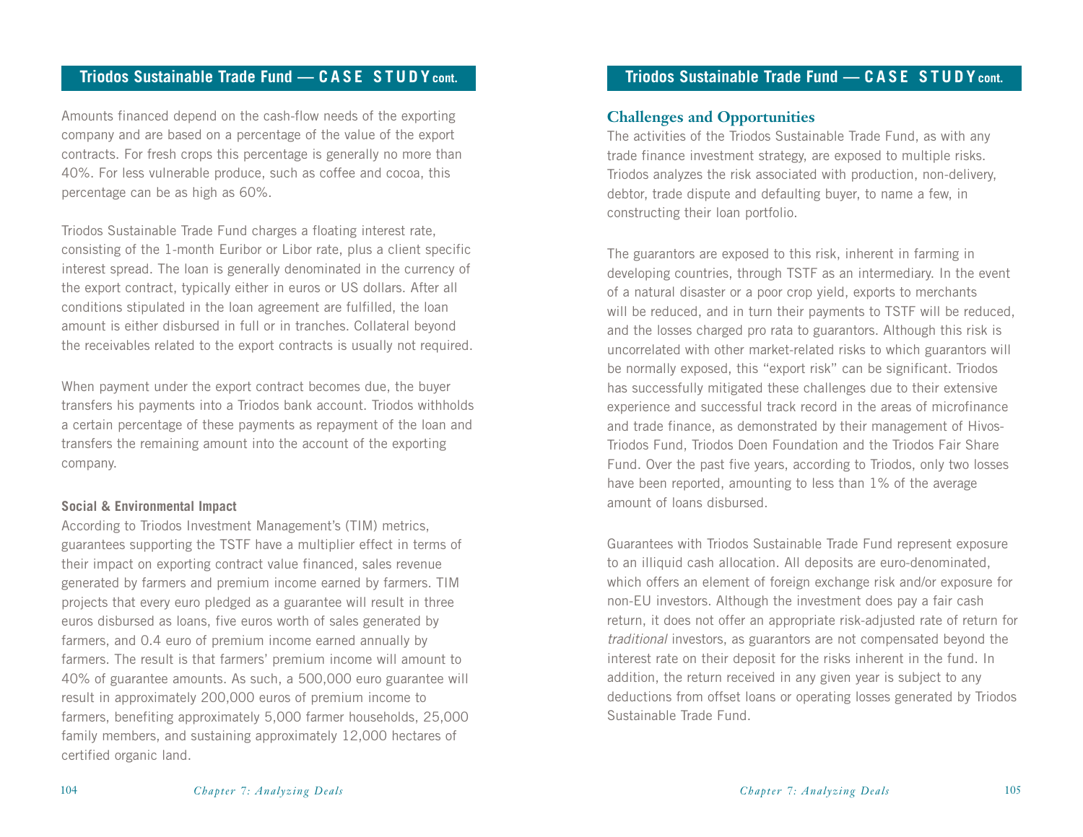#### Triodos Sustainable Trade Fund — CASE STUDY cont. Triodos Sustainable Trade Fund — CASE STUDY cont.

Amounts financed depend on the cash-flow needs of the exporting company and are based on a percentage of the value of the export contracts. For fresh crops this percentage is generally no more than 40%. For less vulnerable produce, such as coffee and cocoa, this percentage can be as high as 60%.

Triodos Sustainable Trade Fund charges a floating interest rate, consisting of the 1-month Euribor or Libor rate, plus a client specific interest spread. The loan is generally denominated in the currency of the export contract, typically either in euros or US dollars. After all conditions stipulated in the loan agreement are fulfilled, the loan amount is either disbursed in full or in tranches. Collateral beyond the receivables related to the export contracts is usually not required.

When payment under the export contract becomes due, the buyer transfers his payments into a Triodos bank account. Triodos withholds a certain percentage of these payments as repayment of the loan and transfers the remaining amount into the account of the exporting company.

#### **Social & Environmental Impact**

According to Triodos Investment Management's (TIM) metrics, guarantees supporting the TSTF have a multiplier effect in terms of their impact on exporting contract value financed, sales revenue generated by farmers and premium income earned by farmers. TIM projects that every euro pledged as a guarantee will result in three euros disbursed as loans, five euros worth of sales generated by farmers, and 0.4 euro of premium income earned annually by farmers. The result is that farmers' premium income will amount to 40% of guarantee amounts. As such, a 500,000 euro guarantee will result in approximately 200,000 euros of premium income to farmers, benefiting approximately 5,000 farmer households, 25,000 family members, and sustaining approximately 12,000 hectares of certified organic land.

#### **Challenges and Opportunities**

The activities of the Triodos Sustainable Trade Fund, as with any trade finance investment strategy, are exposed to multiple risks. Triodos analyzes the risk associated with production, non-delivery, debtor, trade dispute and defaulting buyer, to name a few, in constructing their loan portfolio.

The guarantors are exposed to this risk, inherent in farming in developing countries, through TSTF as an intermediary. In the event of a natural disaster or a poor crop yield, exports to merchants will be reduced, and in turn their payments to TSTF will be reduced, and the losses charged pro rata to guarantors. Although this risk is uncorrelated with other market-related risks to which guarantors will be normally exposed, this "export risk" can be significant. Triodos has successfully mitigated these challenges due to their extensive experience and successful track record in the areas of microfinance and trade finance, as demonstrated by their management of Hivos-Triodos Fund, Triodos Doen Foundation and the Triodos Fair Share Fund. Over the past five years, according to Triodos, only two losses have been reported, amounting to less than 1% of the average amount of loans disbursed.

Guarantees with Triodos Sustainable Trade Fund represent exposure to an illiquid cash allocation. All deposits are euro-denominated, which offers an element of foreign exchange risk and/or exposure for non-EU investors. Although the investment does pay a fair cash return, it does not offer an appropriate risk-adjusted rate of return for *traditional* investors, as guarantors are not compensated beyond the interest rate on their deposit for the risks inherent in the fund. In addition, the return received in any given year is subject to any deductions from offset loans or operating losses generated by Triodos Sustainable Trade Fund.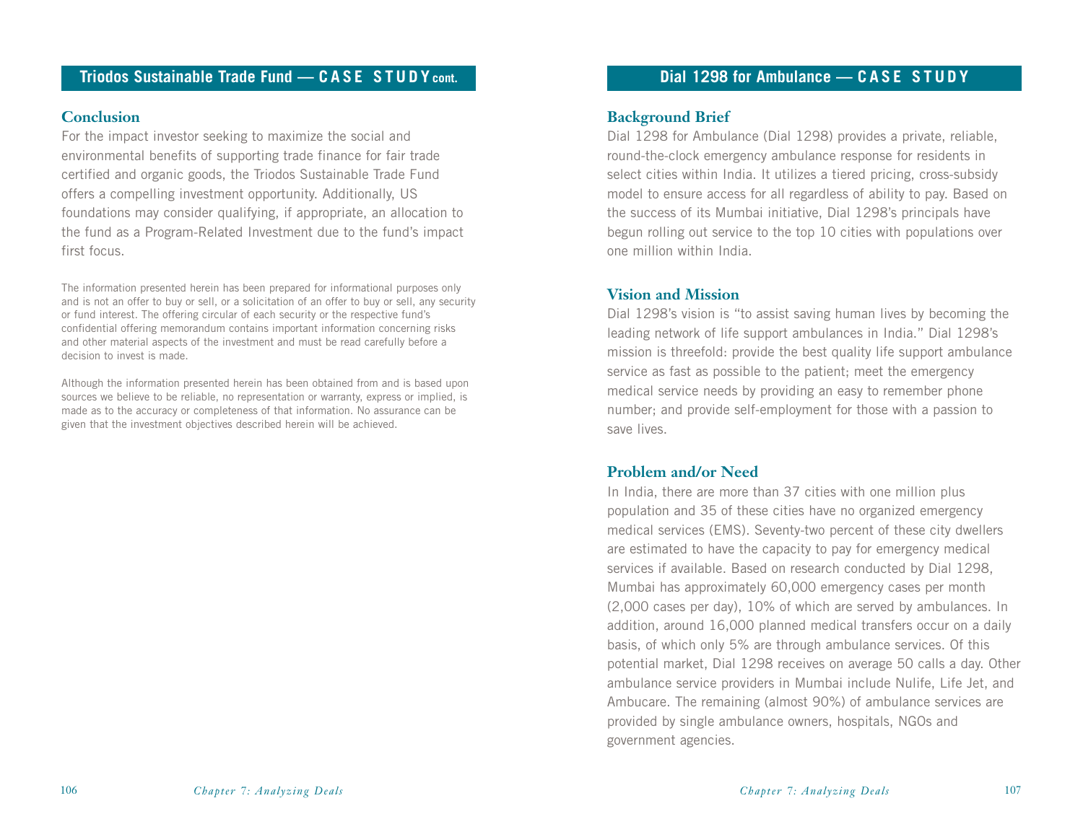#### **Conclusion**

For the impact investor seeking to maximize the social and environmental benefits of supporting trade finance for fair trade certified and organic goods, the Triodos Sustainable Trade Fund offers a compelling investment opportunity. Additionally, US foundations may consider qualifying, if appropriate, an allocation to the fund as a Program-Related Investment due to the fund's impact first focus.

The information presented herein has been prepared for informational purposes only and is not an offer to buy or sell, or a solicitation of an offer to buy or sell, any security or fund interest. The offering circular of each security or the respective fund's confidential offering memorandum contains important information concerning risks and other material aspects of the investment and must be read carefully before a decision to invest is made.

Although the information presented herein has been obtained from and is based upon sources we believe to be reliable, no representation or warranty, express or implied, is made as to the accuracy or completeness of that information. No assurance can be given that the investment objectives described herein will be achieved.

#### **Background Brief**

Dial 1298 for Ambulance (Dial 1298) provides a private, reliable, round-the-clock emergency ambulance response for residents in select cities within India. It utilizes a tiered pricing, cross-subsidy model to ensure access for all regardless of ability to pay. Based on the success of its Mumbai initiative, Dial 1298's principals have begun rolling out service to the top 10 cities with populations over one million within India.

#### **Vision and Mission**

Dial 1298's vision is "to assist saving human lives by becoming the leading network of life support ambulances in India." Dial 1298's mission is threefold: provide the best quality life support ambulance service as fast as possible to the patient; meet the emergency medical service needs by providing an easy to remember phone number; and provide self-employment for those with a passion to save lives.

#### **Problem and/or Need**

In India, there are more than 37 cities with one million plus population and 35 of these cities have no organized emergency medical services (EMS). Seventy-two percent of these city dwellers are estimated to have the capacity to pay for emergency medical services if available. Based on research conducted by Dial 1298, Mumbai has approximately 60,000 emergency cases per month (2,000 cases per day), 10% of which are served by ambulances. In addition, around 16,000 planned medical transfers occur on a daily basis, of which only 5% are through ambulance services. Of this potential market, Dial 1298 receives on average 50 calls a day. Other ambulance service providers in Mumbai include Nulife, Life Jet, and Ambucare. The remaining (almost 90%) of ambulance services are provided by single ambulance owners, hospitals, NGOs and government agencies.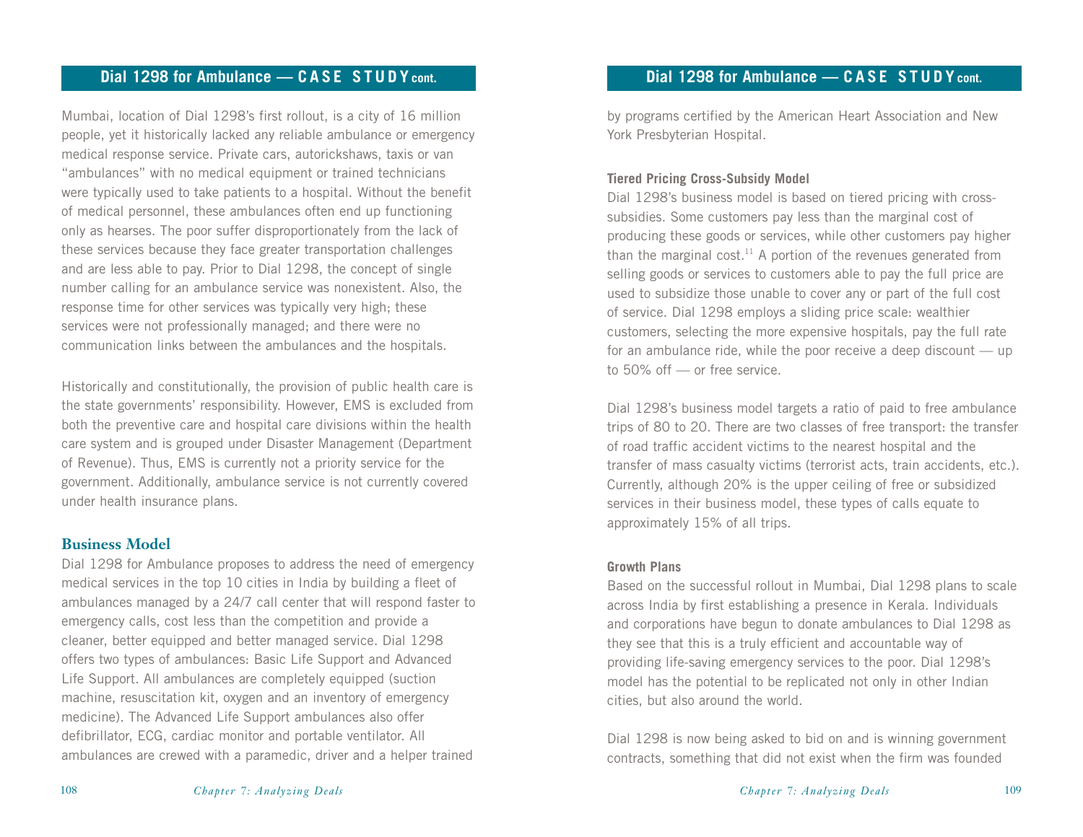Mumbai, location of Dial 1298's first rollout, is a city of 16 million people, yet it historically lacked any reliable ambulance or emergency medical response service. Private cars, autorickshaws, taxis or van "ambulances" with no medical equipment or trained technicians were typically used to take patients to a hospital. Without the benefit of medical personnel, these ambulances often end up functioning only as hearses. The poor suffer disproportionately from the lack of these services because they face greater transportation challenges and are less able to pay. Prior to Dial 1298, the concept of single number calling for an ambulance service was nonexistent. Also, the response time for other services was typically very high; these services were not professionally managed; and there were no communication links between the ambulances and the hospitals.

Historically and constitutionally, the provision of public health care is the state governments' responsibility. However, EMS is excluded from both the preventive care and hospital care divisions within the health care system and is grouped under Disaster Management (Department of Revenue). Thus, EMS is currently not a priority service for the government. Additionally, ambulance service is not currently covered under health insurance plans.

#### **Business Model**

Dial 1298 for Ambulance proposes to address the need of emergency medical services in the top 10 cities in India by building a fleet of ambulances managed by a 24/7 call center that will respond faster to emergency calls, cost less than the competition and provide a cleaner, better equipped and better managed service. Dial 1298 offers two types of ambulances: Basic Life Support and Advanced Life Support. All ambulances are completely equipped (suction machine, resuscitation kit, oxygen and an inventory of emergency medicine). The Advanced Life Support ambulances also offer defibrillator, ECG, cardiac monitor and portable ventilator. All ambulances are crewed with a paramedic, driver and a helper trained

#### Dial 1298 for Ambulance — CASE STUDY cont. Dial 1298 for Ambulance — CASE STUDY cont.

by programs certified by the American Heart Association and New York Presbyterian Hospital.

#### **Tiered Pricing Cross-Subsidy Model**

Dial 1298's business model is based on tiered pricing with crosssubsidies. Some customers pay less than the marginal cost of producing these goods or services, while other customers pay higher than the marginal cost. $^{11}$  A portion of the revenues generated from selling goods or services to customers able to pay the full price are used to subsidize those unable to cover any or part of the full cost of service. Dial 1298 employs a sliding price scale: wealthier customers, selecting the more expensive hospitals, pay the full rate for an ambulance ride, while the poor receive a deep discount — up to 50% off — or free service.

Dial 1298's business model targets a ratio of paid to free ambulance trips of 80 to 20. There are two classes of free transport: the transfer of road traffic accident victims to the nearest hospital and the transfer of mass casualty victims (terrorist acts, train accidents, etc.). Currently, although 20% is the upper ceiling of free or subsidized services in their business model, these types of calls equate to approximately 15% of all trips.

#### **Growth Plans**

Based on the successful rollout in Mumbai, Dial 1298 plans to scale across India by first establishing a presence in Kerala. Individuals and corporations have begun to donate ambulances to Dial 1298 as they see that this is a truly efficient and accountable way of providing life-saving emergency services to the poor. Dial 1298's model has the potential to be replicated not only in other Indian cities, but also around the world.

Dial 1298 is now being asked to bid on and is winning government contracts, something that did not exist when the firm was founded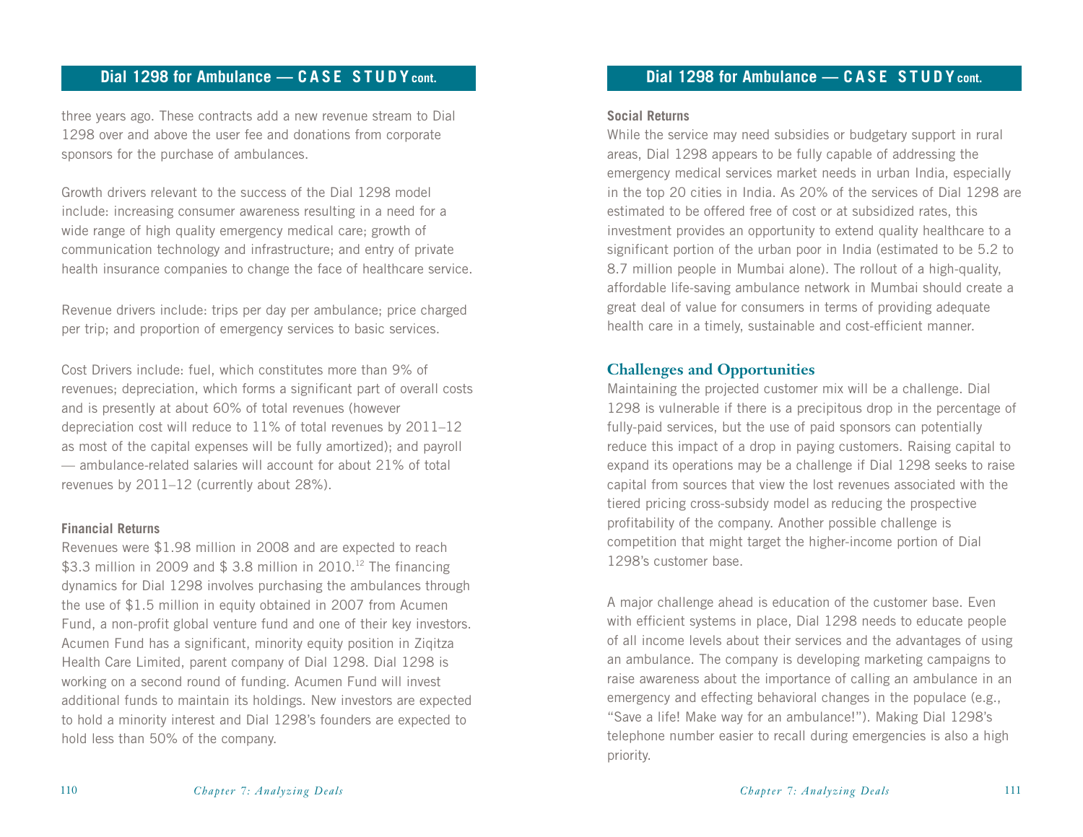#### Dial 1298 for Ambulance — CASE STUDY cont. The Context of Dial 1298 for Ambulance — CASE STUDY cont.

three years ago. These contracts add a new revenue stream to Dial 1298 over and above the user fee and donations from corporate sponsors for the purchase of ambulances.

Growth drivers relevant to the success of the Dial 1298 model include: increasing consumer awareness resulting in a need for a wide range of high quality emergency medical care; growth of communication technology and infrastructure; and entry of private health insurance companies to change the face of healthcare service.

Revenue drivers include: trips per day per ambulance; price charged per trip; and proportion of emergency services to basic services.

Cost Drivers include: fuel, which constitutes more than 9% of revenues; depreciation, which forms a significant part of overall costs and is presently at about 60% of total revenues (however depreciation cost will reduce to 11% of total revenues by 2011–12 as most of the capital expenses will be fully amortized); and payroll — ambulance-related salaries will account for about 21% of total revenues by 2011–12 (currently about 28%).

#### **Financial Returns**

Revenues were \$1.98 million in 2008 and are expected to reach \$3.3 million in 2009 and \$ 3.8 million in 2010. <sup>12</sup> The financing dynamics for Dial 1298 involves purchasing the ambulances through the use of \$1.5 million in equity obtained in 2007 from Acumen Fund, a non-profit global venture fund and one of their key investors. Acumen Fund has a significant, minority equity position in Ziqitza Health Care Limited, parent company of Dial 1298. Dial 1298 is working on a second round of funding. Acumen Fund will invest additional funds to maintain its holdings. New investors are expected to hold a minority interest and Dial 1298's founders are expected to hold less than 50% of the company.

#### **Social Returns**

While the service may need subsidies or budgetary support in rural areas, Dial 1298 appears to be fully capable of addressing the emergency medical services market needs in urban India, especially in the top 20 cities in India. As 20% of the services of Dial 1298 are estimated to be offered free of cost or at subsidized rates, this investment provides an opportunity to extend quality healthcare to a significant portion of the urban poor in India (estimated to be 5.2 to 8.7 million people in Mumbai alone). The rollout of a high-quality, affordable life-saving ambulance network in Mumbai should create a great deal of value for consumers in terms of providing adequate health care in a timely, sustainable and cost-efficient manner.

#### **Challenges and Opportunities**

Maintaining the projected customer mix will be a challenge. Dial 1298 is vulnerable if there is a precipitous drop in the percentage of fully-paid services, but the use of paid sponsors can potentially reduce this impact of a drop in paying customers. Raising capital to expand its operations may be a challenge if Dial 1298 seeks to raise capital from sources that view the lost revenues associated with the tiered pricing cross-subsidy model as reducing the prospective profitability of the company. Another possible challenge is competition that might target the higher-income portion of Dial 1298's customer base.

A major challenge ahead is education of the customer base. Even with efficient systems in place, Dial 1298 needs to educate people of all income levels about their services and the advantages of using an ambulance. The company is developing marketing campaigns to raise awareness about the importance of calling an ambulance in an emergency and effecting behavioral changes in the populace (e.g., "Save a life! Make way for an ambulance!"). Making Dial 1298's telephone number easier to recall during emergencies is also a high priority.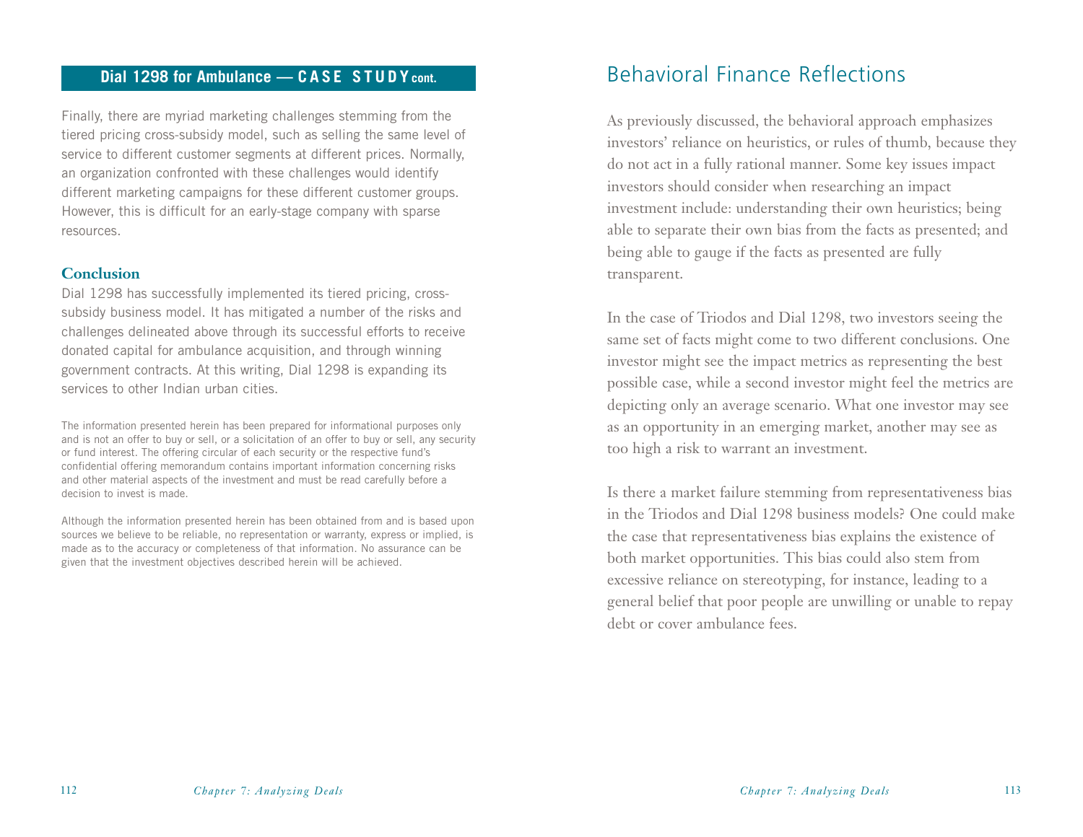#### **Dial 1298 for Ambulance — C A S E S T U D Y cont.**

Finally, there are myriad marketing challenges stemming from the tiered pricing cross-subsidy model, such as selling the same level of service to different customer segments at different prices. Normally, an organization confronted with these challenges would identify different marketing campaigns for these different customer groups. However, this is difficult for an early-stage company with sparse resources.

#### **Conclusion**

Dial 1298 has successfully implemented its tiered pricing, crosssubsidy business model. It has mitigated a number of the risks and challenges delineated above through its successful efforts to receive donated capital for ambulance acquisition, and through winning government contracts. At this writing, Dial 1298 is expanding its services to other Indian urban cities.

The information presented herein has been prepared for informational purposes only and is not an offer to buy or sell, or a solicitation of an offer to buy or sell, any security or fund interest. The offering circular of each security or the respective fund's confidential offering memorandum contains important information concerning risks and other material aspects of the investment and must be read carefully before a decision to invest is made.

Although the information presented herein has been obtained from and is based upon sources we believe to be reliable, no representation or warranty, express or implied, is made as to the accuracy or completeness of that information. No assurance can be given that the investment objectives described herein will be achieved.

# Behavioral Finance Reflections

As previously discussed, the behavioral approach emphasizes investors' reliance on heuristics, or rules of thumb, because they do not act in a fully rational manner. Some key issues impact investors should consider when researching an impact investment include: understanding their own heuristics; being able to separate their own bias from the facts as presented; and being able to gauge if the facts as presented are fully transparent.

In the case of Triodos and Dial 1298, two investors seeing the same set of facts might come to two different conclusions. One investor might see the impact metrics as representing the best possible case, while a second investor might feel the metrics are depicting only an average scenario. What one investor may see as an opportunity in an emerging market, another may see as too high a risk to warrant an investment.

Is there a market failure stemming from representativeness bias in the Triodos and Dial 1298 business models? One could make the case that representativeness bias explains the existence of both market opportunities. This bias could also stem from excessive reliance on stereotyping, for instance, leading to a general belief that poor people are unwilling or unable to repay debt or cover ambulance fees.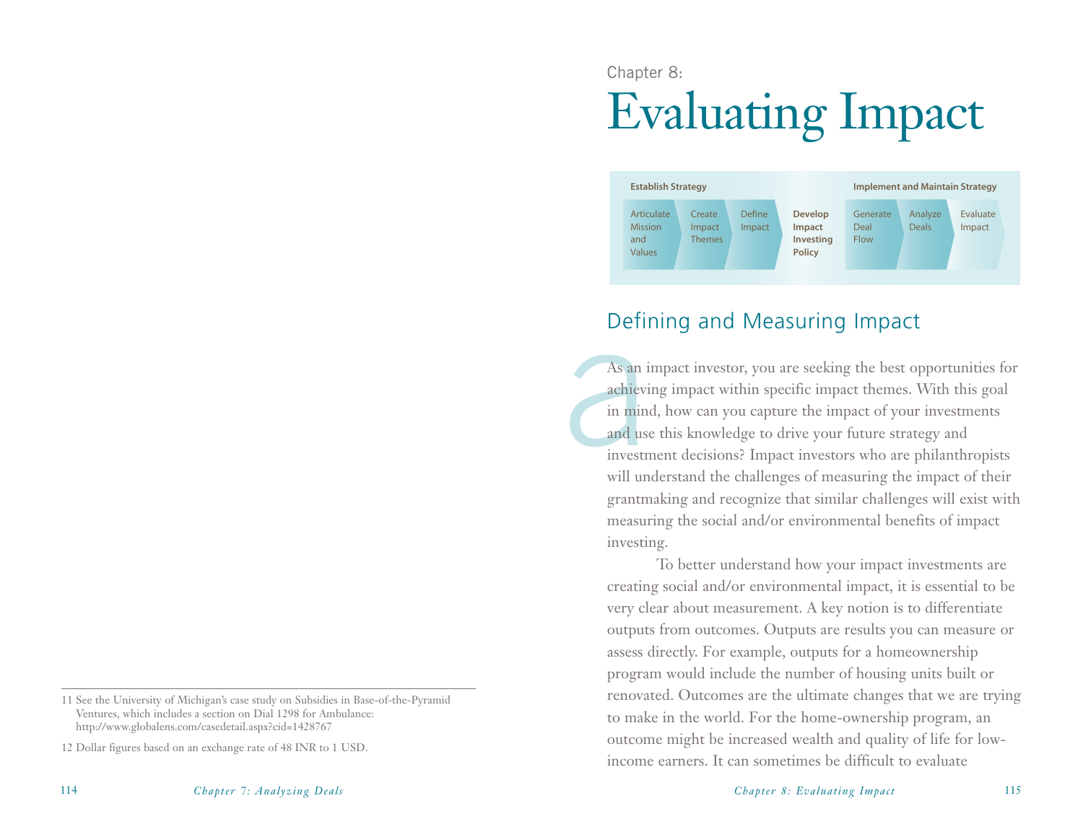Chapter 8:

# Evaluating Impact

|                                               | <b>Establish Strategy</b>                |                                |                                                        |                                 | <b>Implement and Maintain Strategy</b> |                           |
|-----------------------------------------------|------------------------------------------|--------------------------------|--------------------------------------------------------|---------------------------------|----------------------------------------|---------------------------|
| Articulate<br><b>Mission</b><br>and<br>Values | Create<br><i>Impact</i><br><b>Themes</b> | <b>Define</b><br><i>Impact</i> | <b>Develop</b><br>Impact<br>Investing<br><b>Policy</b> | Generate<br>Deal<br><b>Flow</b> | Analyze<br><b>Deals</b>                | Evaluate<br><i>Impact</i> |

# Defining and Measuring Impact

Defin<br>As an i<br>achievi<br>in mine<br>and use<br>investme<br>will un As an impact investor, you are seeking the best opportunities for achieving impact within specific impact themes. With this goal in mind, how can you capture the impact of your investments and use this knowledge to drive your future strategy and investment decisions? Impact investors who are philanthropists will understand the challenges of measuring the impact of their grantmaking and recognize that similar challenges will exist with measuring the social and/or environmental benefits of impact investing.

To better understand how your impact investments are creating social and/or environmental impact, it is essential to be very clear about measurement. A key notion is to differentiate outputs from outcomes. Outputs are results you can measure or assess directly. For example, outputs for a homeownership program would include the number of housing units built or renovated. Outcomes are the ultimate changes that we are trying to make in the world. For the home-ownership program, an outcome might be increased wealth and quality of life for lowincome earners. It can sometimes be difficult to evaluate

<sup>11</sup> See the University of Michigan's case study on Subsidies in Base-of-the-Pyramid Ventures, which includes a section on Dial 1298 for Ambulance: http://www.globalens.com/casedetail.aspx?cid=1428767

<sup>12</sup> Dollar figures based on an exchange rate of 48 INR to 1 USD.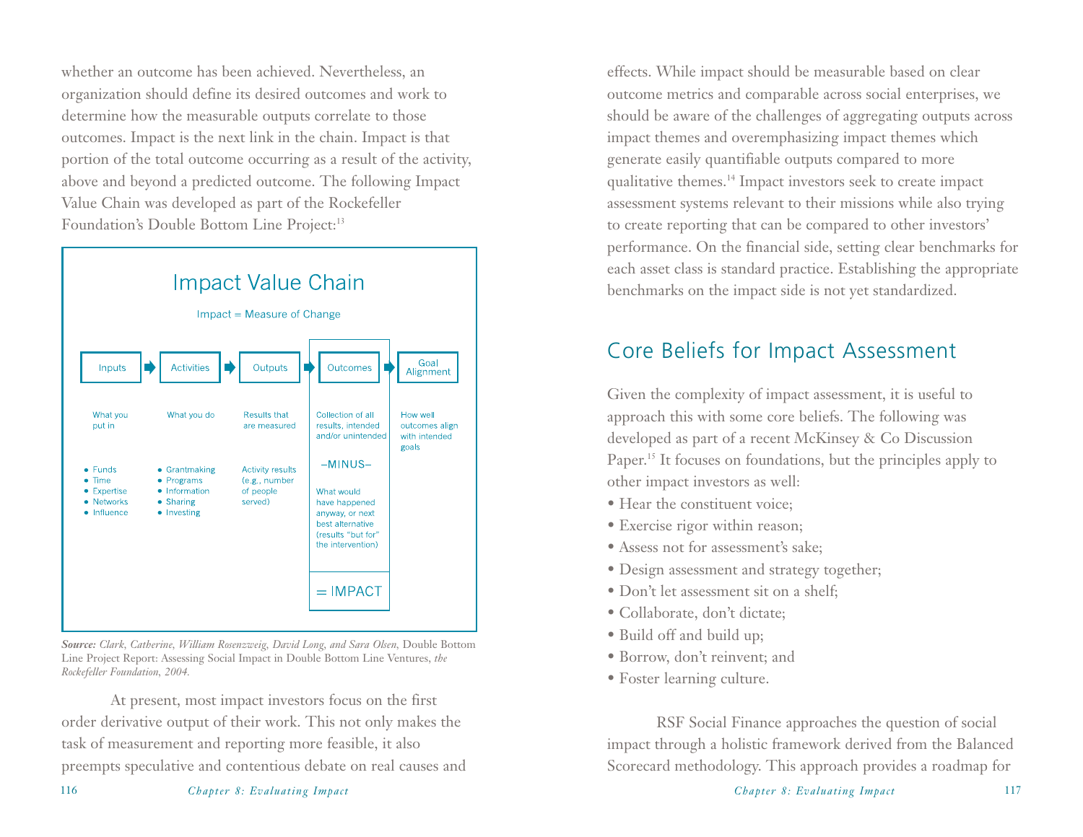whether an outcome has been achieved. Nevertheless, an organization should define its desired outcomes and work to determine how the measurable outputs correlate to those outcomes. Impact is the next link in the chain. Impact is that portion of the total outcome occurring as a result of the activity, above and beyond a predicted outcome. The following Impact Value Chain was developed as part of the Rockefeller Foundation's Double Bottom Line Project: 13



*Source: Clark, Catherine, William Rosenzweig, David Long, and Sara Olsen,* Double Bottom Line Project Report: Assessing Social Impact in Double Bottom Line Ventures, *the Rockefeller Foundation, 2004.*

At present, most impact investors focus on the first order derivative output of their work. This not only makes the task of measurement and reporting more feasible, it also preempts speculative and contentious debate on real causes and effects. While impact should be measurable based on clear outcome metrics and comparable across social enterprises, we should be aware of the challenges of aggregating outputs across impact themes and overemphasizing impact themes which generate easily quantifiable outputs compared to more qualitative themes. <sup>14</sup> Impact investors seek to create impact assessment systems relevant to their missions while also trying to create reporting that can be compared to other investors' performance. On the financial side, setting clear benchmarks for each asset class is standard practice. Establishing the appropriate benchmarks on the impact side is not yet standardized.

# Core Beliefs for Impact Assessment

Given the complexity of impact assessment, it is useful to approach this with some core beliefs. The following was developed as part of a recent McKinsey & Co Discussion Paper.<sup>15</sup> It focuses on foundations, but the principles apply to other impact investors as well:

- Hear the constituent voice;
- Exercise rigor within reason;
- Assess not for assessment's sake;
- Design assessment and strategy together;
- Don't let assessment sit on a shelf;
- Collaborate, don't dictate;
- Build off and build up;
- Borrow, don't reinvent; and
- Foster learning culture.

RSF Social Finance approaches the question of social impact through a holistic framework derived from the Balanced Scorecard methodology. This approach provides a roadmap for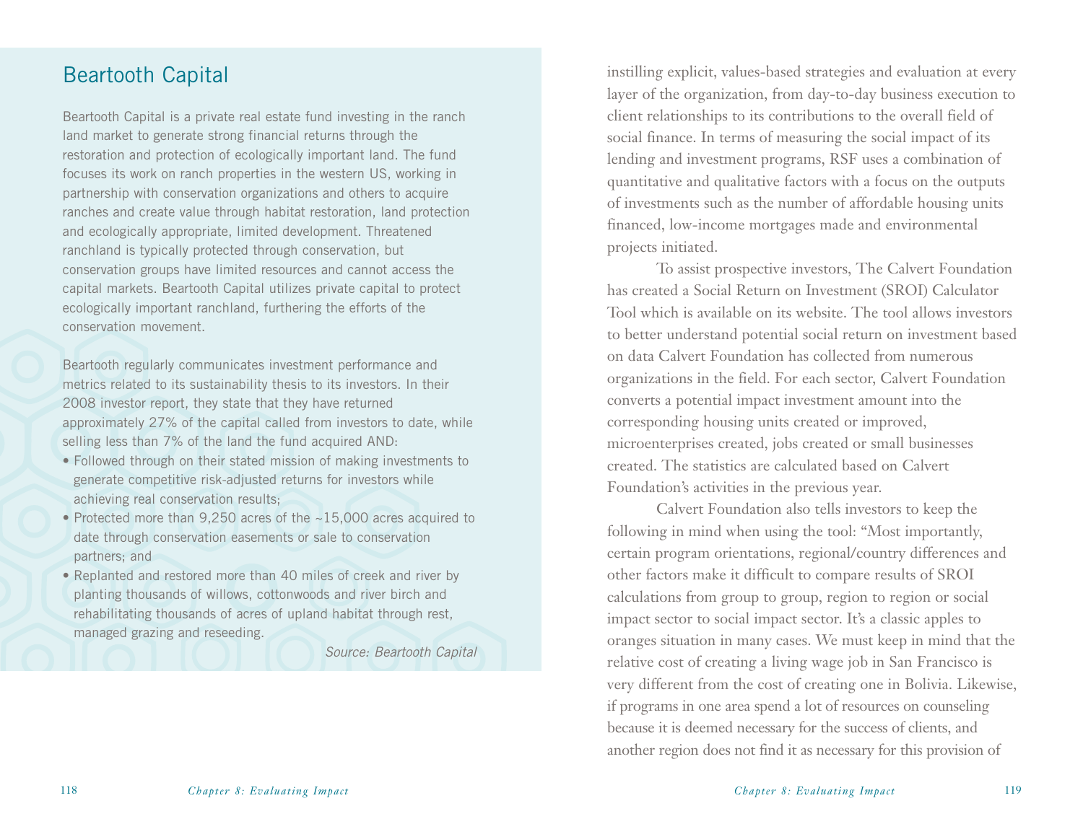# Beartooth Capital

Beartooth Capital is a private real estate fund investing in the ranch land market to generate strong financial returns through the restoration and protection of ecologically important land. The fund focuses its work on ranch properties in the western US, working in partnership with conservation organizations and others to acquire ranches and create value through habitat restoration, land protection and ecologically appropriate, limited development. Threatened ranchland is typically protected through conservation, but conservation groups have limited resources and cannot access the capital markets. Beartooth Capital utilizes private capital to protect ecologically important ranchland, furthering the efforts of the conservation movement.

Beartooth regularly communicates investment performance and metrics related to its sustainability thesis to its investors. In their 2008 investor report, they state that they have returned approximately 27% of the capital called from investors to date, while selling less than 7% of the land the fund acquired AND:

- Followed through on their stated mission of making investments to generate competitive risk-adjusted returns for investors while achieving real conservation results;
- Protected more than 9,250 acres of the ~15,000 acres acquired to date through conservation easements or sale to conservation partners; and
- Replanted and restored more than 40 miles of creek and river by planting thousands of willows, cottonwoods and river birch and rehabilitating thousands of acres of upland habitat through rest, managed grazing and reseeding.

*Source: Beartooth Capital*

instilling explicit, values-based strategies and evaluation at every layer of the organization, from day-to-day business execution to client relationships to its contributions to the overall field of social finance. In terms of measuring the social impact of its lending and investment programs, RSF uses a combination of quantitative and qualitative factors with a focus on the outputs of investments such as the number of affordable housing units financed, low-income mortgages made and environmental projects initiated.

To assist prospective investors, The Calvert Foundation has created a Social Return on Investment (SROI) Calculator Tool which is available on its website. The tool allows investors to better understand potential social return on investment based on data Calvert Foundation has collected from numerous organizations in the field. For each sector, Calvert Foundation converts a potential impact investment amount into the corresponding housing units created or improved, microenterprises created, jobs created or small businesses created. The statistics are calculated based on Calvert Foundation's activities in the previous year.

Calvert Foundation also tells investors to keep the following in mind when using the tool: "Most importantly, certain program orientations, regional/country differences and other factors make it difficult to compare results of SROI calculations from group to group, region to region or social impact sector to social impact sector. It's a classic apples to oranges situation in many cases. We must keep in mind that the relative cost of creating a living wage job in San Francisco is very different from the cost of creating one in Bolivia. Likewise, if programs in one area spend a lot of resources on counseling because it is deemed necessary for the success of clients, and another region does not find it as necessary for this provision of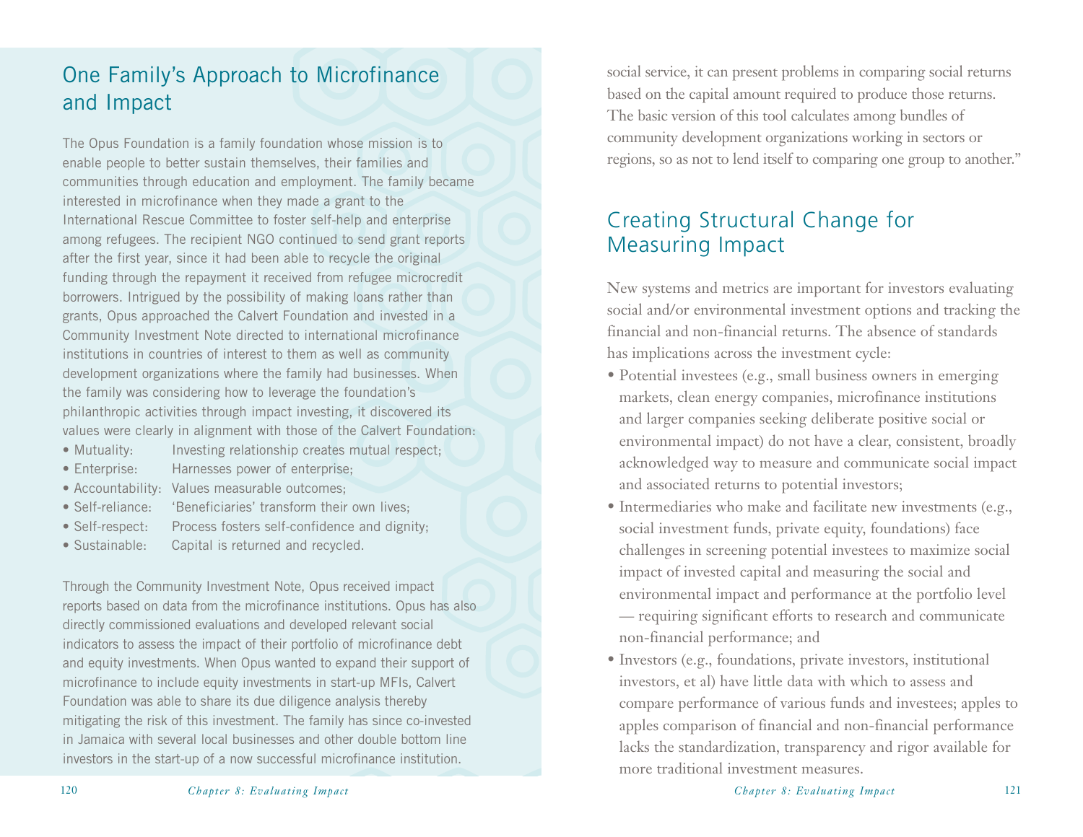# One Family's Approach to Microfinance and Impact

The Opus Foundation is a family foundation whose mission is to enable people to better sustain themselves, their families and communities through education and employment. The family became interested in microfinance when they made a grant to the International Rescue Committee to foster self-help and enterprise among refugees. The recipient NGO continued to send grant reports after the first year, since it had been able to recycle the original funding through the repayment it received from refugee microcredit borrowers. Intrigued by the possibility of making loans rather than grants, Opus approached the Calvert Foundation and invested in a Community Investment Note directed to international microfinance institutions in countries of interest to them as well as community development organizations where the family had businesses. When the family was considering how to leverage the foundation's philanthropic activities through impact investing, it discovered its values were clearly in alignment with those of the Calvert Foundation:

- Mutuality: Investing relationship creates mutual respect;
- Enterprise: Harnesses power of enterprise;
- Accountability: Values measurable outcomes;
- Self-reliance: 'Beneficiaries' transform their own lives;
- Self-respect: Process fosters self-confidence and dignity;
- Sustainable: Capital is returned and recycled.

Through the Community Investment Note, Opus received impact reports based on data from the microfinance institutions. Opus has also directly commissioned evaluations and developed relevant social indicators to assess the impact of their portfolio of microfinance debt and equity investments. When Opus wanted to expand their support of microfinance to include equity investments in start-up MFIs, Calvert Foundation was able to share its due diligence analysis thereby mitigating the risk of this investment. The family has since co-invested in Jamaica with several local businesses and other double bottom line investors in the start-up of a now successful microfinance institution.

social service, it can present problems in comparing social returns based on the capital amount required to produce those returns. The basic version of this tool calculates among bundles of community development organizations working in sectors or regions, so as not to lend itself to comparing one group to another."

# Creating Structural Change for Measuring Impact

New systems and metrics are important for investors evaluating social and/or environmental investment options and tracking the financial and non-financial returns. The absence of standards has implications across the investment cycle:

- Potential investees (e.g., small business owners in emerging markets, clean energy companies, microfinance institutions and larger companies seeking deliberate positive social or environmental impact) do not have a clear, consistent, broadly acknowledged way to measure and communicate social impact and associated returns to potential investors;
- Intermediaries who make and facilitate new investments (e.g., social investment funds, private equity, foundations) face challenges in screening potential investees to maximize social impact of invested capital and measuring the social and environmental impact and performance at the portfolio level — requiring significant efforts to research and communicate non-financial performance; and
- Investors (e.g., foundations, private investors, institutional investors, et al) have little data with which to assess and compare performance of various funds and investees; apples to apples comparison of financial and non-financial performance lacks the standardization, transparency and rigor available for more traditional investment measures.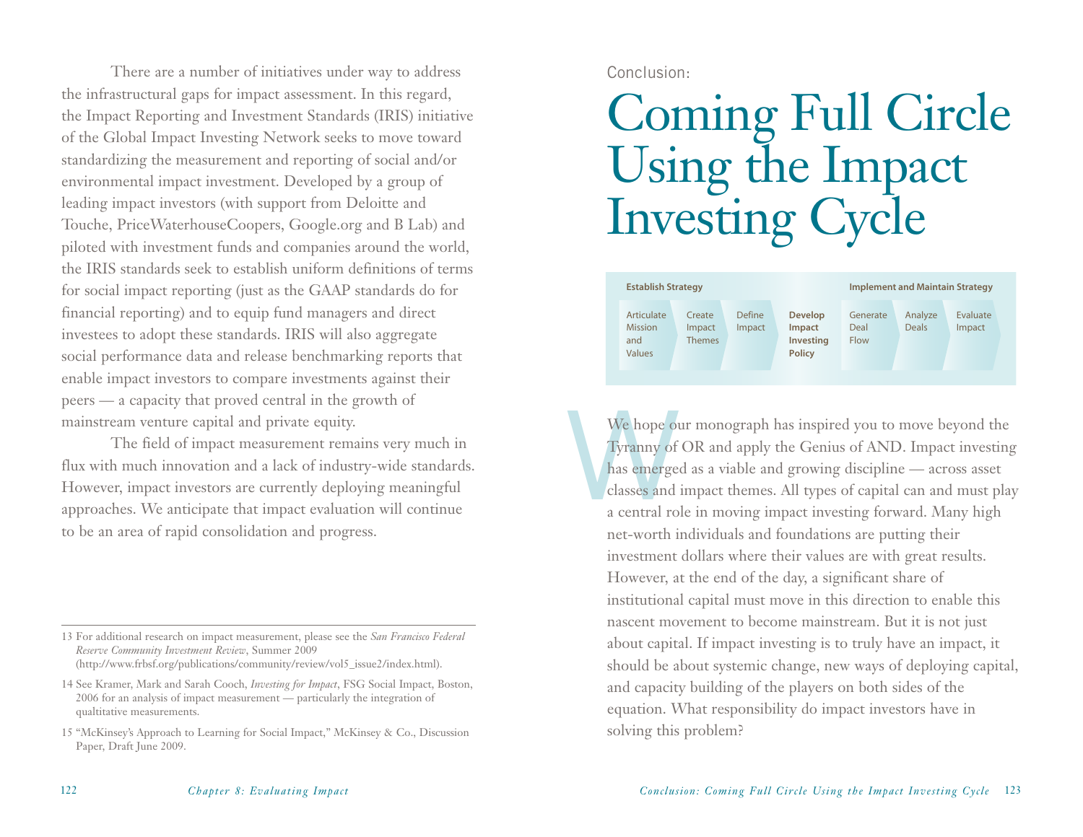There are a number of initiatives under way to address the infrastructural gaps for impact assessment. In this regard, the Impact Reporting and Investment Standards (IRIS) initiative of the Global Impact Investing Network seeks to move toward standardizing the measurement and reporting of social and/or environmental impact investment. Developed by a group of leading impact investors (with support from Deloitte and Touche, PriceWaterhouseCoopers, Google.org and B Lab) and piloted with investment funds and companies around the world, the IRIS standards seek to establish uniform definitions of terms for social impact reporting (just as the GAAP standards do for financial reporting) and to equip fund managers and direct investees to adopt these standards. IRIS will also aggregate social performance data and release benchmarking reports that enable impact investors to compare investments against their peers — a capacity that proved central in the growth of mainstream venture capital and private equity.

The field of impact measurement remains very much in flux with much innovation and a lack of industry-wide standards. However, impact investors are currently deploying meaningful approaches. We anticipate that impact evaluation will continue to be an area of rapid consolidation and progress.

#### Conclusion:

# Coming Full Circle Using the Impact Investing Cycle

| <b>Establish Strategy</b>                     |                                          |                         | <b>Implement and Maintain Strategy</b>                 |                                 |                         |                    |
|-----------------------------------------------|------------------------------------------|-------------------------|--------------------------------------------------------|---------------------------------|-------------------------|--------------------|
| Articulate<br><b>Mission</b><br>and<br>Values | Create<br><i>Impact</i><br><b>Themes</b> | Define<br><i>Impact</i> | <b>Develop</b><br>Impact<br>Investing<br><b>Policy</b> | Generate<br>Deal<br><b>Flow</b> | Analyze<br><b>Deals</b> | Evaluate<br>Impact |

We hope of<br>Tyranny of<br>has emerge<br>classes and<br>a central ro We hope our monograph has inspired you to move beyond the Tyranny of OR and apply the Genius of AND. Impact investing has emerged as a viable and growing discipline — across asset classes and impact themes. All types of capital can and must play a central role in moving impact investing forward. Many high net-worth individuals and foundations are putting their investment dollars where their values are with great results. However, at the end of the day, a significant share of institutional capital must move in this direction to enable this nascent movement to become mainstream. But it is not just about capital. If impact investing is to truly have an impact, it should be about systemic change, new ways of deploying capital, and capacity building of the players on both sides of the equation. What responsibility do impact investors have in solving this problem?

<sup>13</sup> For additional research on impact measurement, please see the *San Francisco Federal Reserve Community Investment Review*, Summer 2009 (http://www.frbsf.org/publications/community/review/vol5\_issue2/index.html).

<sup>14</sup> See Kramer, Mark and Sarah Cooch, *Investing for Impact*, FSG Social Impact, Boston, 2006 for an analysis of impact measurement — particularly the integration of qualtitative measurements.

<sup>15</sup> "McKinsey's Approach to Learning for Social Impact," McKinsey & Co., Discussion Paper, Draft June 2009.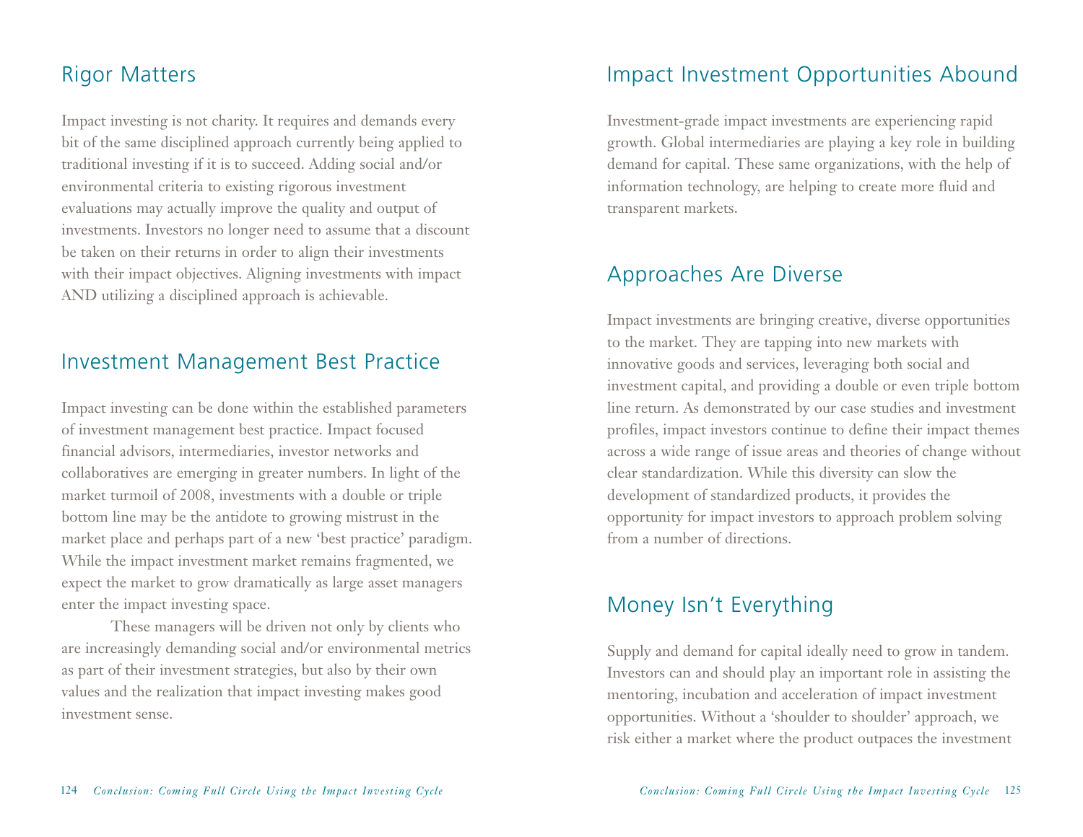# Rigor Matters

Impact investing is not charity. It requires and demands every bit of the same disciplined approach currently being applied to traditional investing if it is to succeed. Adding social and/or environmental criteria to existing rigorous investment evaluations may actually improve the quality and output of investments. Investors no longer need to assume that a discount be taken on their returns in order to align their investments with their impact objectives. Aligning investments with impact AND utilizing a disciplined approach is achievable.

# Investment Management Best Practice

Impact investing can be done within the established parameters of investment management best practice. Impact focused financial advisors, intermediaries, investor networks and collaboratives are emerging in greater numbers. In light of the market turmoil of 2008, investments with a double or triple bottom line may be the antidote to growing mistrust in the market place and perhaps part of a new 'best practice' paradigm. While the impact investment market remains fragmented, we expect the market to grow dramatically as large asset managers enter the impact investing space.

These managers will be driven not only by clients who are increasingly demanding social and/or environmental metrics as part of their investment strategies, but also by their own values and the realization that impact investing makes good investment sense.

# Impact Investment Opportunities Abound

Investment-grade impact investments are experiencing rapid growth. Global intermediaries are playing a key role in building demand for capital. These same organizations, with the help of information technology, are helping to create more fluid and transparent markets.

# Approaches Are Diverse

Impact investments are bringing creative, diverse opportunities to the market. They are tapping into new markets with innovative goods and services, leveraging both social and investment capital, and providing a double or even triple bottom line return. As demonstrated by our case studies and investment profiles, impact investors continue to define their impact themes across a wide range of issue areas and theories of change without clear standardization. While this diversity can slow the development of standardized products, it provides the opportunity for impact investors to approach problem solving from a number of directions.

# Money Isn't Everything

Supply and demand for capital ideally need to grow in tandem. Investors can and should play an important role in assisting the mentoring, incubation and acceleration of impact investment opportunities. Without a 'shoulder to shoulder' approach, we risk either a market where the product outpaces the investment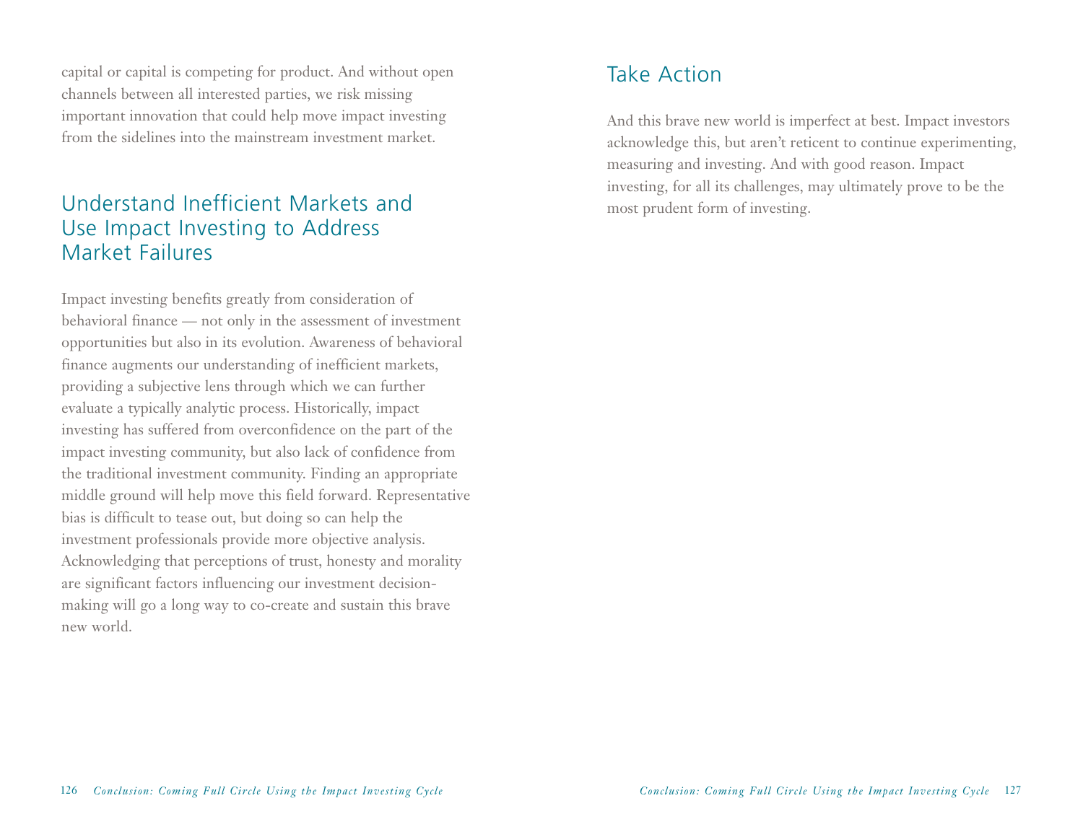capital or capital is competing for product. And without open channels between all interested parties, we risk missing important innovation that could help move impact investing from the sidelines into the mainstream investment market.

# Understand Inefficient Markets and Use Impact Investing to Address Market Failures

Impact investing benefits greatly from consideration of behavioral finance — not only in the assessment of investment opportunities but also in its evolution. Awareness of behavioral finance augments our understanding of inefficient markets, providing a subjective lens through which we can further evaluate a typically analytic process. Historically, impact investing has suffered from overconfidence on the part of the impact investing community, but also lack of confidence from the traditional investment community. Finding an appropriate middle ground will help move this field forward. Representative bias is difficult to tease out, but doing so can help the investment professionals provide more objective analysis. Acknowledging that perceptions of trust, honesty and morality are significant factors influencing our investment decisionmaking will go a long way to co-create and sustain this brave new world.

# Take Action

And this brave new world is imperfect at best. Impact investors acknowledge this, but aren't reticent to continue experimenting, measuring and investing. And with good reason. Impact investing, for all its challenges, may ultimately prove to be the most prudent form of investing.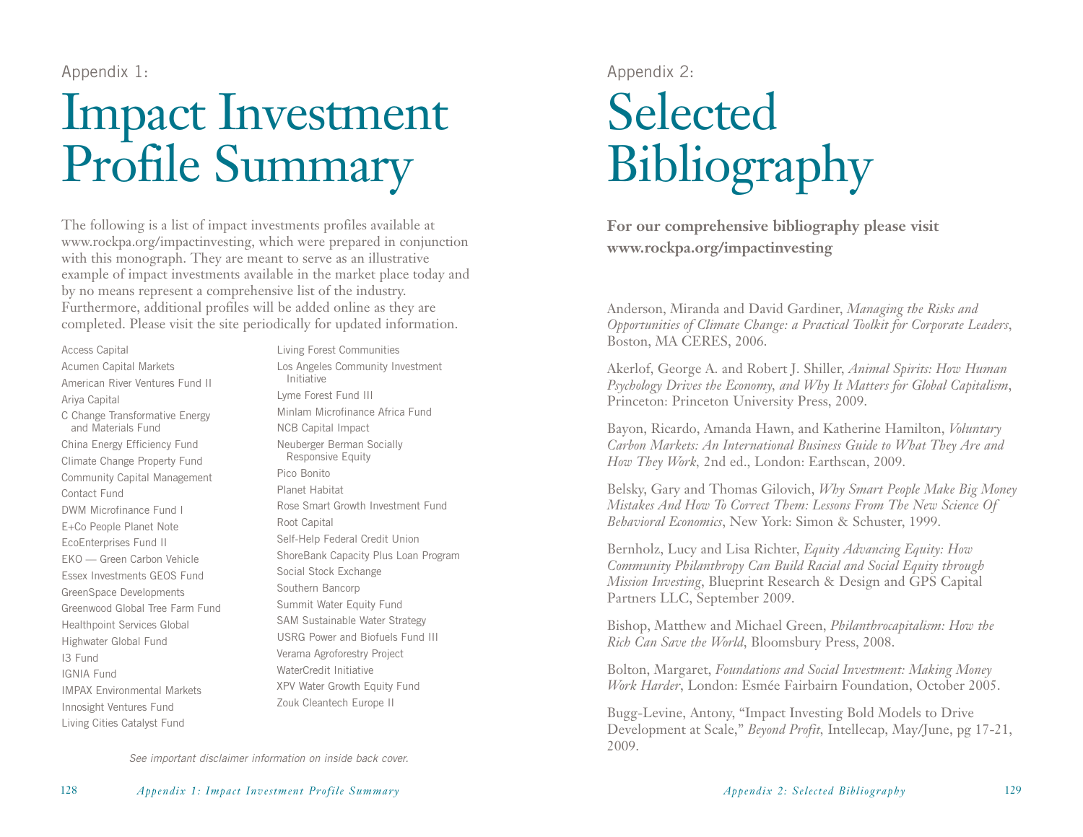Appendix 1:

# Impact Investment Profile Summary

The following is a list of impact investments profiles available at www.rockpa.org/impactinvesting, which were prepared in conjunction with this monograph. They are meant to serve as an illustrative example of impact investments available in the market place today and by no means represent a comprehensive list of the industry. Furthermore, additional profiles will be added online as they are completed. Please visit the site periodically for updated information.

Access Capital Acumen Capital Markets American River Ventures Fund II Ariya Capital C Change Transformative Energy and Materials Fund China Energy Efficiency Fund Climate Change Property Fund Community Capital Management Contact Fund DWM Microfinance Fund I E+Co People Planet Note EcoEnterprises Fund II EKO — Green Carbon Vehicle Essex Investments GEOS Fund GreenSpace Developments Greenwood Global Tree Farm Fund Healthpoint Services Global Highwater Global Fund I3 Fund IGNIA Fund IMPAX Environmental Markets Innosight Ventures Fund Living Cities Catalyst Fund

Living Forest Communities Los Angeles Community Investment Initiative Lyme Forest Fund III Minlam Microfinance Africa Fund NCB Capital Impact Neuberger Berman Socially Responsive Equity Pico Bonito Planet Habitat Rose Smart Growth Investment Fund Root Capital Self-Help Federal Credit Union ShoreBank Capacity Plus Loan Program Social Stock Exchange Southern Bancorp Summit Water Equity Fund SAM Sustainable Water Strategy USRG Power and Biofuels Fund III Verama Agroforestry Project WaterCredit Initiative XPV Water Growth Equity Fund Zouk Cleantech Europe II

*See important disclaimer information on inside back cover.*

Appendix 2:

# **Selected** Bibliography

**For our comprehensive bibliography please visit www.rockpa.org/impactinvesting**

Anderson, Miranda and David Gardiner, *Managing the Risks and Opportunities of Climate Change: a Practical Toolkit for Corporate Leaders*, Boston, MA CERES, 2006.

Akerlof, George A. and Robert J. Shiller, *Animal Spirits: How Human Psychology Drives the Economy, and Why It Matters for Global Capitalism*, Princeton: Princeton University Press, 2009.

Bayon, Ricardo, Amanda Hawn, and Katherine Hamilton, *Voluntary Carbon Markets: An International Business Guide to What They Are and How They Work,* 2nd ed., London: Earthscan, 2009.

Belsky, Gary and Thomas Gilovich, *Why Smart People Make Big Money Mistakes And How To Correct Them: Lessons From The New Science Of Behavioral Economics*, New York: Simon & Schuster, 1999.

Bernholz, Lucy and Lisa Richter, *Equity Advancing Equity: How Community Philanthropy Can Build Racial and Social Equity through Mission Investing*, Blueprint Research & Design and GPS Capital Partners LLC, September 2009.

Bishop, Matthew and Michael Green, *Philanthrocapitalism: How the Rich Can Save the World*, Bloomsbury Press, 2008.

Bolton, Margaret, *Foundations and Social Investment: Making Money Work Harder*, London: Esmée Fairbairn Foundation, October 2005.

Bugg-Levine, Antony, "Impact Investing Bold Models to Drive Development at Scale," *Beyond Profit,* Intellecap, May/June, pg 17-21, 2009.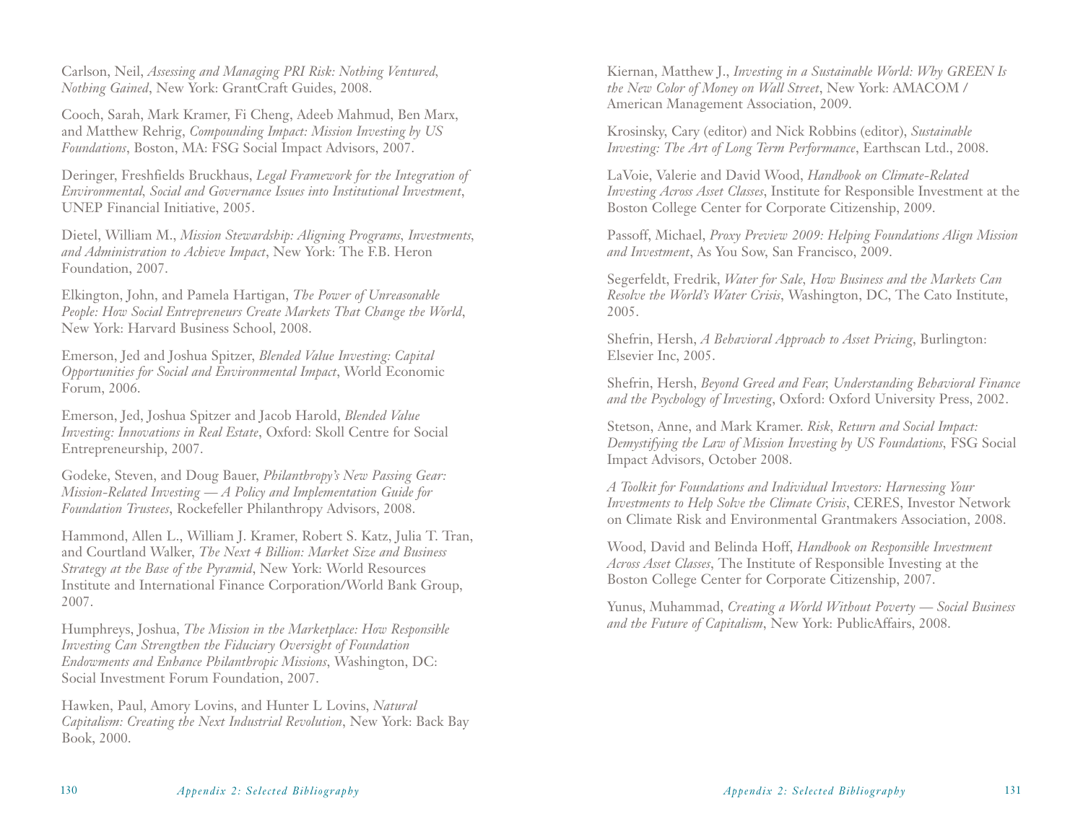Carlson, Neil, *Assessing and Managing PRI Risk: Nothing Ventured, Nothing Gained*, New York: GrantCraft Guides, 2008.

Cooch, Sarah, Mark Kramer, Fi Cheng, Adeeb Mahmud, Ben Marx, and Matthew Rehrig, *Compounding Impact: Mission Investing by US Foundations*, Boston, MA: FSG Social Impact Advisors, 2007.

Deringer, Freshfields Bruckhaus, *Legal Framework for the Integration of Environmental, Social and Governance Issues into Institutional Investment*, UNEP Financial Initiative, 2005.

Dietel, William M., *Mission Stewardship: Aligning Programs, Investments, and Administration to Achieve Impact*, New York: The F.B. Heron Foundation, 2007.

Elkington, John, and Pamela Hartigan, *The Power of Unreasonable People: How Social Entrepreneurs Create Markets That Change the World*, New York: Harvard Business School, 2008.

Emerson, Jed and Joshua Spitzer, *Blended Value Investing: Capital Opportunities for Social and Environmental Impact*, World Economic Forum, 2006.

Emerson, Jed, Joshua Spitzer and Jacob Harold, *Blended Value Investing: Innovations in Real Estate*, Oxford: Skoll Centre for Social Entrepreneurship, 2007.

Godeke, Steven, and Doug Bauer, *Philanthropy's New Passing Gear: Mission-Related Investing — A Policy and Implementation Guide for Foundation Trustees*, Rockefeller Philanthropy Advisors, 2008.

Hammond, Allen L., William J. Kramer, Robert S. Katz, Julia T. Tran, and Courtland Walker, *The Next 4 Billion: Market Size and Business Strategy at the Base of the Pyramid*, New York: World Resources Institute and International Finance Corporation/World Bank Group, 2007.

Humphreys, Joshua, *The Mission in the Marketplace: How Responsible Investing Can Strengthen the Fiduciary Oversight of Foundation Endowments and Enhance Philanthropic Missions*, Washington, DC: Social Investment Forum Foundation, 2007.

Hawken, Paul, Amory Lovins, and Hunter L Lovins, *Natural Capitalism: Creating the Next Industrial Revolution*, New York: Back Bay Book, 2000.

Kiernan, Matthew J., *Investing in a Sustainable World: Why GREEN Is the New Color of Money on Wall Street*, New York: AMACOM / American Management Association, 2009.

Krosinsky, Cary (editor) and Nick Robbins (editor), *Sustainable Investing: The Art of Long Term Performance*, Earthscan Ltd., 2008.

LaVoie, Valerie and David Wood, *Handbook on Climate-Related Investing Across Asset Classes*, Institute for Responsible Investment at the Boston College Center for Corporate Citizenship, 2009.

Passoff, Michael, *Proxy Preview 2009: Helping Foundations Align Mission and Investment*, As You Sow, San Francisco, 2009.

Segerfeldt, Fredrik, *Water for Sale, How Business and the Markets Can Resolve the World's Water Crisis*, Washington, DC, The Cato Institute, 2005.

Shefrin, Hersh, *A Behavioral Approach to Asset Pricing*, Burlington: Elsevier Inc, 2005.

Shefrin, Hersh, *Beyond Greed and Fear, Understanding Behavioral Finance and the Psychology of Investing*, Oxford: Oxford University Press, 2002.

Stetson, Anne, and Mark Kramer. *Risk, Return and Social Impact: Demystifying the Law of Mission Investing by US Foundations,* FSG Social Impact Advisors, October 2008.

*A Toolkit for Foundations and Individual Investors: Harnessing Your Investments to Help Solve the Climate Crisis*, CERES, Investor Network on Climate Risk and Environmental Grantmakers Association, 2008.

Wood, David and Belinda Hoff, *Handbook on Responsible Investment Across Asset Classes*, The Institute of Responsible Investing at the Boston College Center for Corporate Citizenship, 2007.

Yunus, Muhammad, *Creating a World Without Poverty — Social Business and the Future of Capitalism*, New York: PublicAffairs, 2008.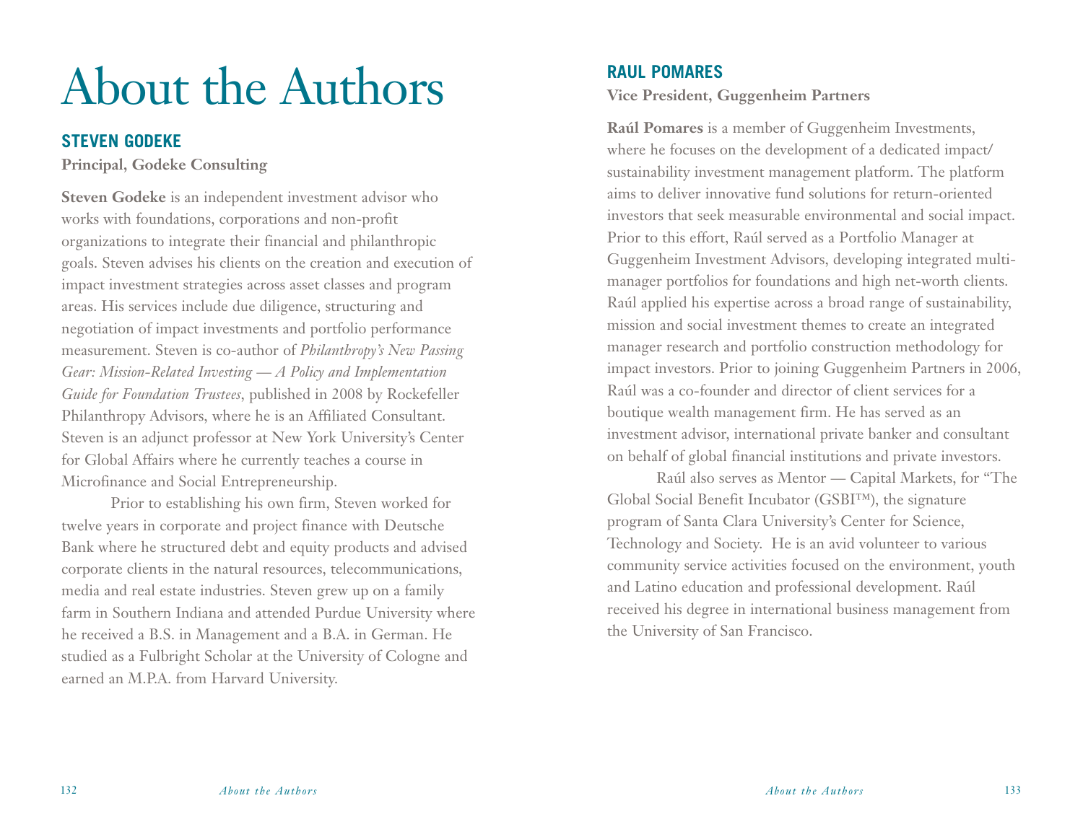# About the Authors

### **STEVEN GODEKE**

**Principal, Godeke Consulting**

**Steven Godeke** is an independent investment advisor who works with foundations, corporations and non-profit organizations to integrate their financial and philanthropic goals. Steven advises his clients on the creation and execution of impact investment strategies across asset classes and program areas. His services include due diligence, structuring and negotiation of impact investments and portfolio performance measurement. Steven is co-author of *Philanthropy's New Passing Gear: Mission-Related Investing — A Policy and Implementation Guide for Foundation Trustees*, published in 2008 by Rockefeller Philanthropy Advisors, where he is an Affiliated Consultant. Steven is an adjunct professor at New York University's Center for Global Affairs where he currently teaches a course in Microfinance and Social Entrepreneurship.

Prior to establishing his own firm, Steven worked for twelve years in corporate and project finance with Deutsche Bank where he structured debt and equity products and advised corporate clients in the natural resources, telecommunications, media and real estate industries. Steven grew up on a family farm in Southern Indiana and attended Purdue University where he received a B.S. in Management and a B.A. in German. He studied as a Fulbright Scholar at the University of Cologne and earned an M.P.A. from Harvard University.

### **RAUL POMARES**

#### **Vice President, Guggenheim Partners**

**Raúl Pomares** is a member of Guggenheim Investments, where he focuses on the development of a dedicated impact/ sustainability investment management platform. The platform aims to deliver innovative fund solutions for return-oriented investors that seek measurable environmental and social impact. Prior to this effort, Raúl served as a Portfolio Manager at Guggenheim Investment Advisors, developing integrated multimanager portfolios for foundations and high net-worth clients. Raúl applied his expertise across a broad range of sustainability, mission and social investment themes to create an integrated manager research and portfolio construction methodology for impact investors. Prior to joining Guggenheim Partners in 2006, Raúl was a co-founder and director of client services for a boutique wealth management firm. He has served as an investment advisor, international private banker and consultant on behalf of global financial institutions and private investors.

Raúl also serves as Mentor — Capital Markets, for "The Global Social Benefit Incubator (GSBI™), the signature program of Santa Clara University's Center for Science, Technology and Society. He is an avid volunteer to various community service activities focused on the environment, youth and Latino education and professional development. Raúl received his degree in international business management from the University of San Francisco.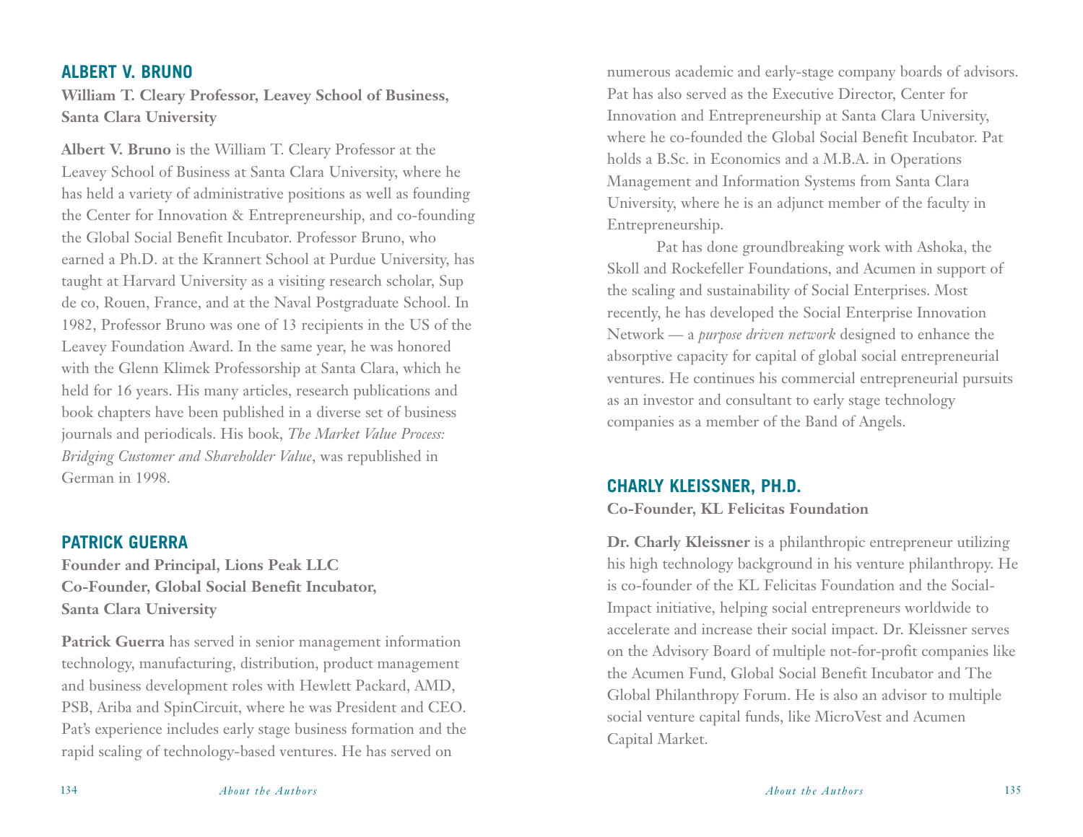#### **ALBERT V. BRUNO**

**William T. Cleary Professor, Leavey School of Business, Santa Clara University**

**Albert V. Bruno** is the William T. Cleary Professor at the Leavey School of Business at Santa Clara University, where he has held a variety of administrative positions as well as founding the Center for Innovation & Entrepreneurship, and co-founding the Global Social Benefit Incubator. Professor Bruno, who earned a Ph.D. at the Krannert School at Purdue University, has taught at Harvard University as a visiting research scholar, Sup de co, Rouen, France, and at the Naval Postgraduate School. In 1982, Professor Bruno was one of 13 recipients in the US of the Leavey Foundation Award. In the same year, he was honored with the Glenn Klimek Professorship at Santa Clara, which he held for 16 years. His many articles, research publications and book chapters have been published in a diverse set of business journals and periodicals. His book, *The Market Value Process: Bridging Customer and Shareholder Value*, was republished in German in 1998.

#### **PATRICK GUERRA**

**Founder and Principal, Lions Peak LLC Co-Founder, Global Social Benefit Incubator, Santa Clara University**

**Patrick Guerra** has served in senior management information technology, manufacturing, distribution, product management and business development roles with Hewlett Packard, AMD, PSB, Ariba and SpinCircuit, where he was President and CEO. Pat's experience includes early stage business formation and the rapid scaling of technology-based ventures. He has served on

numerous academic and early-stage company boards of advisors. Pat has also served as the Executive Director, Center for Innovation and Entrepreneurship at Santa Clara University, where he co-founded the Global Social Benefit Incubator. Pat holds a B.Sc. in Economics and a M.B.A. in Operations Management and Information Systems from Santa Clara University, where he is an adjunct member of the faculty in Entrepreneurship.

Pat has done groundbreaking work with Ashoka, the Skoll and Rockefeller Foundations, and Acumen in support of the scaling and sustainability of Social Enterprises. Most recently, he has developed the Social Enterprise Innovation Network — a *purpose driven network* designed to enhance the absorptive capacity for capital of global social entrepreneurial ventures. He continues his commercial entrepreneurial pursuits as an investor and consultant to early stage technology companies as a member of the Band of Angels.

#### **CHARLY KLEISSNER, PH.D.**

**Co-Founder, KL Felicitas Foundation**

**Dr. Charly Kleissner** is a philanthropic entrepreneur utilizing his high technology background in his venture philanthropy. He is co-founder of the KL Felicitas Foundation and the Social-Impact initiative, helping social entrepreneurs worldwide to accelerate and increase their social impact. Dr. Kleissner serves on the Advisory Board of multiple not-for-profit companies like the Acumen Fund, Global Social Benefit Incubator and The Global Philanthropy Forum. He is also an advisor to multiple social venture capital funds, like MicroVest and Acumen Capital Market.